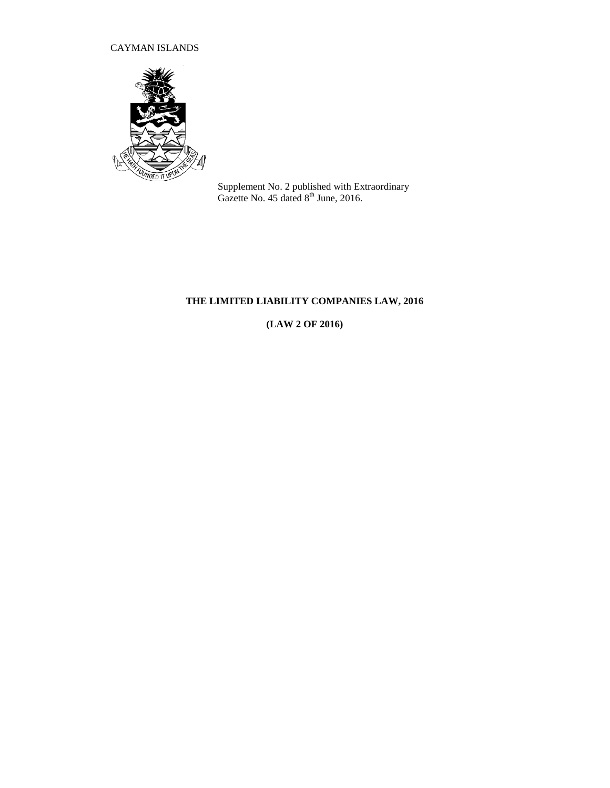### CAYMAN ISLANDS



Supplement No. 2 published with Extraordinary Gazette No. 45 dated  $8<sup>th</sup>$  June, 2016.

# **THE LIMITED LIABILITY COMPANIES LAW, 2016**

**(LAW 2 OF 2016)**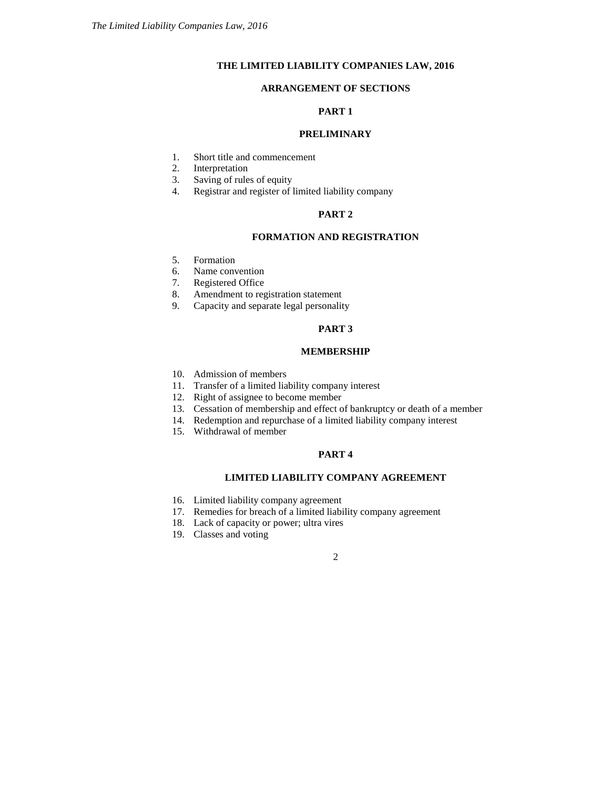### **THE LIMITED LIABILITY COMPANIES LAW, 2016**

### **ARRANGEMENT OF SECTIONS**

### **PART 1**

#### **PRELIMINARY**

- 1. Short title and commencement<br>2. Interpretation
- Interpretation
- 3. Saving of rules of equity
- 4. Registrar and register of limited liability company

### **PART 2**

#### **FORMATION AND REGISTRATION**

- 5. Formation
- 6. Name convention
- 7. Registered Office
- 8. Amendment to registration statement
- 9. Capacity and separate legal personality

### **PART 3**

#### **MEMBERSHIP**

- 10. Admission of members
- 11. Transfer of a limited liability company interest
- 12. Right of assignee to become member
- 13. Cessation of membership and effect of bankruptcy or death of a member
- 14. Redemption and repurchase of a limited liability company interest
- 15. Withdrawal of member

#### **PART 4**

### **LIMITED LIABILITY COMPANY AGREEMENT**

- 16. Limited liability company agreement
- 17. Remedies for breach of a limited liability company agreement
- 18. Lack of capacity or power; ultra vires
- 19. Classes and voting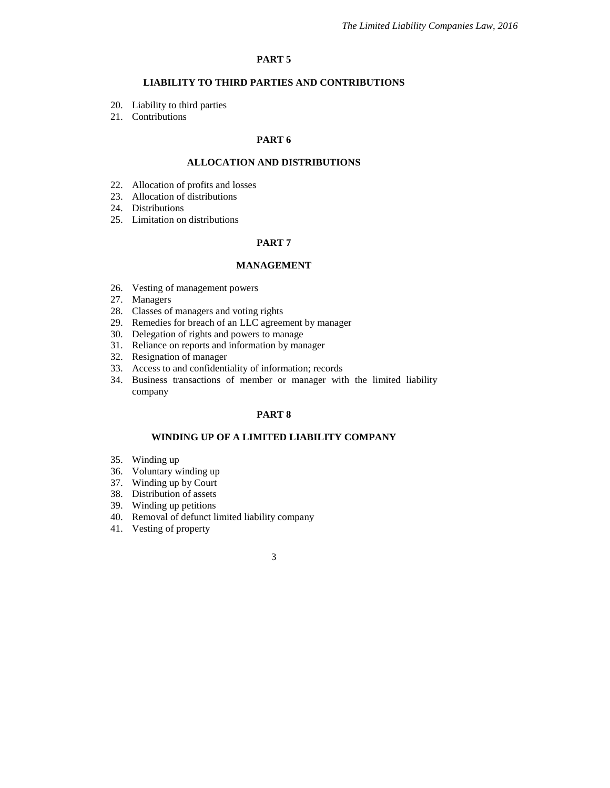#### **PART 5**

### **LIABILITY TO THIRD PARTIES AND CONTRIBUTIONS**

- 20. Liability to third parties
- 21. Contributions

### **PART 6**

### **ALLOCATION AND DISTRIBUTIONS**

- 22. Allocation of profits and losses
- 23. Allocation of distributions
- 24. Distributions
- 25. Limitation on distributions

#### **PART 7**

#### **MANAGEMENT**

- 26. Vesting of management powers
- 27. Managers
- 28. Classes of managers and voting rights
- 29. Remedies for breach of an LLC agreement by manager
- 30. Delegation of rights and powers to manage
- 31. Reliance on reports and information by manager
- 32. Resignation of manager
- 33. Access to and confidentiality of information; records
- 34. Business transactions of member or manager with the limited liability company

#### **PART 8**

#### **WINDING UP OF A LIMITED LIABILITY COMPANY**

- 35. Winding up
- 36. Voluntary winding up
- 37. Winding up by Court
- 38. Distribution of assets
- 39. Winding up petitions
- 40. Removal of defunct limited liability company
- 41. Vesting of property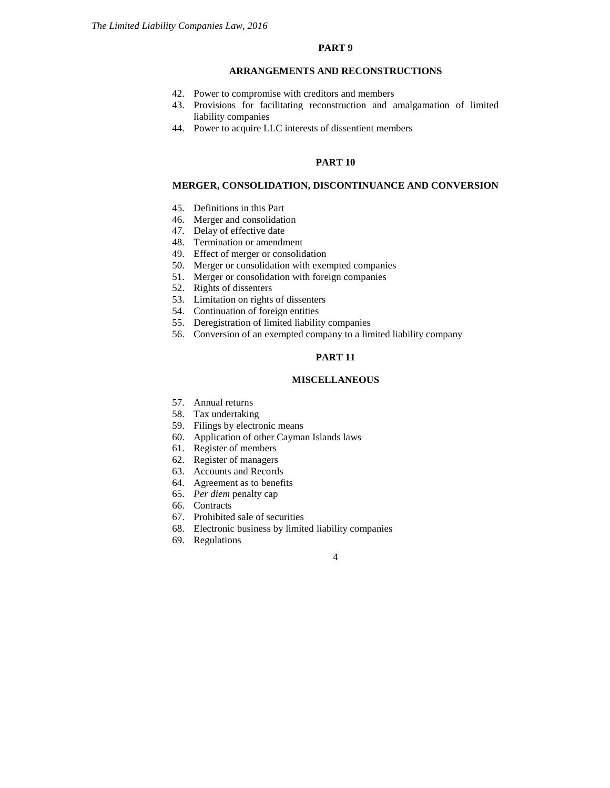### **PART 9**

#### **ARRANGEMENTS AND RECONSTRUCTIONS**

- 42. Power to compromise with creditors and members
- 43. Provisions for facilitating reconstruction and amalgamation of limited liability companies
- 44. Power to acquire LLC interests of dissentient members

#### **PART 10**

#### **MERGER, CONSOLIDATION, DISCONTINUANCE AND CONVERSION**

- 45. Definitions in this Part
- 46. Merger and consolidation
- 47. Delay of effective date
- 48. Termination or amendment
- 49. Effect of merger or consolidation
- 50. Merger or consolidation with exempted companies
- 51. Merger or consolidation with foreign companies
- 52. Rights of dissenters
- 53. Limitation on rights of dissenters
- 54. Continuation of foreign entities
- 55. Deregistration of limited liability companies
- 56. Conversion of an exempted company to a limited liability company

### **PART 11**

#### **MISCELLANEOUS**

- 57. Annual returns
- 58. Tax undertaking
- 59. Filings by electronic means
- 60. Application of other Cayman Islands laws
- 61. Register of members
- 62. Register of managers
- 63. Accounts and Records
- 64. Agreement as to benefits
- 65. *Per diem* penalty cap
- 66. Contracts
- 67. Prohibited sale of securities
- 68. Electronic business by limited liability companies
- 69. Regulations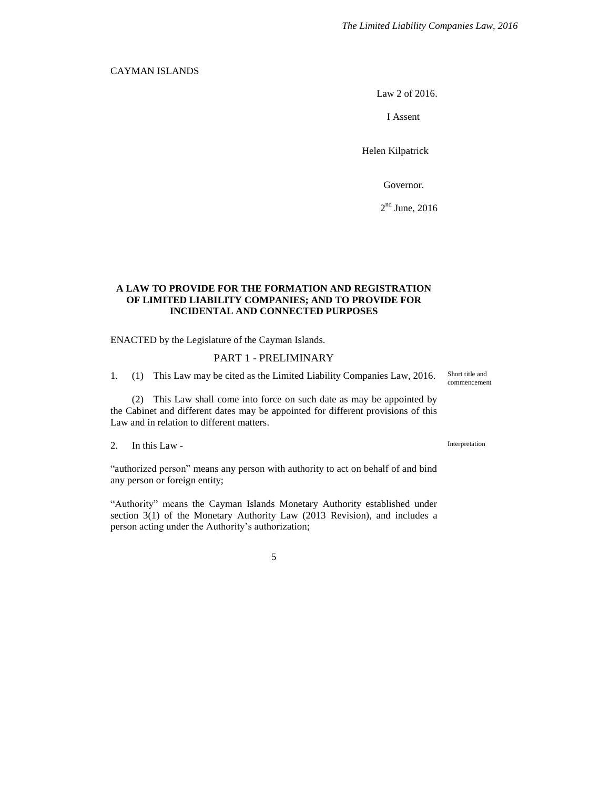#### CAYMAN ISLANDS

Law 2 of 2016.

I Assent

Helen Kilpatrick

Governor.

 $2<sup>nd</sup>$  June, 2016

#### **A LAW TO PROVIDE FOR THE FORMATION AND REGISTRATION OF LIMITED LIABILITY COMPANIES; AND TO PROVIDE FOR INCIDENTAL AND CONNECTED PURPOSES**

ENACTED by the Legislature of the Cayman Islands.

#### PART 1 - PRELIMINARY

1. (1) This Law may be cited as the Limited Liability Companies Law, 2016.

(2) This Law shall come into force on such date as may be appointed by the Cabinet and different dates may be appointed for different provisions of this Law and in relation to different matters.

2. In this Law -

"authorized person" means any person with authority to act on behalf of and bind any person or foreign entity;

"Authority" means the Cayman Islands Monetary Authority established under section 3(1) of the Monetary Authority Law (2013 Revision), and includes a person acting under the Authority's authorization;

5

Short title and commencement

Interpretation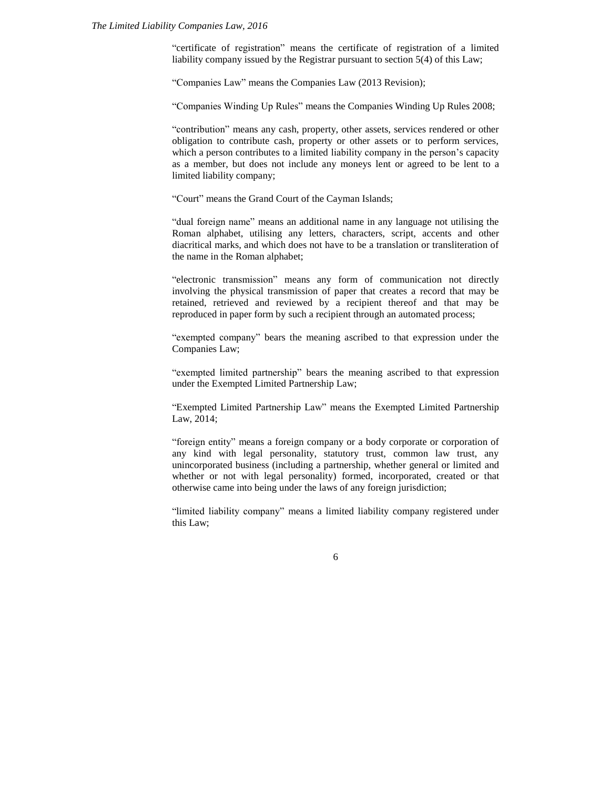#### *The Limited Liability Companies Law, 2016*

"certificate of registration" means the certificate of registration of a limited liability company issued by the Registrar pursuant to section 5(4) of this Law;

"Companies Law" means the Companies Law (2013 Revision);

"Companies Winding Up Rules" means the Companies Winding Up Rules 2008;

"contribution" means any cash, property, other assets, services rendered or other obligation to contribute cash, property or other assets or to perform services, which a person contributes to a limited liability company in the person's capacity as a member, but does not include any moneys lent or agreed to be lent to a limited liability company;

"Court" means the Grand Court of the Cayman Islands;

"dual foreign name" means an additional name in any language not utilising the Roman alphabet, utilising any letters, characters, script, accents and other diacritical marks, and which does not have to be a translation or transliteration of the name in the Roman alphabet;

"electronic transmission" means any form of communication not directly involving the physical transmission of paper that creates a record that may be retained, retrieved and reviewed by a recipient thereof and that may be reproduced in paper form by such a recipient through an automated process;

"exempted company" bears the meaning ascribed to that expression under the Companies Law;

"exempted limited partnership" bears the meaning ascribed to that expression under the Exempted Limited Partnership Law;

"Exempted Limited Partnership Law" means the Exempted Limited Partnership Law, 2014;

"foreign entity" means a foreign company or a body corporate or corporation of any kind with legal personality, statutory trust, common law trust, any unincorporated business (including a partnership, whether general or limited and whether or not with legal personality) formed, incorporated, created or that otherwise came into being under the laws of any foreign jurisdiction;

"limited liability company" means a limited liability company registered under this Law;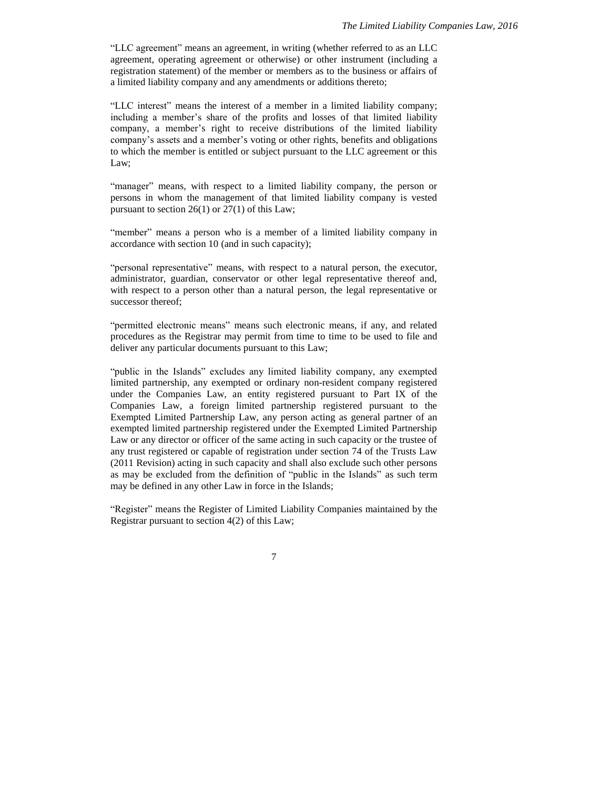"LLC agreement" means an agreement, in writing (whether referred to as an LLC agreement, operating agreement or otherwise) or other instrument (including a registration statement) of the member or members as to the business or affairs of a limited liability company and any amendments or additions thereto;

"LLC interest" means the interest of a member in a limited liability company; including a member's share of the profits and losses of that limited liability company, a member's right to receive distributions of the limited liability company's assets and a member's voting or other rights, benefits and obligations to which the member is entitled or subject pursuant to the LLC agreement or this Law;

"manager" means, with respect to a limited liability company, the person or persons in whom the management of that limited liability company is vested pursuant to section 26(1) or 27(1) of this Law;

"member" means a person who is a member of a limited liability company in accordance with section 10 (and in such capacity);

"personal representative" means, with respect to a natural person, the executor, administrator, guardian, conservator or other legal representative thereof and, with respect to a person other than a natural person, the legal representative or successor thereof;

"permitted electronic means" means such electronic means, if any, and related procedures as the Registrar may permit from time to time to be used to file and deliver any particular documents pursuant to this Law;

"public in the Islands" excludes any limited liability company, any exempted limited partnership, any exempted or ordinary non-resident company registered under the Companies Law, an entity registered pursuant to Part IX of the Companies Law, a foreign limited partnership registered pursuant to the Exempted Limited Partnership Law, any person acting as general partner of an exempted limited partnership registered under the Exempted Limited Partnership Law or any director or officer of the same acting in such capacity or the trustee of any trust registered or capable of registration under section 74 of the Trusts Law (2011 Revision) acting in such capacity and shall also exclude such other persons as may be excluded from the definition of "public in the Islands" as such term may be defined in any other Law in force in the Islands;

"Register" means the Register of Limited Liability Companies maintained by the Registrar pursuant to section 4(2) of this Law;

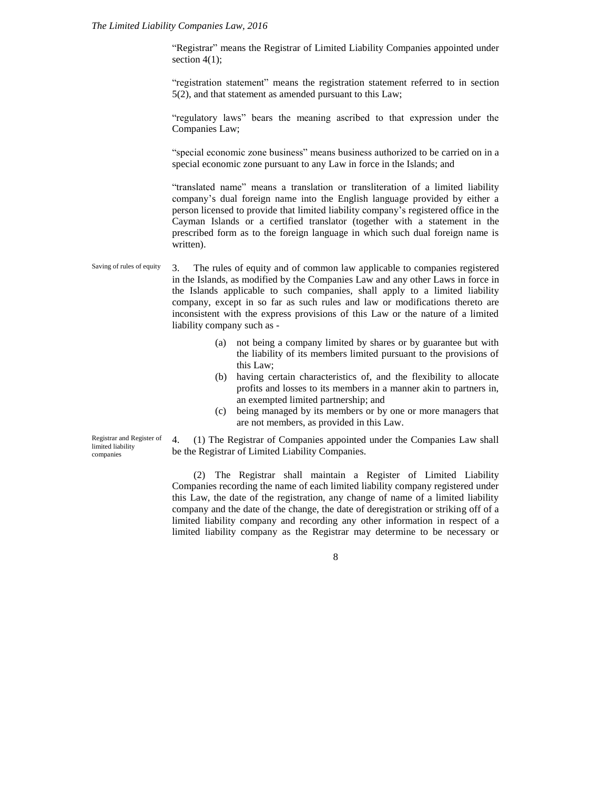#### *The Limited Liability Companies Law, 2016*

"Registrar" means the Registrar of Limited Liability Companies appointed under section  $4(1)$ ;

"registration statement" means the registration statement referred to in section 5(2), and that statement as amended pursuant to this Law;

"regulatory laws" bears the meaning ascribed to that expression under the Companies Law;

"special economic zone business" means business authorized to be carried on in a special economic zone pursuant to any Law in force in the Islands; and

"translated name" means a translation or transliteration of a limited liability company's dual foreign name into the English language provided by either a person licensed to provide that limited liability company's registered office in the Cayman Islands or a certified translator (together with a statement in the prescribed form as to the foreign language in which such dual foreign name is written).

3. The rules of equity and of common law applicable to companies registered in the Islands, as modified by the Companies Law and any other Laws in force in the Islands applicable to such companies, shall apply to a limited liability company, except in so far as such rules and law or modifications thereto are inconsistent with the express provisions of this Law or the nature of a limited liability company such as - Saving of rules of equity

- (a) not being a company limited by shares or by guarantee but with the liability of its members limited pursuant to the provisions of this Law;
- (b) having certain characteristics of, and the flexibility to allocate profits and losses to its members in a manner akin to partners in, an exempted limited partnership; and
- (c) being managed by its members or by one or more managers that are not members, as provided in this Law.

Registrar and Register of limited liability companies

4. (1) The Registrar of Companies appointed under the Companies Law shall be the Registrar of Limited Liability Companies.

(2) The Registrar shall maintain a Register of Limited Liability Companies recording the name of each limited liability company registered under this Law, the date of the registration, any change of name of a limited liability company and the date of the change, the date of deregistration or striking off of a limited liability company and recording any other information in respect of a limited liability company as the Registrar may determine to be necessary or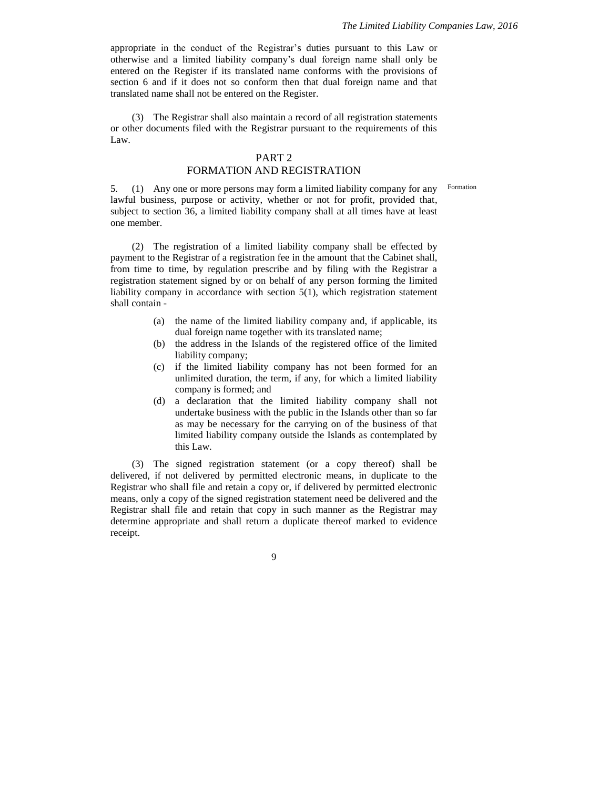appropriate in the conduct of the Registrar's duties pursuant to this Law or otherwise and a limited liability company's dual foreign name shall only be entered on the Register if its translated name conforms with the provisions of section 6 and if it does not so conform then that dual foreign name and that translated name shall not be entered on the Register.

(3) The Registrar shall also maintain a record of all registration statements or other documents filed with the Registrar pursuant to the requirements of this Law.

### PART 2

#### FORMATION AND REGISTRATION

Formation

5. (1) Any one or more persons may form a limited liability company for any lawful business, purpose or activity, whether or not for profit, provided that, subject to section 36, a limited liability company shall at all times have at least one member.

(2) The registration of a limited liability company shall be effected by payment to the Registrar of a registration fee in the amount that the Cabinet shall, from time to time, by regulation prescribe and by filing with the Registrar a registration statement signed by or on behalf of any person forming the limited liability company in accordance with section 5(1), which registration statement shall contain -

- (a) the name of the limited liability company and, if applicable, its dual foreign name together with its translated name;
- (b) the address in the Islands of the registered office of the limited liability company;
- (c) if the limited liability company has not been formed for an unlimited duration, the term, if any, for which a limited liability company is formed; and
- (d) a declaration that the limited liability company shall not undertake business with the public in the Islands other than so far as may be necessary for the carrying on of the business of that limited liability company outside the Islands as contemplated by this Law.

(3) The signed registration statement (or a copy thereof) shall be delivered, if not delivered by permitted electronic means, in duplicate to the Registrar who shall file and retain a copy or, if delivered by permitted electronic means, only a copy of the signed registration statement need be delivered and the Registrar shall file and retain that copy in such manner as the Registrar may determine appropriate and shall return a duplicate thereof marked to evidence receipt.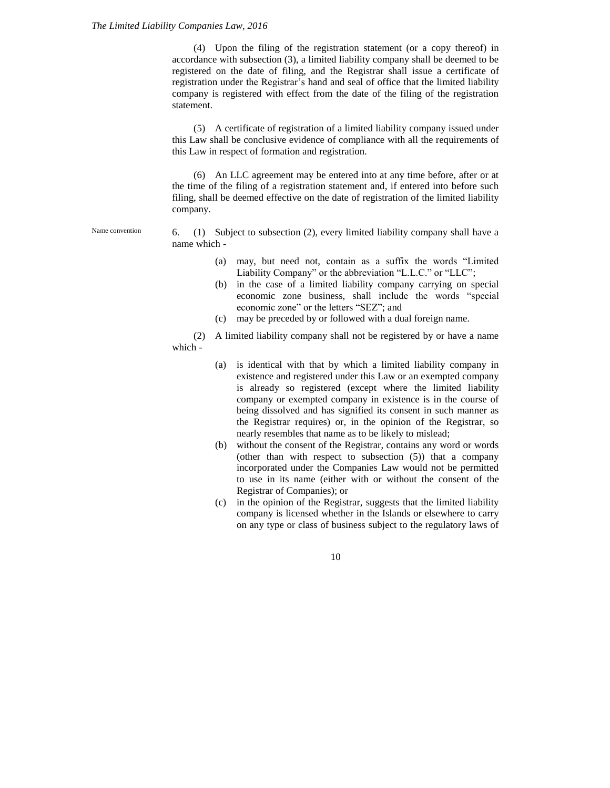#### *The Limited Liability Companies Law, 2016*

(4) Upon the filing of the registration statement (or a copy thereof) in accordance with subsection (3), a limited liability company shall be deemed to be registered on the date of filing, and the Registrar shall issue a certificate of registration under the Registrar's hand and seal of office that the limited liability company is registered with effect from the date of the filing of the registration statement.

(5) A certificate of registration of a limited liability company issued under this Law shall be conclusive evidence of compliance with all the requirements of this Law in respect of formation and registration.

(6) An LLC agreement may be entered into at any time before, after or at the time of the filing of a registration statement and, if entered into before such filing, shall be deemed effective on the date of registration of the limited liability company.

Name convention

6. (1) Subject to subsection (2), every limited liability company shall have a name which -

- (a) may, but need not, contain as a suffix the words "Limited Liability Company" or the abbreviation "L.L.C." or "LLC";
- (b) in the case of a limited liability company carrying on special economic zone business, shall include the words "special economic zone" or the letters "SEZ"; and
- (c) may be preceded by or followed with a dual foreign name.

(2) A limited liability company shall not be registered by or have a name which -

- (a) is identical with that by which a limited liability company in existence and registered under this Law or an exempted company is already so registered (except where the limited liability company or exempted company in existence is in the course of being dissolved and has signified its consent in such manner as the Registrar requires) or, in the opinion of the Registrar, so nearly resembles that name as to be likely to mislead;
- (b) without the consent of the Registrar, contains any word or words (other than with respect to subsection (5)) that a company incorporated under the Companies Law would not be permitted to use in its name (either with or without the consent of the Registrar of Companies); or
- (c) in the opinion of the Registrar, suggests that the limited liability company is licensed whether in the Islands or elsewhere to carry on any type or class of business subject to the regulatory laws of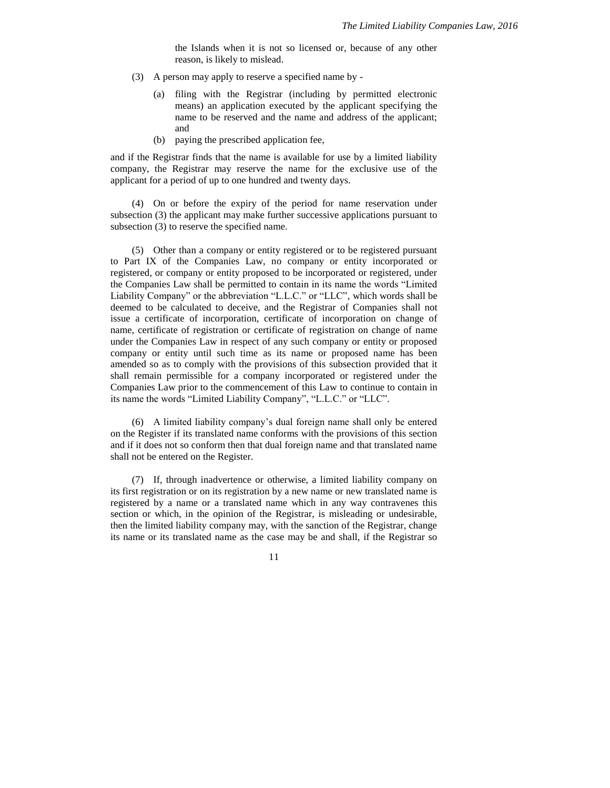the Islands when it is not so licensed or, because of any other reason, is likely to mislead.

- (3) A person may apply to reserve a specified name by
	- (a) filing with the Registrar (including by permitted electronic means) an application executed by the applicant specifying the name to be reserved and the name and address of the applicant; and
	- (b) paying the prescribed application fee,

and if the Registrar finds that the name is available for use by a limited liability company, the Registrar may reserve the name for the exclusive use of the applicant for a period of up to one hundred and twenty days.

(4) On or before the expiry of the period for name reservation under subsection (3) the applicant may make further successive applications pursuant to subsection (3) to reserve the specified name.

(5) Other than a company or entity registered or to be registered pursuant to Part IX of the Companies Law, no company or entity incorporated or registered, or company or entity proposed to be incorporated or registered, under the Companies Law shall be permitted to contain in its name the words "Limited Liability Company" or the abbreviation "L.L.C." or "LLC", which words shall be deemed to be calculated to deceive, and the Registrar of Companies shall not issue a certificate of incorporation, certificate of incorporation on change of name, certificate of registration or certificate of registration on change of name under the Companies Law in respect of any such company or entity or proposed company or entity until such time as its name or proposed name has been amended so as to comply with the provisions of this subsection provided that it shall remain permissible for a company incorporated or registered under the Companies Law prior to the commencement of this Law to continue to contain in its name the words "Limited Liability Company", "L.L.C." or "LLC".

(6) A limited liability company's dual foreign name shall only be entered on the Register if its translated name conforms with the provisions of this section and if it does not so conform then that dual foreign name and that translated name shall not be entered on the Register.

(7) If, through inadvertence or otherwise, a limited liability company on its first registration or on its registration by a new name or new translated name is registered by a name or a translated name which in any way contravenes this section or which, in the opinion of the Registrar, is misleading or undesirable, then the limited liability company may, with the sanction of the Registrar, change its name or its translated name as the case may be and shall, if the Registrar so

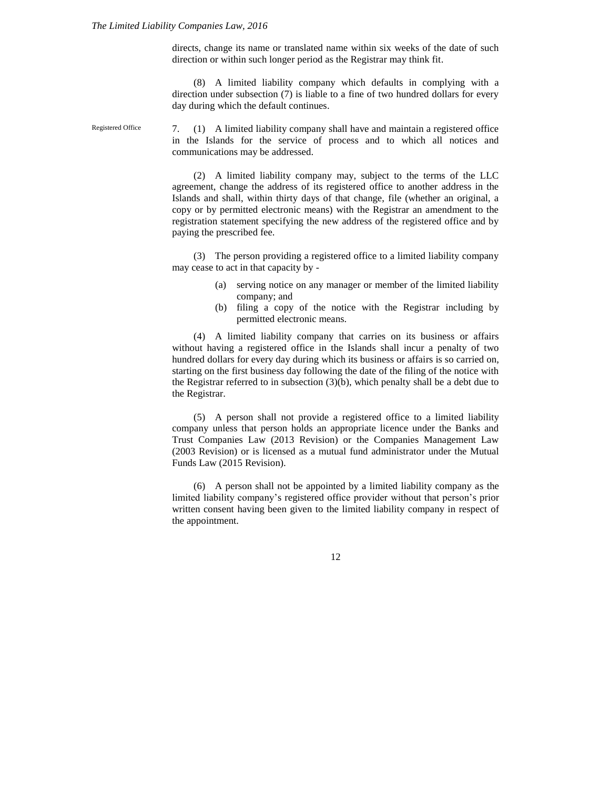Registered Office

directs, change its name or translated name within six weeks of the date of such direction or within such longer period as the Registrar may think fit.

(8) A limited liability company which defaults in complying with a direction under subsection (7) is liable to a fine of two hundred dollars for every day during which the default continues.

7. (1) A limited liability company shall have and maintain a registered office in the Islands for the service of process and to which all notices and communications may be addressed.

(2) A limited liability company may, subject to the terms of the LLC agreement, change the address of its registered office to another address in the Islands and shall, within thirty days of that change, file (whether an original, a copy or by permitted electronic means) with the Registrar an amendment to the registration statement specifying the new address of the registered office and by paying the prescribed fee.

(3) The person providing a registered office to a limited liability company may cease to act in that capacity by -

- (a) serving notice on any manager or member of the limited liability company; and
- (b) filing a copy of the notice with the Registrar including by permitted electronic means.

(4) A limited liability company that carries on its business or affairs without having a registered office in the Islands shall incur a penalty of two hundred dollars for every day during which its business or affairs is so carried on, starting on the first business day following the date of the filing of the notice with the Registrar referred to in subsection (3)(b), which penalty shall be a debt due to the Registrar.

(5) A person shall not provide a registered office to a limited liability company unless that person holds an appropriate licence under the Banks and Trust Companies Law (2013 Revision) or the Companies Management Law (2003 Revision) or is licensed as a mutual fund administrator under the Mutual Funds Law (2015 Revision).

(6) A person shall not be appointed by a limited liability company as the limited liability company's registered office provider without that person's prior written consent having been given to the limited liability company in respect of the appointment.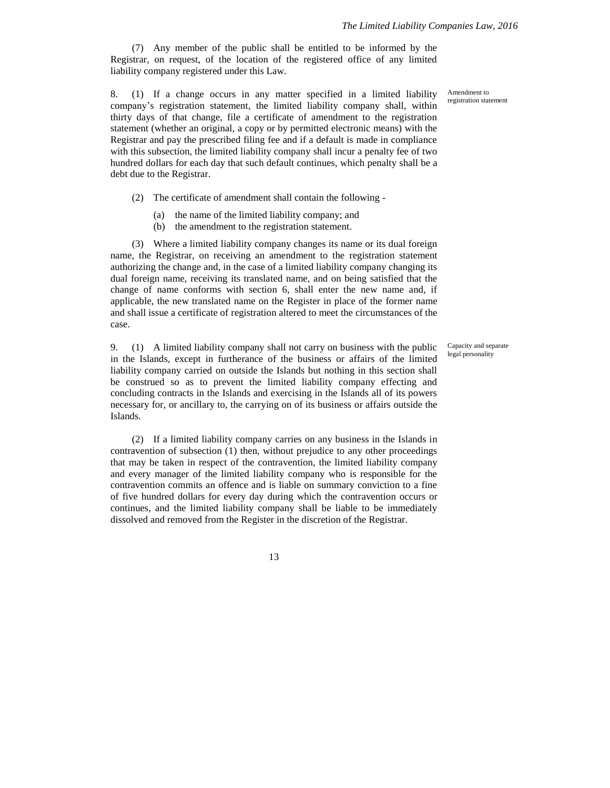(7) Any member of the public shall be entitled to be informed by the Registrar, on request, of the location of the registered office of any limited liability company registered under this Law.

8. (1) If a change occurs in any matter specified in a limited liability company's registration statement, the limited liability company shall, within thirty days of that change, file a certificate of amendment to the registration statement (whether an original, a copy or by permitted electronic means) with the Registrar and pay the prescribed filing fee and if a default is made in compliance with this subsection, the limited liability company shall incur a penalty fee of two hundred dollars for each day that such default continues, which penalty shall be a debt due to the Registrar.

- (2) The certificate of amendment shall contain the following
	- (a) the name of the limited liability company; and
	- (b) the amendment to the registration statement.

(3) Where a limited liability company changes its name or its dual foreign name, the Registrar, on receiving an amendment to the registration statement authorizing the change and, in the case of a limited liability company changing its dual foreign name, receiving its translated name, and on being satisfied that the change of name conforms with section 6, shall enter the new name and, if applicable, the new translated name on the Register in place of the former name and shall issue a certificate of registration altered to meet the circumstances of the case.

9. (1) A limited liability company shall not carry on business with the public in the Islands, except in furtherance of the business or affairs of the limited liability company carried on outside the Islands but nothing in this section shall be construed so as to prevent the limited liability company effecting and concluding contracts in the Islands and exercising in the Islands all of its powers necessary for, or ancillary to, the carrying on of its business or affairs outside the Islands.

(2) If a limited liability company carries on any business in the Islands in contravention of subsection (1) then, without prejudice to any other proceedings that may be taken in respect of the contravention, the limited liability company and every manager of the limited liability company who is responsible for the contravention commits an offence and is liable on summary conviction to a fine of five hundred dollars for every day during which the contravention occurs or continues, and the limited liability company shall be liable to be immediately dissolved and removed from the Register in the discretion of the Registrar.

13

Capacity and separate legal personality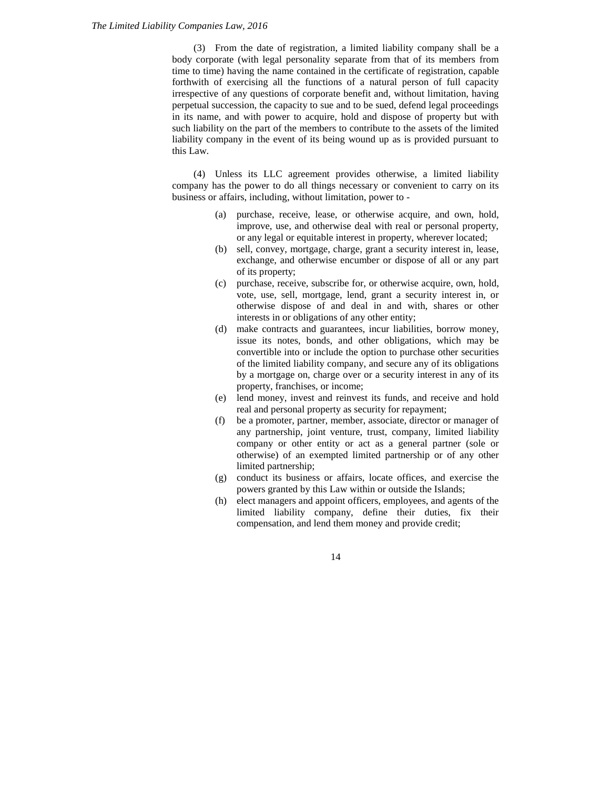(3) From the date of registration, a limited liability company shall be a body corporate (with legal personality separate from that of its members from time to time) having the name contained in the certificate of registration, capable forthwith of exercising all the functions of a natural person of full capacity irrespective of any questions of corporate benefit and, without limitation, having perpetual succession, the capacity to sue and to be sued, defend legal proceedings in its name, and with power to acquire, hold and dispose of property but with such liability on the part of the members to contribute to the assets of the limited liability company in the event of its being wound up as is provided pursuant to this Law.

(4) Unless its LLC agreement provides otherwise, a limited liability company has the power to do all things necessary or convenient to carry on its business or affairs, including, without limitation, power to -

- (a) purchase, receive, lease, or otherwise acquire, and own, hold, improve, use, and otherwise deal with real or personal property, or any legal or equitable interest in property, wherever located;
- (b) sell, convey, mortgage, charge, grant a security interest in, lease, exchange, and otherwise encumber or dispose of all or any part of its property;
- (c) purchase, receive, subscribe for, or otherwise acquire, own, hold, vote, use, sell, mortgage, lend, grant a security interest in, or otherwise dispose of and deal in and with, shares or other interests in or obligations of any other entity;
- (d) make contracts and guarantees, incur liabilities, borrow money, issue its notes, bonds, and other obligations, which may be convertible into or include the option to purchase other securities of the limited liability company, and secure any of its obligations by a mortgage on, charge over or a security interest in any of its property, franchises, or income;
- (e) lend money, invest and reinvest its funds, and receive and hold real and personal property as security for repayment;
- (f) be a promoter, partner, member, associate, director or manager of any partnership, joint venture, trust, company, limited liability company or other entity or act as a general partner (sole or otherwise) of an exempted limited partnership or of any other limited partnership;
- (g) conduct its business or affairs, locate offices, and exercise the powers granted by this Law within or outside the Islands;
- (h) elect managers and appoint officers, employees, and agents of the limited liability company, define their duties, fix their compensation, and lend them money and provide credit;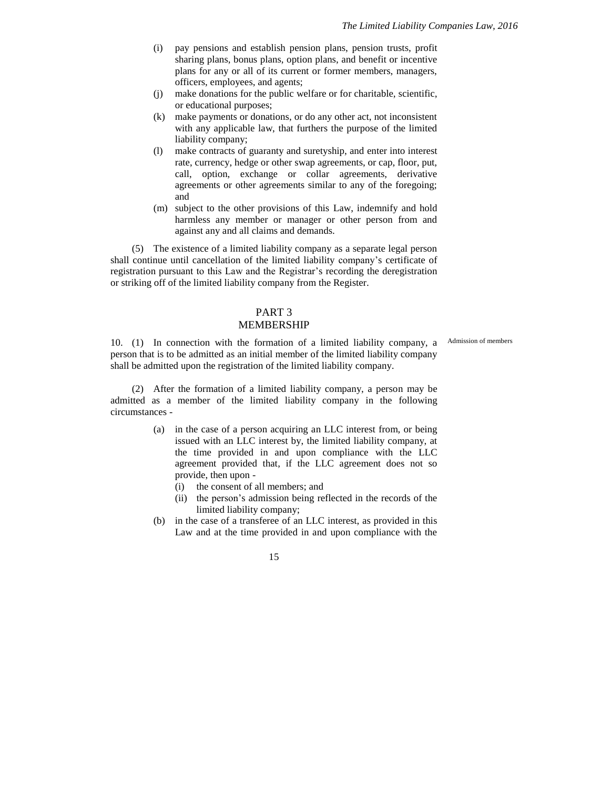- (i) pay pensions and establish pension plans, pension trusts, profit sharing plans, bonus plans, option plans, and benefit or incentive plans for any or all of its current or former members, managers, officers, employees, and agents;
- (j) make donations for the public welfare or for charitable, scientific, or educational purposes;
- (k) make payments or donations, or do any other act, not inconsistent with any applicable law, that furthers the purpose of the limited liability company;
- (l) make contracts of guaranty and suretyship, and enter into interest rate, currency, hedge or other swap agreements, or cap, floor, put, call, option, exchange or collar agreements, derivative agreements or other agreements similar to any of the foregoing; and
- (m) subject to the other provisions of this Law, indemnify and hold harmless any member or manager or other person from and against any and all claims and demands.

(5) The existence of a limited liability company as a separate legal person shall continue until cancellation of the limited liability company's certificate of registration pursuant to this Law and the Registrar's recording the deregistration or striking off of the limited liability company from the Register.

# PART 3

### MEMBERSHIP

Admission of members

10. (1) In connection with the formation of a limited liability company, a person that is to be admitted as an initial member of the limited liability company shall be admitted upon the registration of the limited liability company.

(2) After the formation of a limited liability company, a person may be admitted as a member of the limited liability company in the following circumstances -

- (a) in the case of a person acquiring an LLC interest from, or being issued with an LLC interest by, the limited liability company, at the time provided in and upon compliance with the LLC agreement provided that, if the LLC agreement does not so provide, then upon -
	- (i) the consent of all members; and
	- (ii) the person's admission being reflected in the records of the limited liability company;
- (b) in the case of a transferee of an LLC interest, as provided in this Law and at the time provided in and upon compliance with the

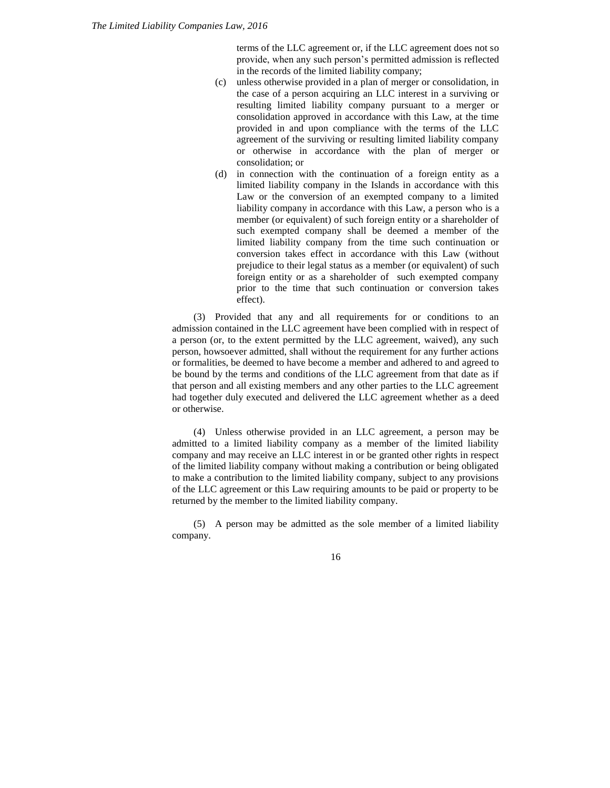terms of the LLC agreement or, if the LLC agreement does not so provide, when any such person's permitted admission is reflected in the records of the limited liability company;

- (c) unless otherwise provided in a plan of merger or consolidation, in the case of a person acquiring an LLC interest in a surviving or resulting limited liability company pursuant to a merger or consolidation approved in accordance with this Law, at the time provided in and upon compliance with the terms of the LLC agreement of the surviving or resulting limited liability company or otherwise in accordance with the plan of merger or consolidation; or
- (d) in connection with the continuation of a foreign entity as a limited liability company in the Islands in accordance with this Law or the conversion of an exempted company to a limited liability company in accordance with this Law, a person who is a member (or equivalent) of such foreign entity or a shareholder of such exempted company shall be deemed a member of the limited liability company from the time such continuation or conversion takes effect in accordance with this Law (without prejudice to their legal status as a member (or equivalent) of such foreign entity or as a shareholder of such exempted company prior to the time that such continuation or conversion takes effect).

(3) Provided that any and all requirements for or conditions to an admission contained in the LLC agreement have been complied with in respect of a person (or, to the extent permitted by the LLC agreement, waived), any such person, howsoever admitted, shall without the requirement for any further actions or formalities, be deemed to have become a member and adhered to and agreed to be bound by the terms and conditions of the LLC agreement from that date as if that person and all existing members and any other parties to the LLC agreement had together duly executed and delivered the LLC agreement whether as a deed or otherwise.

(4) Unless otherwise provided in an LLC agreement, a person may be admitted to a limited liability company as a member of the limited liability company and may receive an LLC interest in or be granted other rights in respect of the limited liability company without making a contribution or being obligated to make a contribution to the limited liability company, subject to any provisions of the LLC agreement or this Law requiring amounts to be paid or property to be returned by the member to the limited liability company.

(5) A person may be admitted as the sole member of a limited liability company.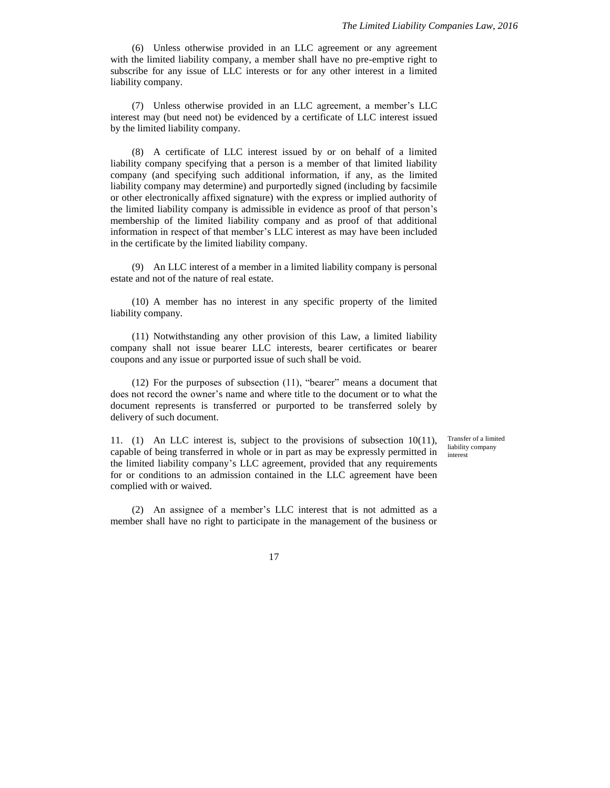(6) Unless otherwise provided in an LLC agreement or any agreement with the limited liability company, a member shall have no pre-emptive right to subscribe for any issue of LLC interests or for any other interest in a limited liability company.

(7) Unless otherwise provided in an LLC agreement, a member's LLC interest may (but need not) be evidenced by a certificate of LLC interest issued by the limited liability company.

(8) A certificate of LLC interest issued by or on behalf of a limited liability company specifying that a person is a member of that limited liability company (and specifying such additional information, if any, as the limited liability company may determine) and purportedly signed (including by facsimile or other electronically affixed signature) with the express or implied authority of the limited liability company is admissible in evidence as proof of that person's membership of the limited liability company and as proof of that additional information in respect of that member's LLC interest as may have been included in the certificate by the limited liability company.

(9) An LLC interest of a member in a limited liability company is personal estate and not of the nature of real estate.

(10) A member has no interest in any specific property of the limited liability company.

(11) Notwithstanding any other provision of this Law, a limited liability company shall not issue bearer LLC interests, bearer certificates or bearer coupons and any issue or purported issue of such shall be void.

(12) For the purposes of subsection (11), "bearer" means a document that does not record the owner's name and where title to the document or to what the document represents is transferred or purported to be transferred solely by delivery of such document.

11. (1) An LLC interest is, subject to the provisions of subsection 10(11), capable of being transferred in whole or in part as may be expressly permitted in the limited liability company's LLC agreement, provided that any requirements for or conditions to an admission contained in the LLC agreement have been complied with or waived.

Transfer of a limited liability company interest

(2) An assignee of a member's LLC interest that is not admitted as a member shall have no right to participate in the management of the business or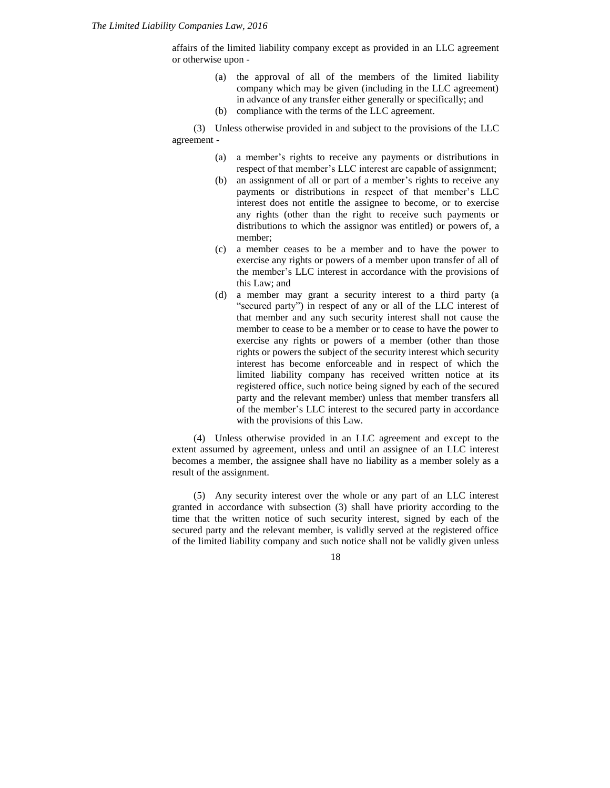affairs of the limited liability company except as provided in an LLC agreement or otherwise upon -

- (a) the approval of all of the members of the limited liability company which may be given (including in the LLC agreement) in advance of any transfer either generally or specifically; and
- (b) compliance with the terms of the LLC agreement.

(3) Unless otherwise provided in and subject to the provisions of the LLC agreement -

- (a) a member's rights to receive any payments or distributions in respect of that member's LLC interest are capable of assignment;
- (b) an assignment of all or part of a member's rights to receive any payments or distributions in respect of that member's LLC interest does not entitle the assignee to become, or to exercise any rights (other than the right to receive such payments or distributions to which the assignor was entitled) or powers of, a member;
- (c) a member ceases to be a member and to have the power to exercise any rights or powers of a member upon transfer of all of the member's LLC interest in accordance with the provisions of this Law; and
- (d) a member may grant a security interest to a third party (a "secured party") in respect of any or all of the LLC interest of that member and any such security interest shall not cause the member to cease to be a member or to cease to have the power to exercise any rights or powers of a member (other than those rights or powers the subject of the security interest which security interest has become enforceable and in respect of which the limited liability company has received written notice at its registered office, such notice being signed by each of the secured party and the relevant member) unless that member transfers all of the member's LLC interest to the secured party in accordance with the provisions of this Law.

(4) Unless otherwise provided in an LLC agreement and except to the extent assumed by agreement, unless and until an assignee of an LLC interest becomes a member, the assignee shall have no liability as a member solely as a result of the assignment.

(5) Any security interest over the whole or any part of an LLC interest granted in accordance with subsection (3) shall have priority according to the time that the written notice of such security interest, signed by each of the secured party and the relevant member, is validly served at the registered office of the limited liability company and such notice shall not be validly given unless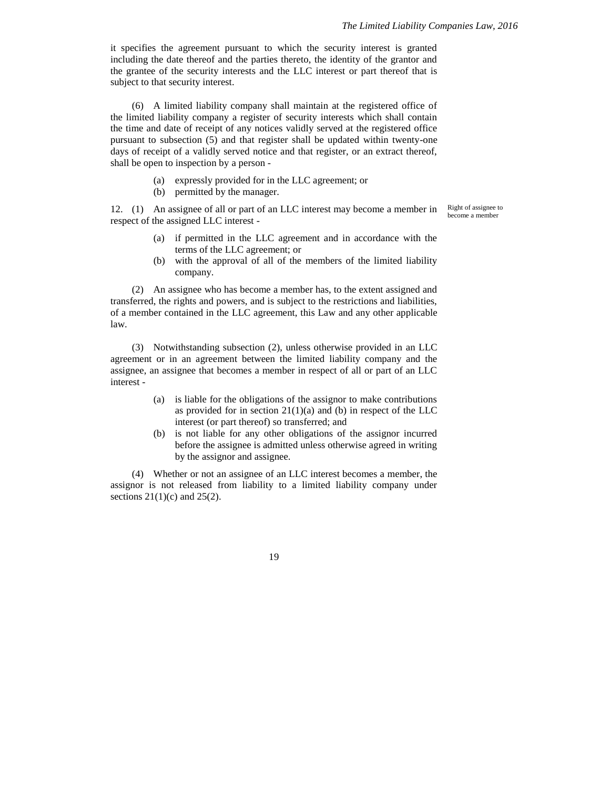it specifies the agreement pursuant to which the security interest is granted including the date thereof and the parties thereto, the identity of the grantor and the grantee of the security interests and the LLC interest or part thereof that is subject to that security interest.

(6) A limited liability company shall maintain at the registered office of the limited liability company a register of security interests which shall contain the time and date of receipt of any notices validly served at the registered office pursuant to subsection (5) and that register shall be updated within twenty-one days of receipt of a validly served notice and that register, or an extract thereof, shall be open to inspection by a person -

- (a) expressly provided for in the LLC agreement; or
- (b) permitted by the manager.

12. (1) An assignee of all or part of an LLC interest may become a member in respect of the assigned LLC interest -

Right of assignee to become a member

- (a) if permitted in the LLC agreement and in accordance with the terms of the LLC agreement; or
- (b) with the approval of all of the members of the limited liability company.

(2) An assignee who has become a member has, to the extent assigned and transferred, the rights and powers, and is subject to the restrictions and liabilities, of a member contained in the LLC agreement, this Law and any other applicable law.

(3) Notwithstanding subsection (2), unless otherwise provided in an LLC agreement or in an agreement between the limited liability company and the assignee, an assignee that becomes a member in respect of all or part of an LLC interest -

- (a) is liable for the obligations of the assignor to make contributions as provided for in section  $21(1)(a)$  and (b) in respect of the LLC interest (or part thereof) so transferred; and
- (b) is not liable for any other obligations of the assignor incurred before the assignee is admitted unless otherwise agreed in writing by the assignor and assignee.

(4) Whether or not an assignee of an LLC interest becomes a member, the assignor is not released from liability to a limited liability company under sections  $21(1)(c)$  and  $25(2)$ .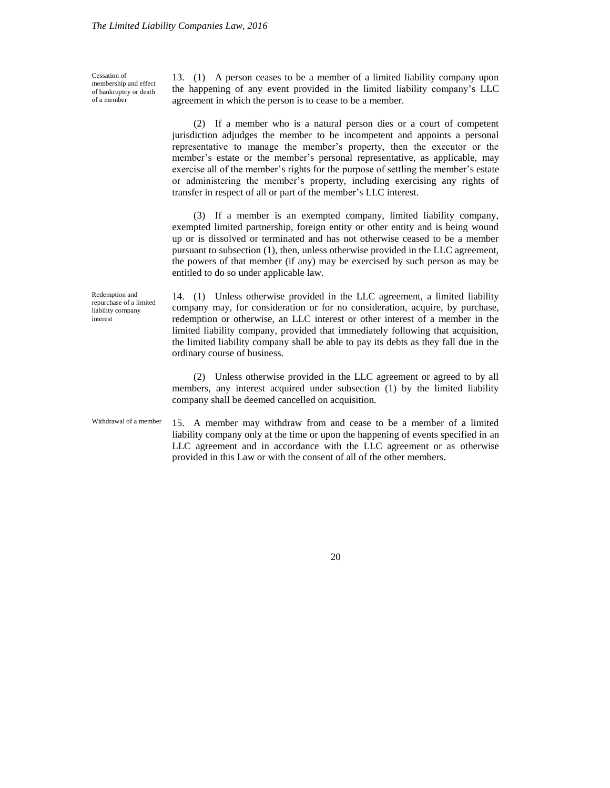Cessation of membership and effect of bankruptcy or death of a member

13. (1) A person ceases to be a member of a limited liability company upon the happening of any event provided in the limited liability company's LLC agreement in which the person is to cease to be a member.

(2) If a member who is a natural person dies or a court of competent jurisdiction adjudges the member to be incompetent and appoints a personal representative to manage the member's property, then the executor or the member's estate or the member's personal representative, as applicable, may exercise all of the member's rights for the purpose of settling the member's estate or administering the member's property, including exercising any rights of transfer in respect of all or part of the member's LLC interest.

(3) If a member is an exempted company, limited liability company, exempted limited partnership, foreign entity or other entity and is being wound up or is dissolved or terminated and has not otherwise ceased to be a member pursuant to subsection (1), then, unless otherwise provided in the LLC agreement, the powers of that member (if any) may be exercised by such person as may be entitled to do so under applicable law.

14. (1) Unless otherwise provided in the LLC agreement, a limited liability company may, for consideration or for no consideration, acquire, by purchase, redemption or otherwise, an LLC interest or other interest of a member in the limited liability company, provided that immediately following that acquisition, the limited liability company shall be able to pay its debts as they fall due in the ordinary course of business.

(2) Unless otherwise provided in the LLC agreement or agreed to by all members, any interest acquired under subsection (1) by the limited liability company shall be deemed cancelled on acquisition.

Withdrawal of a member

Redemption and repurchase of a limited liability company interest

> 15. A member may withdraw from and cease to be a member of a limited liability company only at the time or upon the happening of events specified in an LLC agreement and in accordance with the LLC agreement or as otherwise provided in this Law or with the consent of all of the other members.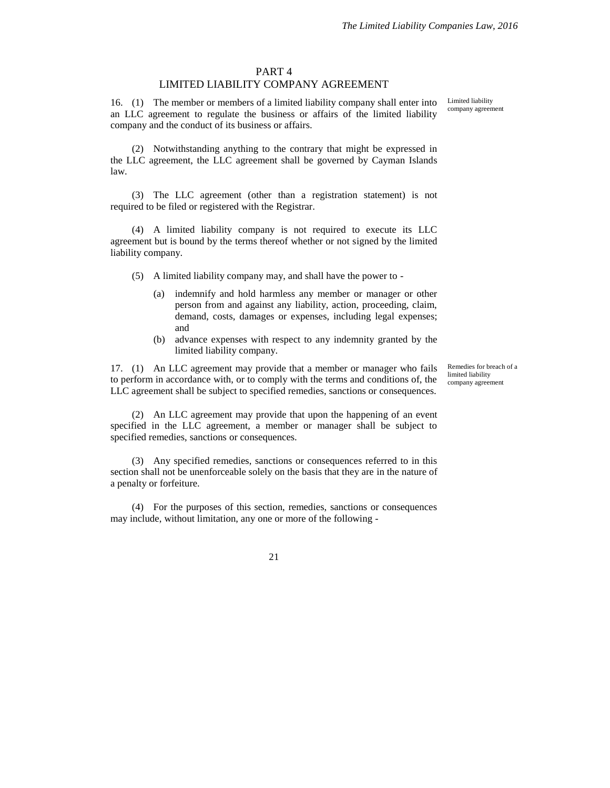#### PART 4

#### LIMITED LIABILITY COMPANY AGREEMENT

16. (1) The member or members of a limited liability company shall enter into an LLC agreement to regulate the business or affairs of the limited liability company and the conduct of its business or affairs.

(2) Notwithstanding anything to the contrary that might be expressed in the LLC agreement, the LLC agreement shall be governed by Cayman Islands law.

(3) The LLC agreement (other than a registration statement) is not required to be filed or registered with the Registrar.

(4) A limited liability company is not required to execute its LLC agreement but is bound by the terms thereof whether or not signed by the limited liability company.

- (5) A limited liability company may, and shall have the power to
	- (a) indemnify and hold harmless any member or manager or other person from and against any liability, action, proceeding, claim, demand, costs, damages or expenses, including legal expenses; and
	- (b) advance expenses with respect to any indemnity granted by the limited liability company.

17. (1) An LLC agreement may provide that a member or manager who fails to perform in accordance with, or to comply with the terms and conditions of, the LLC agreement shall be subject to specified remedies, sanctions or consequences.

Remedies for breach of a limited liability company agreement

(2) An LLC agreement may provide that upon the happening of an event specified in the LLC agreement, a member or manager shall be subject to specified remedies, sanctions or consequences.

(3) Any specified remedies, sanctions or consequences referred to in this section shall not be unenforceable solely on the basis that they are in the nature of a penalty or forfeiture.

(4) For the purposes of this section, remedies, sanctions or consequences may include, without limitation, any one or more of the following -

21

Limited liability company agreement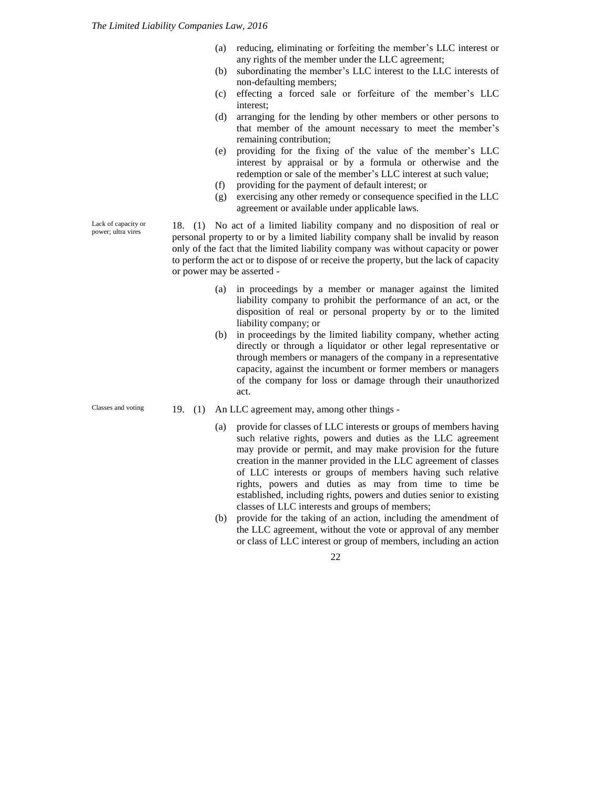- (a) reducing, eliminating or forfeiting the member's LLC interest or any rights of the member under the LLC agreement;
- (b) subordinating the member's LLC interest to the LLC interests of non-defaulting members;
- (c) effecting a forced sale or forfeiture of the member's LLC interest;
- (d) arranging for the lending by other members or other persons to that member of the amount necessary to meet the member's remaining contribution;
- (e) providing for the fixing of the value of the member's LLC interest by appraisal or by a formula or otherwise and the redemption or sale of the member's LLC interest at such value;
- (f) providing for the payment of default interest; or
- (g) exercising any other remedy or consequence specified in the LLC agreement or available under applicable laws.

18. (1) No act of a limited liability company and no disposition of real or personal property to or by a limited liability company shall be invalid by reason only of the fact that the limited liability company was without capacity or power to perform the act or to dispose of or receive the property, but the lack of capacity or power may be asserted -

- (a) in proceedings by a member or manager against the limited liability company to prohibit the performance of an act, or the disposition of real or personal property by or to the limited liability company; or
- (b) in proceedings by the limited liability company, whether acting directly or through a liquidator or other legal representative or through members or managers of the company in a representative capacity, against the incumbent or former members or managers of the company for loss or damage through their unauthorized act.
- 19. (1) An LLC agreement may, among other things
	- (a) provide for classes of LLC interests or groups of members having such relative rights, powers and duties as the LLC agreement may provide or permit, and may make provision for the future creation in the manner provided in the LLC agreement of classes of LLC interests or groups of members having such relative rights, powers and duties as may from time to time be established, including rights, powers and duties senior to existing classes of LLC interests and groups of members;
	- (b) provide for the taking of an action, including the amendment of the LLC agreement, without the vote or approval of any member or class of LLC interest or group of members, including an action

22

Lack of capacity or power; ultra vires

Classes and voting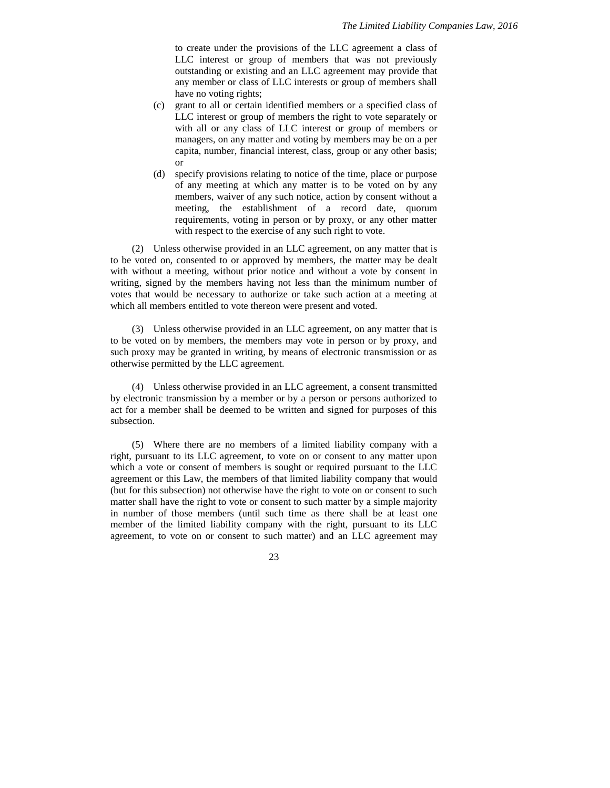to create under the provisions of the LLC agreement a class of LLC interest or group of members that was not previously outstanding or existing and an LLC agreement may provide that any member or class of LLC interests or group of members shall have no voting rights;

- (c) grant to all or certain identified members or a specified class of LLC interest or group of members the right to vote separately or with all or any class of LLC interest or group of members or managers, on any matter and voting by members may be on a per capita, number, financial interest, class, group or any other basis; or
- (d) specify provisions relating to notice of the time, place or purpose of any meeting at which any matter is to be voted on by any members, waiver of any such notice, action by consent without a meeting, the establishment of a record date, quorum requirements, voting in person or by proxy, or any other matter with respect to the exercise of any such right to vote.

(2) Unless otherwise provided in an LLC agreement, on any matter that is to be voted on, consented to or approved by members, the matter may be dealt with without a meeting, without prior notice and without a vote by consent in writing, signed by the members having not less than the minimum number of votes that would be necessary to authorize or take such action at a meeting at which all members entitled to vote thereon were present and voted.

(3) Unless otherwise provided in an LLC agreement, on any matter that is to be voted on by members, the members may vote in person or by proxy, and such proxy may be granted in writing, by means of electronic transmission or as otherwise permitted by the LLC agreement.

(4) Unless otherwise provided in an LLC agreement, a consent transmitted by electronic transmission by a member or by a person or persons authorized to act for a member shall be deemed to be written and signed for purposes of this subsection.

(5) Where there are no members of a limited liability company with a right, pursuant to its LLC agreement, to vote on or consent to any matter upon which a vote or consent of members is sought or required pursuant to the LLC agreement or this Law, the members of that limited liability company that would (but for this subsection) not otherwise have the right to vote on or consent to such matter shall have the right to vote or consent to such matter by a simple majority in number of those members (until such time as there shall be at least one member of the limited liability company with the right, pursuant to its LLC agreement, to vote on or consent to such matter) and an LLC agreement may

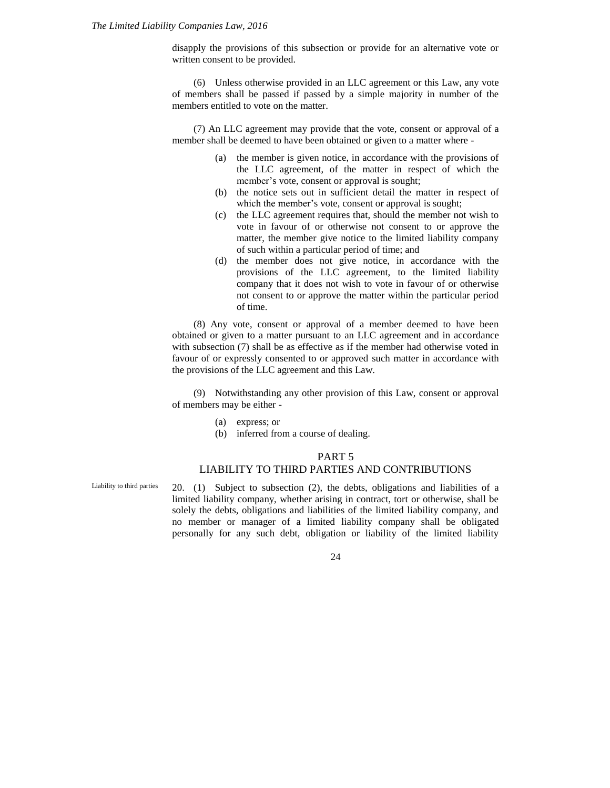disapply the provisions of this subsection or provide for an alternative vote or written consent to be provided.

(6) Unless otherwise provided in an LLC agreement or this Law, any vote of members shall be passed if passed by a simple majority in number of the members entitled to vote on the matter.

(7) An LLC agreement may provide that the vote, consent or approval of a member shall be deemed to have been obtained or given to a matter where -

- (a) the member is given notice, in accordance with the provisions of the LLC agreement, of the matter in respect of which the member's vote, consent or approval is sought;
- (b) the notice sets out in sufficient detail the matter in respect of which the member's vote, consent or approval is sought;
- (c) the LLC agreement requires that, should the member not wish to vote in favour of or otherwise not consent to or approve the matter, the member give notice to the limited liability company of such within a particular period of time; and
- (d) the member does not give notice, in accordance with the provisions of the LLC agreement, to the limited liability company that it does not wish to vote in favour of or otherwise not consent to or approve the matter within the particular period of time.

(8) Any vote, consent or approval of a member deemed to have been obtained or given to a matter pursuant to an LLC agreement and in accordance with subsection (7) shall be as effective as if the member had otherwise voted in favour of or expressly consented to or approved such matter in accordance with the provisions of the LLC agreement and this Law.

(9) Notwithstanding any other provision of this Law, consent or approval of members may be either -

- (a) express; or
- (b) inferred from a course of dealing.

#### PART 5

#### LIABILITY TO THIRD PARTIES AND CONTRIBUTIONS

20. (1) Subject to subsection (2), the debts, obligations and liabilities of a limited liability company, whether arising in contract, tort or otherwise, shall be solely the debts, obligations and liabilities of the limited liability company, and no member or manager of a limited liability company shall be obligated personally for any such debt, obligation or liability of the limited liability Liability to third parties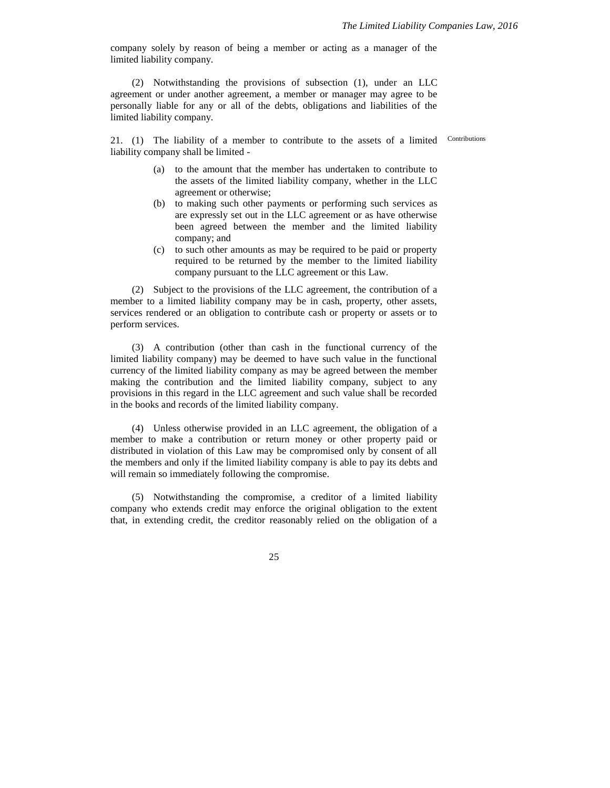company solely by reason of being a member or acting as a manager of the limited liability company.

(2) Notwithstanding the provisions of subsection (1), under an LLC agreement or under another agreement, a member or manager may agree to be personally liable for any or all of the debts, obligations and liabilities of the limited liability company.

21. (1) The liability of a member to contribute to the assets of a limited liability company shall be limited -

Contributions

- (a) to the amount that the member has undertaken to contribute to the assets of the limited liability company, whether in the LLC agreement or otherwise;
- (b) to making such other payments or performing such services as are expressly set out in the LLC agreement or as have otherwise been agreed between the member and the limited liability company; and
- (c) to such other amounts as may be required to be paid or property required to be returned by the member to the limited liability company pursuant to the LLC agreement or this Law.

(2) Subject to the provisions of the LLC agreement, the contribution of a member to a limited liability company may be in cash, property, other assets, services rendered or an obligation to contribute cash or property or assets or to perform services.

(3) A contribution (other than cash in the functional currency of the limited liability company) may be deemed to have such value in the functional currency of the limited liability company as may be agreed between the member making the contribution and the limited liability company, subject to any provisions in this regard in the LLC agreement and such value shall be recorded in the books and records of the limited liability company.

(4) Unless otherwise provided in an LLC agreement, the obligation of a member to make a contribution or return money or other property paid or distributed in violation of this Law may be compromised only by consent of all the members and only if the limited liability company is able to pay its debts and will remain so immediately following the compromise.

(5) Notwithstanding the compromise, a creditor of a limited liability company who extends credit may enforce the original obligation to the extent that, in extending credit, the creditor reasonably relied on the obligation of a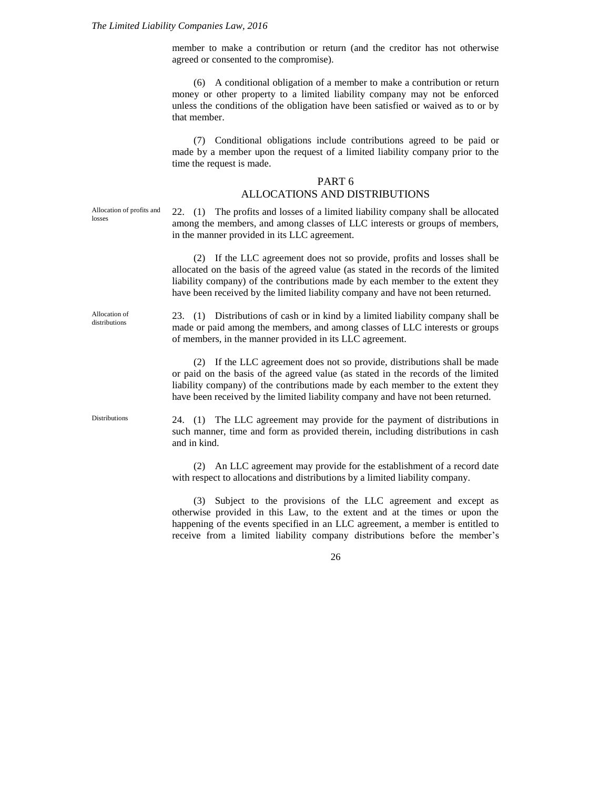member to make a contribution or return (and the creditor has not otherwise agreed or consented to the compromise).

(6) A conditional obligation of a member to make a contribution or return money or other property to a limited liability company may not be enforced unless the conditions of the obligation have been satisfied or waived as to or by that member.

(7) Conditional obligations include contributions agreed to be paid or made by a member upon the request of a limited liability company prior to the time the request is made.

#### PART 6

#### ALLOCATIONS AND DISTRIBUTIONS

Allocation of profits and losses

22. (1) The profits and losses of a limited liability company shall be allocated among the members, and among classes of LLC interests or groups of members, in the manner provided in its LLC agreement.

(2) If the LLC agreement does not so provide, profits and losses shall be allocated on the basis of the agreed value (as stated in the records of the limited liability company) of the contributions made by each member to the extent they have been received by the limited liability company and have not been returned.

Allocation of distributions

23. (1) Distributions of cash or in kind by a limited liability company shall be made or paid among the members, and among classes of LLC interests or groups of members, in the manner provided in its LLC agreement.

(2) If the LLC agreement does not so provide, distributions shall be made or paid on the basis of the agreed value (as stated in the records of the limited liability company) of the contributions made by each member to the extent they have been received by the limited liability company and have not been returned.

Distributions

24. (1) The LLC agreement may provide for the payment of distributions in such manner, time and form as provided therein, including distributions in cash and in kind.

(2) An LLC agreement may provide for the establishment of a record date with respect to allocations and distributions by a limited liability company.

(3) Subject to the provisions of the LLC agreement and except as otherwise provided in this Law, to the extent and at the times or upon the happening of the events specified in an LLC agreement, a member is entitled to receive from a limited liability company distributions before the member's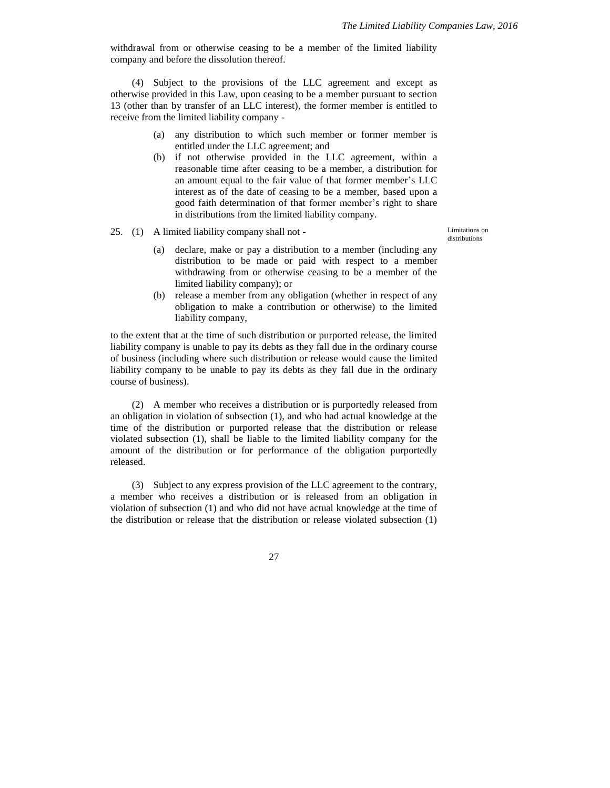withdrawal from or otherwise ceasing to be a member of the limited liability company and before the dissolution thereof.

(4) Subject to the provisions of the LLC agreement and except as otherwise provided in this Law, upon ceasing to be a member pursuant to section 13 (other than by transfer of an LLC interest), the former member is entitled to receive from the limited liability company -

- (a) any distribution to which such member or former member is entitled under the LLC agreement; and
- (b) if not otherwise provided in the LLC agreement, within a reasonable time after ceasing to be a member, a distribution for an amount equal to the fair value of that former member's LLC interest as of the date of ceasing to be a member, based upon a good faith determination of that former member's right to share in distributions from the limited liability company.
- 25. (1) A limited liability company shall not -

Limitations on distributions

- (a) declare, make or pay a distribution to a member (including any distribution to be made or paid with respect to a member withdrawing from or otherwise ceasing to be a member of the limited liability company); or
- (b) release a member from any obligation (whether in respect of any obligation to make a contribution or otherwise) to the limited liability company,

to the extent that at the time of such distribution or purported release, the limited liability company is unable to pay its debts as they fall due in the ordinary course of business (including where such distribution or release would cause the limited liability company to be unable to pay its debts as they fall due in the ordinary course of business).

(2) A member who receives a distribution or is purportedly released from an obligation in violation of subsection (1), and who had actual knowledge at the time of the distribution or purported release that the distribution or release violated subsection (1), shall be liable to the limited liability company for the amount of the distribution or for performance of the obligation purportedly released.

(3) Subject to any express provision of the LLC agreement to the contrary, a member who receives a distribution or is released from an obligation in violation of subsection (1) and who did not have actual knowledge at the time of the distribution or release that the distribution or release violated subsection (1)

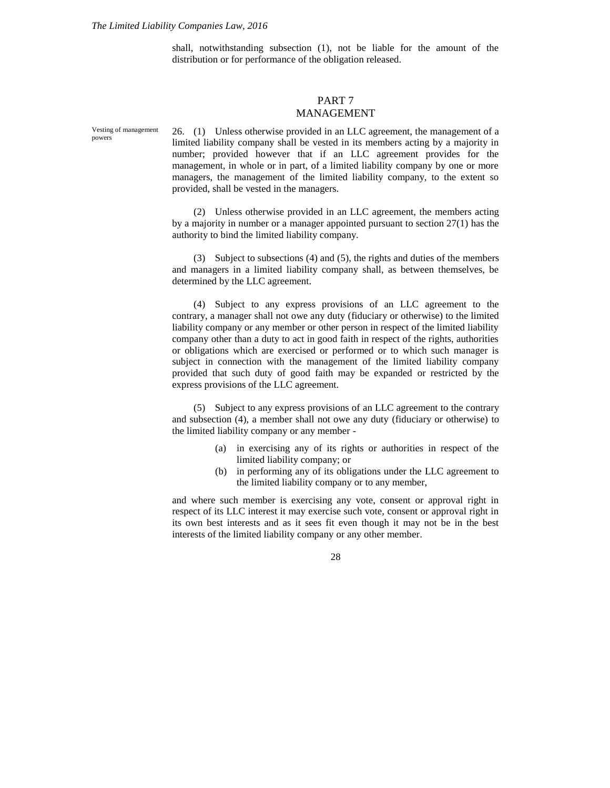shall, notwithstanding subsection (1), not be liable for the amount of the distribution or for performance of the obligation released.

#### PART 7 MANAGEMENT

Vesting of management powers

26. (1) Unless otherwise provided in an LLC agreement, the management of a limited liability company shall be vested in its members acting by a majority in number; provided however that if an LLC agreement provides for the management, in whole or in part, of a limited liability company by one or more managers, the management of the limited liability company, to the extent so provided, shall be vested in the managers.

(2) Unless otherwise provided in an LLC agreement, the members acting by a majority in number or a manager appointed pursuant to section 27(1) has the authority to bind the limited liability company.

(3) Subject to subsections (4) and (5), the rights and duties of the members and managers in a limited liability company shall, as between themselves, be determined by the LLC agreement.

(4) Subject to any express provisions of an LLC agreement to the contrary, a manager shall not owe any duty (fiduciary or otherwise) to the limited liability company or any member or other person in respect of the limited liability company other than a duty to act in good faith in respect of the rights, authorities or obligations which are exercised or performed or to which such manager is subject in connection with the management of the limited liability company provided that such duty of good faith may be expanded or restricted by the express provisions of the LLC agreement.

(5) Subject to any express provisions of an LLC agreement to the contrary and subsection (4), a member shall not owe any duty (fiduciary or otherwise) to the limited liability company or any member -

- (a) in exercising any of its rights or authorities in respect of the limited liability company; or
- (b) in performing any of its obligations under the LLC agreement to the limited liability company or to any member,

and where such member is exercising any vote, consent or approval right in respect of its LLC interest it may exercise such vote, consent or approval right in its own best interests and as it sees fit even though it may not be in the best interests of the limited liability company or any other member.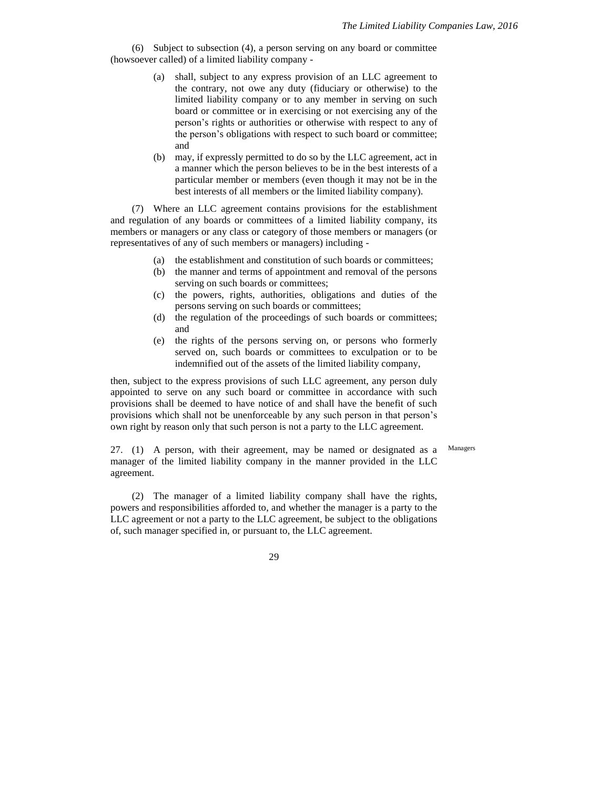(6) Subject to subsection (4), a person serving on any board or committee (howsoever called) of a limited liability company -

- (a) shall, subject to any express provision of an LLC agreement to the contrary, not owe any duty (fiduciary or otherwise) to the limited liability company or to any member in serving on such board or committee or in exercising or not exercising any of the person's rights or authorities or otherwise with respect to any of the person's obligations with respect to such board or committee; and
- (b) may, if expressly permitted to do so by the LLC agreement, act in a manner which the person believes to be in the best interests of a particular member or members (even though it may not be in the best interests of all members or the limited liability company).

(7) Where an LLC agreement contains provisions for the establishment and regulation of any boards or committees of a limited liability company, its members or managers or any class or category of those members or managers (or representatives of any of such members or managers) including -

- (a) the establishment and constitution of such boards or committees;
- (b) the manner and terms of appointment and removal of the persons serving on such boards or committees;
- (c) the powers, rights, authorities, obligations and duties of the persons serving on such boards or committees;
- (d) the regulation of the proceedings of such boards or committees; and
- (e) the rights of the persons serving on, or persons who formerly served on, such boards or committees to exculpation or to be indemnified out of the assets of the limited liability company,

then, subject to the express provisions of such LLC agreement, any person duly appointed to serve on any such board or committee in accordance with such provisions shall be deemed to have notice of and shall have the benefit of such provisions which shall not be unenforceable by any such person in that person's own right by reason only that such person is not a party to the LLC agreement.

Managers

27. (1) A person, with their agreement, may be named or designated as a manager of the limited liability company in the manner provided in the LLC agreement.

(2) The manager of a limited liability company shall have the rights, powers and responsibilities afforded to, and whether the manager is a party to the LLC agreement or not a party to the LLC agreement, be subject to the obligations of, such manager specified in, or pursuant to, the LLC agreement.

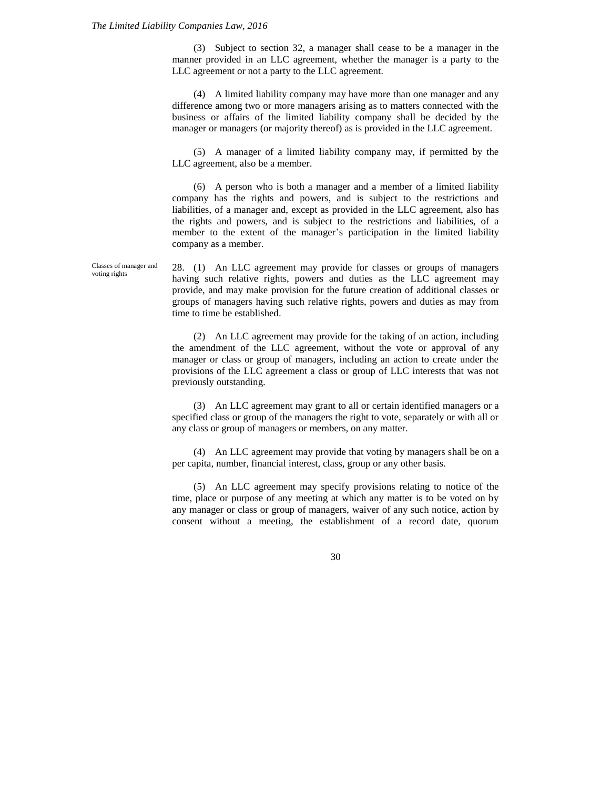#### *The Limited Liability Companies Law, 2016*

(3) Subject to section 32, a manager shall cease to be a manager in the manner provided in an LLC agreement, whether the manager is a party to the LLC agreement or not a party to the LLC agreement.

(4) A limited liability company may have more than one manager and any difference among two or more managers arising as to matters connected with the business or affairs of the limited liability company shall be decided by the manager or managers (or majority thereof) as is provided in the LLC agreement.

(5) A manager of a limited liability company may, if permitted by the LLC agreement, also be a member.

(6) A person who is both a manager and a member of a limited liability company has the rights and powers, and is subject to the restrictions and liabilities, of a manager and, except as provided in the LLC agreement, also has the rights and powers, and is subject to the restrictions and liabilities, of a member to the extent of the manager's participation in the limited liability company as a member.

28. (1) An LLC agreement may provide for classes or groups of managers having such relative rights, powers and duties as the LLC agreement may provide, and may make provision for the future creation of additional classes or groups of managers having such relative rights, powers and duties as may from time to time be established. Classes of manager and voting rights

> (2) An LLC agreement may provide for the taking of an action, including the amendment of the LLC agreement, without the vote or approval of any manager or class or group of managers, including an action to create under the provisions of the LLC agreement a class or group of LLC interests that was not previously outstanding.

> (3) An LLC agreement may grant to all or certain identified managers or a specified class or group of the managers the right to vote, separately or with all or any class or group of managers or members, on any matter.

> (4) An LLC agreement may provide that voting by managers shall be on a per capita, number, financial interest, class, group or any other basis.

> (5) An LLC agreement may specify provisions relating to notice of the time, place or purpose of any meeting at which any matter is to be voted on by any manager or class or group of managers, waiver of any such notice, action by consent without a meeting, the establishment of a record date, quorum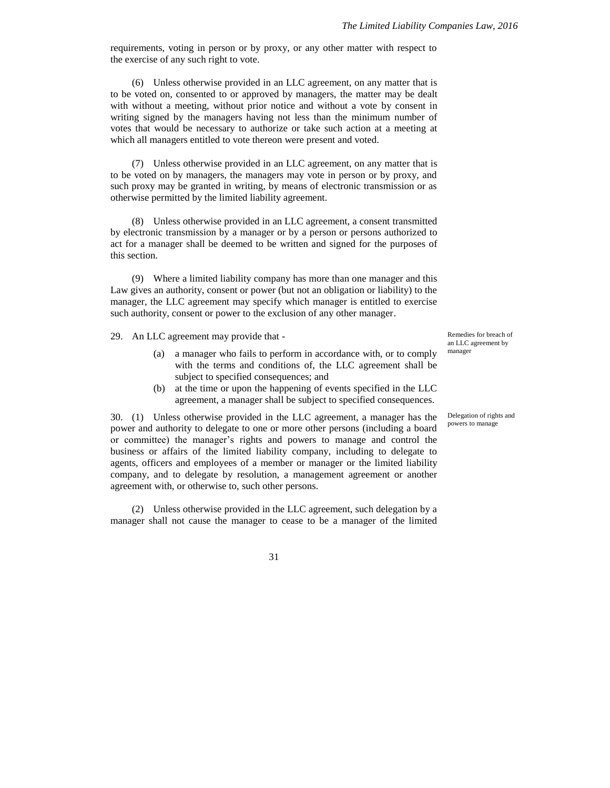requirements, voting in person or by proxy, or any other matter with respect to the exercise of any such right to vote.

(6) Unless otherwise provided in an LLC agreement, on any matter that is to be voted on, consented to or approved by managers, the matter may be dealt with without a meeting, without prior notice and without a vote by consent in writing signed by the managers having not less than the minimum number of votes that would be necessary to authorize or take such action at a meeting at which all managers entitled to vote thereon were present and voted.

(7) Unless otherwise provided in an LLC agreement, on any matter that is to be voted on by managers, the managers may vote in person or by proxy, and such proxy may be granted in writing, by means of electronic transmission or as otherwise permitted by the limited liability agreement.

(8) Unless otherwise provided in an LLC agreement, a consent transmitted by electronic transmission by a manager or by a person or persons authorized to act for a manager shall be deemed to be written and signed for the purposes of this section.

(9) Where a limited liability company has more than one manager and this Law gives an authority, consent or power (but not an obligation or liability) to the manager, the LLC agreement may specify which manager is entitled to exercise such authority, consent or power to the exclusion of any other manager.

29. An LLC agreement may provide that -

- (a) a manager who fails to perform in accordance with, or to comply with the terms and conditions of, the LLC agreement shall be subject to specified consequences; and
- (b) at the time or upon the happening of events specified in the LLC agreement, a manager shall be subject to specified consequences.

30. (1) Unless otherwise provided in the LLC agreement, a manager has the power and authority to delegate to one or more other persons (including a board or committee) the manager's rights and powers to manage and control the business or affairs of the limited liability company, including to delegate to agents, officers and employees of a member or manager or the limited liability company, and to delegate by resolution, a management agreement or another agreement with, or otherwise to, such other persons.

(2) Unless otherwise provided in the LLC agreement, such delegation by a manager shall not cause the manager to cease to be a manager of the limited Remedies for breach of an LLC agreement by manager

Delegation of rights and powers to manage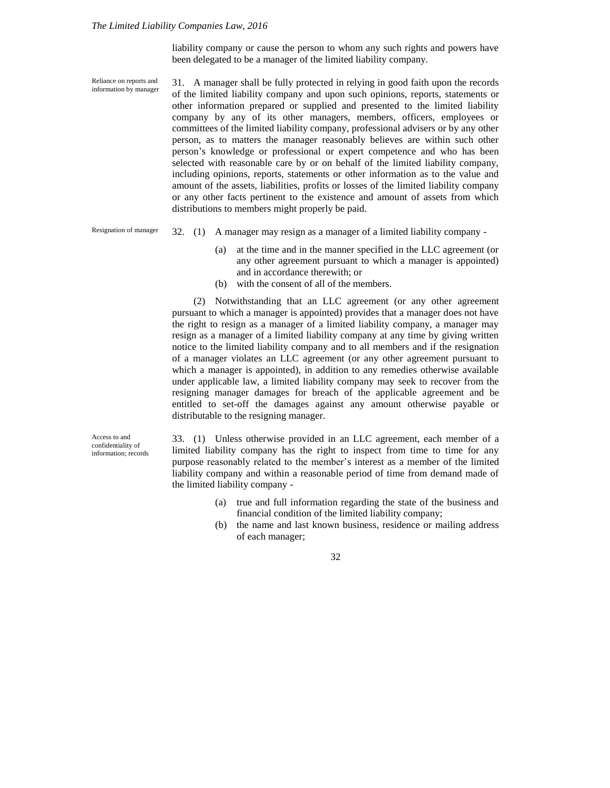liability company or cause the person to whom any such rights and powers have been delegated to be a manager of the limited liability company.

31. A manager shall be fully protected in relying in good faith upon the records of the limited liability company and upon such opinions, reports, statements or other information prepared or supplied and presented to the limited liability company by any of its other managers, members, officers, employees or committees of the limited liability company, professional advisers or by any other person, as to matters the manager reasonably believes are within such other person's knowledge or professional or expert competence and who has been selected with reasonable care by or on behalf of the limited liability company, including opinions, reports, statements or other information as to the value and amount of the assets, liabilities, profits or losses of the limited liability company or any other facts pertinent to the existence and amount of assets from which distributions to members might properly be paid. Reliance on reports and information by manager

32. (1) A manager may resign as a manager of a limited liability company - Resignation of manager

- (a) at the time and in the manner specified in the LLC agreement (or any other agreement pursuant to which a manager is appointed) and in accordance therewith; or
- (b) with the consent of all of the members.

(2) Notwithstanding that an LLC agreement (or any other agreement pursuant to which a manager is appointed) provides that a manager does not have the right to resign as a manager of a limited liability company, a manager may resign as a manager of a limited liability company at any time by giving written notice to the limited liability company and to all members and if the resignation of a manager violates an LLC agreement (or any other agreement pursuant to which a manager is appointed), in addition to any remedies otherwise available under applicable law, a limited liability company may seek to recover from the resigning manager damages for breach of the applicable agreement and be entitled to set-off the damages against any amount otherwise payable or distributable to the resigning manager.

Access to and confidentiality of information; records

33. (1) Unless otherwise provided in an LLC agreement, each member of a limited liability company has the right to inspect from time to time for any purpose reasonably related to the member's interest as a member of the limited liability company and within a reasonable period of time from demand made of the limited liability company -

- (a) true and full information regarding the state of the business and financial condition of the limited liability company;
- (b) the name and last known business, residence or mailing address of each manager;

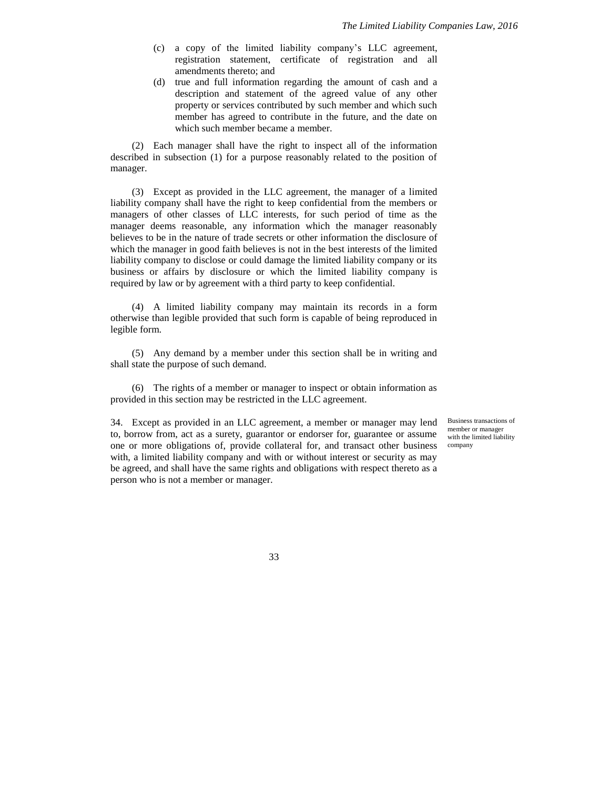- (c) a copy of the limited liability company's LLC agreement, registration statement, certificate of registration and all amendments thereto; and
- (d) true and full information regarding the amount of cash and a description and statement of the agreed value of any other property or services contributed by such member and which such member has agreed to contribute in the future, and the date on which such member became a member.

(2) Each manager shall have the right to inspect all of the information described in subsection (1) for a purpose reasonably related to the position of manager.

(3) Except as provided in the LLC agreement, the manager of a limited liability company shall have the right to keep confidential from the members or managers of other classes of LLC interests, for such period of time as the manager deems reasonable, any information which the manager reasonably believes to be in the nature of trade secrets or other information the disclosure of which the manager in good faith believes is not in the best interests of the limited liability company to disclose or could damage the limited liability company or its business or affairs by disclosure or which the limited liability company is required by law or by agreement with a third party to keep confidential.

(4) A limited liability company may maintain its records in a form otherwise than legible provided that such form is capable of being reproduced in legible form.

(5) Any demand by a member under this section shall be in writing and shall state the purpose of such demand.

(6) The rights of a member or manager to inspect or obtain information as provided in this section may be restricted in the LLC agreement.

34. Except as provided in an LLC agreement, a member or manager may lend to, borrow from, act as a surety, guarantor or endorser for, guarantee or assume one or more obligations of, provide collateral for, and transact other business with, a limited liability company and with or without interest or security as may be agreed, and shall have the same rights and obligations with respect thereto as a person who is not a member or manager.

Business transactions of member or manager with the limited liability company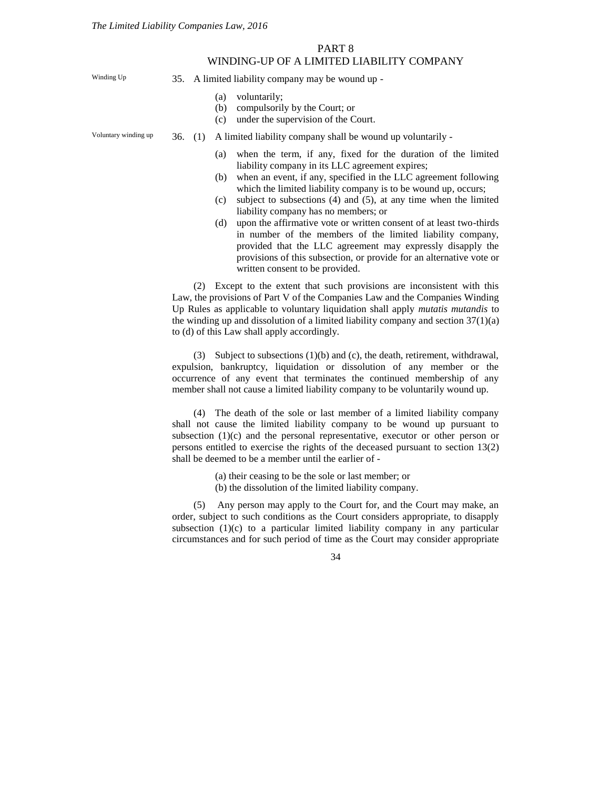### PART 8 WINDING-UP OF A LIMITED LIABILITY COMPANY

Winding Up

35. A limited liability company may be wound up -

- (a) voluntarily;
- (b) compulsorily by the Court; or
- (c) under the supervision of the Court.

Voluntary winding up

36. (1) A limited liability company shall be wound up voluntarily -

- (a) when the term, if any, fixed for the duration of the limited liability company in its LLC agreement expires;
- (b) when an event, if any, specified in the LLC agreement following which the limited liability company is to be wound up, occurs;
- (c) subject to subsections (4) and (5), at any time when the limited liability company has no members; or
- (d) upon the affirmative vote or written consent of at least two-thirds in number of the members of the limited liability company, provided that the LLC agreement may expressly disapply the provisions of this subsection, or provide for an alternative vote or written consent to be provided.

(2) Except to the extent that such provisions are inconsistent with this Law, the provisions of Part V of the Companies Law and the Companies Winding Up Rules as applicable to voluntary liquidation shall apply *mutatis mutandis* to the winding up and dissolution of a limited liability company and section  $37(1)(a)$ to (d) of this Law shall apply accordingly.

(3) Subject to subsections (1)(b) and (c), the death, retirement, withdrawal, expulsion, bankruptcy, liquidation or dissolution of any member or the occurrence of any event that terminates the continued membership of any member shall not cause a limited liability company to be voluntarily wound up.

(4) The death of the sole or last member of a limited liability company shall not cause the limited liability company to be wound up pursuant to subsection  $(1)(c)$  and the personal representative, executor or other person or persons entitled to exercise the rights of the deceased pursuant to section 13(2) shall be deemed to be a member until the earlier of -

- (a) their ceasing to be the sole or last member; or
- (b) the dissolution of the limited liability company.

(5) Any person may apply to the Court for, and the Court may make, an order, subject to such conditions as the Court considers appropriate, to disapply subsection  $(1)(c)$  to a particular limited liability company in any particular circumstances and for such period of time as the Court may consider appropriate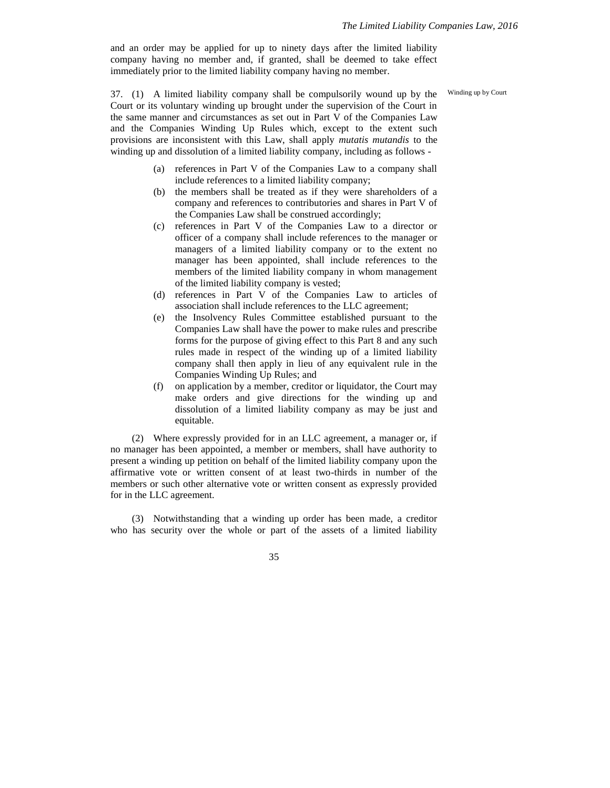and an order may be applied for up to ninety days after the limited liability company having no member and, if granted, shall be deemed to take effect immediately prior to the limited liability company having no member.

Winding up by Court

37. (1) A limited liability company shall be compulsorily wound up by the Court or its voluntary winding up brought under the supervision of the Court in the same manner and circumstances as set out in Part V of the Companies Law and the Companies Winding Up Rules which, except to the extent such provisions are inconsistent with this Law, shall apply *mutatis mutandis* to the winding up and dissolution of a limited liability company, including as follows -

- (a) references in Part V of the Companies Law to a company shall include references to a limited liability company;
- (b) the members shall be treated as if they were shareholders of a company and references to contributories and shares in Part V of the Companies Law shall be construed accordingly;
- (c) references in Part V of the Companies Law to a director or officer of a company shall include references to the manager or managers of a limited liability company or to the extent no manager has been appointed, shall include references to the members of the limited liability company in whom management of the limited liability company is vested;
- (d) references in Part V of the Companies Law to articles of association shall include references to the LLC agreement;
- (e) the Insolvency Rules Committee established pursuant to the Companies Law shall have the power to make rules and prescribe forms for the purpose of giving effect to this Part 8 and any such rules made in respect of the winding up of a limited liability company shall then apply in lieu of any equivalent rule in the Companies Winding Up Rules; and
- (f) on application by a member, creditor or liquidator, the Court may make orders and give directions for the winding up and dissolution of a limited liability company as may be just and equitable.

(2) Where expressly provided for in an LLC agreement, a manager or, if no manager has been appointed, a member or members, shall have authority to present a winding up petition on behalf of the limited liability company upon the affirmative vote or written consent of at least two-thirds in number of the members or such other alternative vote or written consent as expressly provided for in the LLC agreement.

(3) Notwithstanding that a winding up order has been made, a creditor who has security over the whole or part of the assets of a limited liability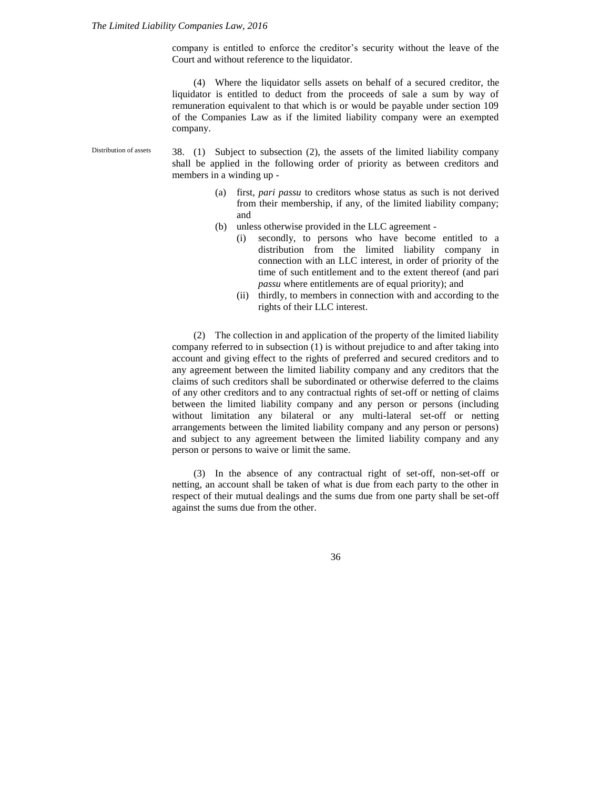company is entitled to enforce the creditor's security without the leave of the Court and without reference to the liquidator.

(4) Where the liquidator sells assets on behalf of a secured creditor, the liquidator is entitled to deduct from the proceeds of sale a sum by way of remuneration equivalent to that which is or would be payable under section 109 of the Companies Law as if the limited liability company were an exempted company.

38. (1) Subject to subsection (2), the assets of the limited liability company shall be applied in the following order of priority as between creditors and members in a winding up - Distribution of assets

- (a) first, *pari passu* to creditors whose status as such is not derived from their membership, if any, of the limited liability company; and
- (b) unless otherwise provided in the LLC agreement
	- (i) secondly, to persons who have become entitled to a distribution from the limited liability company in connection with an LLC interest, in order of priority of the time of such entitlement and to the extent thereof (and pari *passu* where entitlements are of equal priority); and
	- (ii) thirdly, to members in connection with and according to the rights of their LLC interest.

(2) The collection in and application of the property of the limited liability company referred to in subsection (1) is without prejudice to and after taking into account and giving effect to the rights of preferred and secured creditors and to any agreement between the limited liability company and any creditors that the claims of such creditors shall be subordinated or otherwise deferred to the claims of any other creditors and to any contractual rights of set-off or netting of claims between the limited liability company and any person or persons (including without limitation any bilateral or any multi-lateral set-off or netting arrangements between the limited liability company and any person or persons) and subject to any agreement between the limited liability company and any person or persons to waive or limit the same.

(3) In the absence of any contractual right of set-off, non-set-off or netting, an account shall be taken of what is due from each party to the other in respect of their mutual dealings and the sums due from one party shall be set-off against the sums due from the other.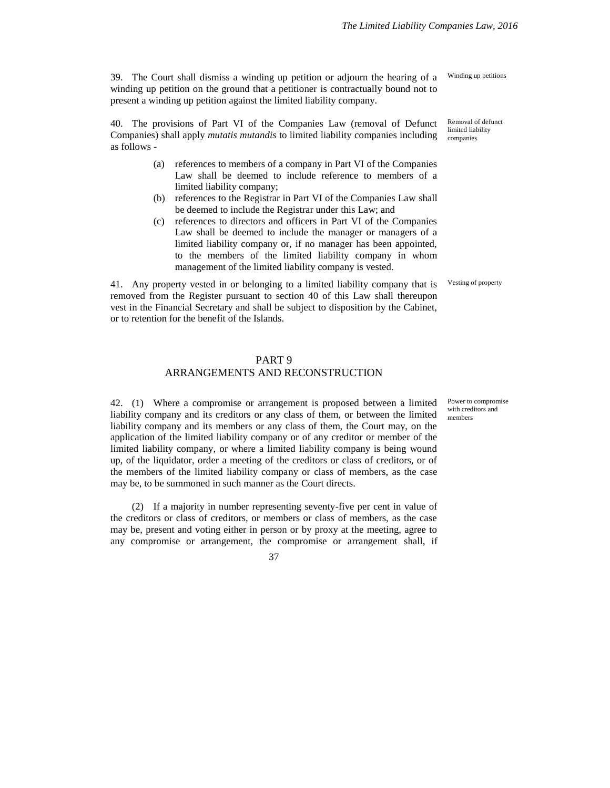39. The Court shall dismiss a winding up petition or adjourn the hearing of a winding up petition on the ground that a petitioner is contractually bound not to present a winding up petition against the limited liability company.

40. The provisions of Part VI of the Companies Law (removal of Defunct Companies) shall apply *mutatis mutandis* to limited liability companies including as follows -

- (a) references to members of a company in Part VI of the Companies Law shall be deemed to include reference to members of a limited liability company;
- (b) references to the Registrar in Part VI of the Companies Law shall be deemed to include the Registrar under this Law; and
- (c) references to directors and officers in Part VI of the Companies Law shall be deemed to include the manager or managers of a limited liability company or, if no manager has been appointed, to the members of the limited liability company in whom management of the limited liability company is vested.

41. Any property vested in or belonging to a limited liability company that is removed from the Register pursuant to section 40 of this Law shall thereupon vest in the Financial Secretary and shall be subject to disposition by the Cabinet, or to retention for the benefit of the Islands.

Winding up petitions

Removal of defunct limited liability companies

Vesting of property

#### PART 9

### ARRANGEMENTS AND RECONSTRUCTION

42. (1) Where a compromise or arrangement is proposed between a limited liability company and its creditors or any class of them, or between the limited liability company and its members or any class of them, the Court may, on the application of the limited liability company or of any creditor or member of the limited liability company, or where a limited liability company is being wound up, of the liquidator, order a meeting of the creditors or class of creditors, or of the members of the limited liability company or class of members, as the case may be, to be summoned in such manner as the Court directs.

(2) If a majority in number representing seventy-five per cent in value of the creditors or class of creditors, or members or class of members, as the case may be, present and voting either in person or by proxy at the meeting, agree to any compromise or arrangement, the compromise or arrangement shall, if

37

Power to compromise with creditors and members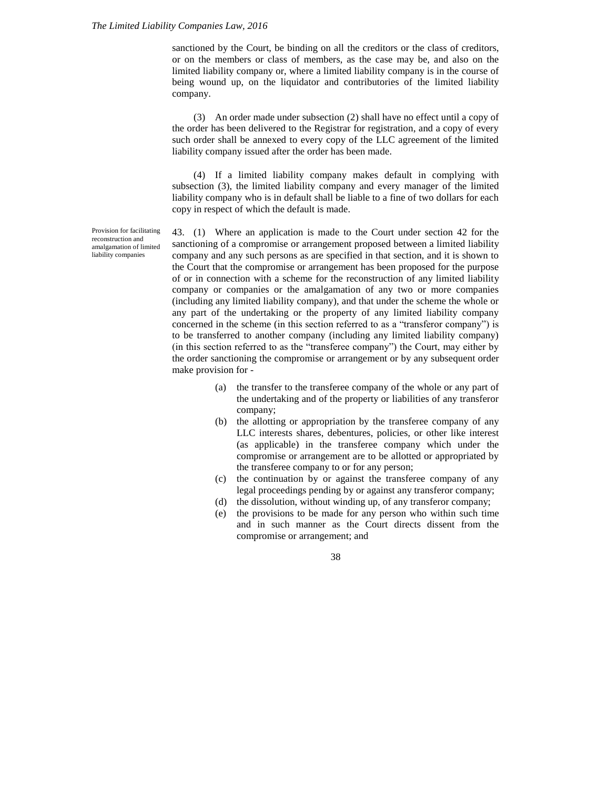sanctioned by the Court, be binding on all the creditors or the class of creditors, or on the members or class of members, as the case may be, and also on the limited liability company or, where a limited liability company is in the course of being wound up, on the liquidator and contributories of the limited liability company.

(3) An order made under subsection (2) shall have no effect until a copy of the order has been delivered to the Registrar for registration, and a copy of every such order shall be annexed to every copy of the LLC agreement of the limited liability company issued after the order has been made.

(4) If a limited liability company makes default in complying with subsection (3), the limited liability company and every manager of the limited liability company who is in default shall be liable to a fine of two dollars for each copy in respect of which the default is made.

43. (1) Where an application is made to the Court under section 42 for the sanctioning of a compromise or arrangement proposed between a limited liability company and any such persons as are specified in that section, and it is shown to the Court that the compromise or arrangement has been proposed for the purpose of or in connection with a scheme for the reconstruction of any limited liability company or companies or the amalgamation of any two or more companies (including any limited liability company), and that under the scheme the whole or any part of the undertaking or the property of any limited liability company concerned in the scheme (in this section referred to as a "transferor company") is to be transferred to another company (including any limited liability company) (in this section referred to as the "transferee company") the Court, may either by the order sanctioning the compromise or arrangement or by any subsequent order make provision for -

- (a) the transfer to the transferee company of the whole or any part of the undertaking and of the property or liabilities of any transferor company;
- (b) the allotting or appropriation by the transferee company of any LLC interests shares, debentures, policies, or other like interest (as applicable) in the transferee company which under the compromise or arrangement are to be allotted or appropriated by the transferee company to or for any person;
- (c) the continuation by or against the transferee company of any legal proceedings pending by or against any transferor company;
- (d) the dissolution, without winding up, of any transferor company;
- (e) the provisions to be made for any person who within such time and in such manner as the Court directs dissent from the compromise or arrangement; and

38

Provision for facilitating reconstruction and amalgamation of limited liability companies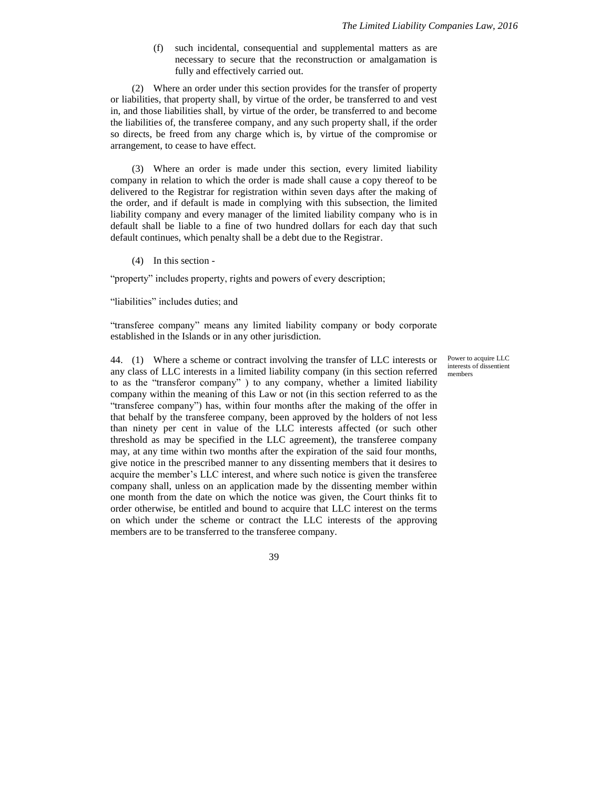(f) such incidental, consequential and supplemental matters as are necessary to secure that the reconstruction or amalgamation is fully and effectively carried out.

(2) Where an order under this section provides for the transfer of property or liabilities, that property shall, by virtue of the order, be transferred to and vest in, and those liabilities shall, by virtue of the order, be transferred to and become the liabilities of, the transferee company, and any such property shall, if the order so directs, be freed from any charge which is, by virtue of the compromise or arrangement, to cease to have effect.

(3) Where an order is made under this section, every limited liability company in relation to which the order is made shall cause a copy thereof to be delivered to the Registrar for registration within seven days after the making of the order, and if default is made in complying with this subsection, the limited liability company and every manager of the limited liability company who is in default shall be liable to a fine of two hundred dollars for each day that such default continues, which penalty shall be a debt due to the Registrar.

(4) In this section -

"property" includes property, rights and powers of every description;

"liabilities" includes duties; and

"transferee company" means any limited liability company or body corporate established in the Islands or in any other jurisdiction.

44. (1) Where a scheme or contract involving the transfer of LLC interests or any class of LLC interests in a limited liability company (in this section referred to as the "transferor company" ) to any company, whether a limited liability company within the meaning of this Law or not (in this section referred to as the "transferee company") has, within four months after the making of the offer in that behalf by the transferee company, been approved by the holders of not less than ninety per cent in value of the LLC interests affected (or such other threshold as may be specified in the LLC agreement), the transferee company may, at any time within two months after the expiration of the said four months, give notice in the prescribed manner to any dissenting members that it desires to acquire the member's LLC interest, and where such notice is given the transferee company shall, unless on an application made by the dissenting member within one month from the date on which the notice was given, the Court thinks fit to order otherwise, be entitled and bound to acquire that LLC interest on the terms on which under the scheme or contract the LLC interests of the approving members are to be transferred to the transferee company.

Power to acquire LLC interests of dissentient members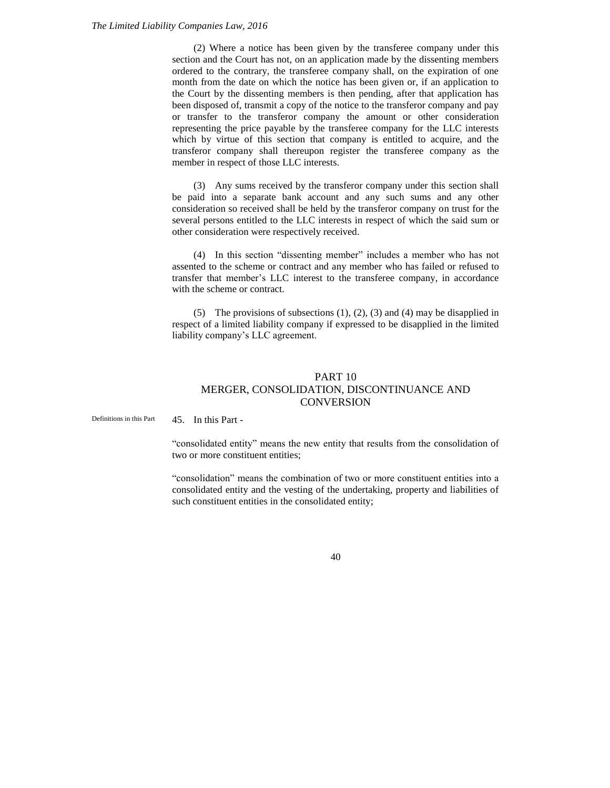(2) Where a notice has been given by the transferee company under this section and the Court has not, on an application made by the dissenting members ordered to the contrary, the transferee company shall, on the expiration of one month from the date on which the notice has been given or, if an application to the Court by the dissenting members is then pending, after that application has been disposed of, transmit a copy of the notice to the transferor company and pay or transfer to the transferor company the amount or other consideration representing the price payable by the transferee company for the LLC interests which by virtue of this section that company is entitled to acquire, and the transferor company shall thereupon register the transferee company as the member in respect of those LLC interests.

(3) Any sums received by the transferor company under this section shall be paid into a separate bank account and any such sums and any other consideration so received shall be held by the transferor company on trust for the several persons entitled to the LLC interests in respect of which the said sum or other consideration were respectively received.

(4) In this section "dissenting member" includes a member who has not assented to the scheme or contract and any member who has failed or refused to transfer that member's LLC interest to the transferee company, in accordance with the scheme or contract.

(5) The provisions of subsections (1), (2), (3) and (4) may be disapplied in respect of a limited liability company if expressed to be disapplied in the limited liability company's LLC agreement.

### PART 10 MERGER, CONSOLIDATION, DISCONTINUANCE AND **CONVERSION**

45. In this Part - Definitions in this Part

> "consolidated entity" means the new entity that results from the consolidation of two or more constituent entities;

> "consolidation" means the combination of two or more constituent entities into a consolidated entity and the vesting of the undertaking, property and liabilities of such constituent entities in the consolidated entity;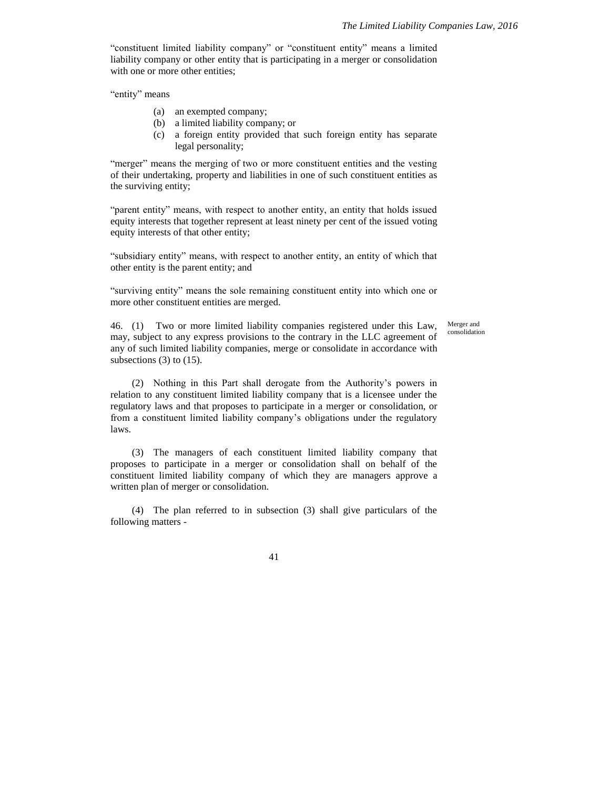"constituent limited liability company" or "constituent entity" means a limited liability company or other entity that is participating in a merger or consolidation with one or more other entities;

"entity" means

- (a) an exempted company;
- (b) a limited liability company; or
- (c) a foreign entity provided that such foreign entity has separate legal personality;

"merger" means the merging of two or more constituent entities and the vesting of their undertaking, property and liabilities in one of such constituent entities as the surviving entity;

"parent entity" means, with respect to another entity, an entity that holds issued equity interests that together represent at least ninety per cent of the issued voting equity interests of that other entity;

"subsidiary entity" means, with respect to another entity, an entity of which that other entity is the parent entity; and

"surviving entity" means the sole remaining constituent entity into which one or more other constituent entities are merged.

46. (1) Two or more limited liability companies registered under this Law, may, subject to any express provisions to the contrary in the LLC agreement of any of such limited liability companies, merge or consolidate in accordance with subsections  $(3)$  to  $(15)$ .

Merger and consolidation

(2) Nothing in this Part shall derogate from the Authority's powers in relation to any constituent limited liability company that is a licensee under the regulatory laws and that proposes to participate in a merger or consolidation, or from a constituent limited liability company's obligations under the regulatory laws.

(3) The managers of each constituent limited liability company that proposes to participate in a merger or consolidation shall on behalf of the constituent limited liability company of which they are managers approve a written plan of merger or consolidation.

(4) The plan referred to in subsection (3) shall give particulars of the following matters -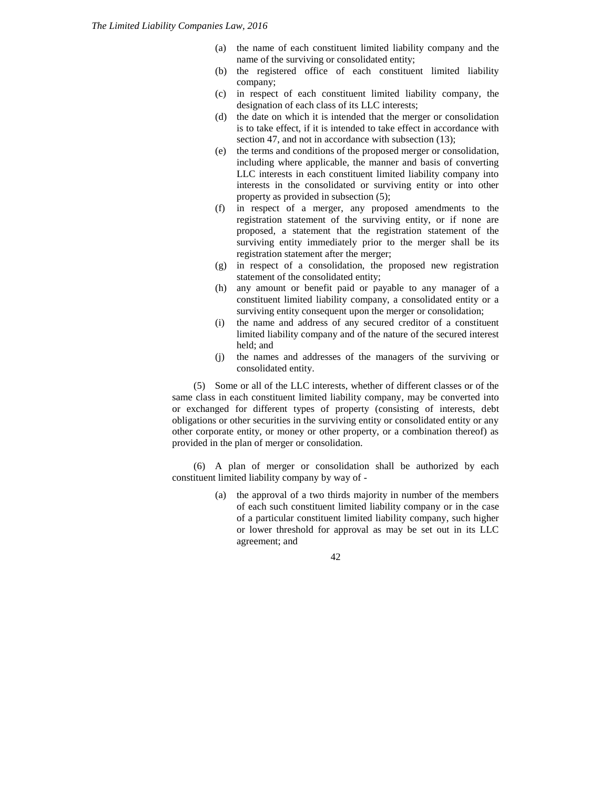- (a) the name of each constituent limited liability company and the name of the surviving or consolidated entity;
- (b) the registered office of each constituent limited liability company;
- (c) in respect of each constituent limited liability company, the designation of each class of its LLC interests;
- (d) the date on which it is intended that the merger or consolidation is to take effect, if it is intended to take effect in accordance with section 47, and not in accordance with subsection  $(13)$ ;
- (e) the terms and conditions of the proposed merger or consolidation, including where applicable, the manner and basis of converting LLC interests in each constituent limited liability company into interests in the consolidated or surviving entity or into other property as provided in subsection (5);
- (f) in respect of a merger, any proposed amendments to the registration statement of the surviving entity, or if none are proposed, a statement that the registration statement of the surviving entity immediately prior to the merger shall be its registration statement after the merger;
- (g) in respect of a consolidation, the proposed new registration statement of the consolidated entity;
- (h) any amount or benefit paid or payable to any manager of a constituent limited liability company, a consolidated entity or a surviving entity consequent upon the merger or consolidation;
- (i) the name and address of any secured creditor of a constituent limited liability company and of the nature of the secured interest held; and
- (j) the names and addresses of the managers of the surviving or consolidated entity.

(5) Some or all of the LLC interests, whether of different classes or of the same class in each constituent limited liability company, may be converted into or exchanged for different types of property (consisting of interests, debt obligations or other securities in the surviving entity or consolidated entity or any other corporate entity, or money or other property, or a combination thereof) as provided in the plan of merger or consolidation.

(6) A plan of merger or consolidation shall be authorized by each constituent limited liability company by way of -

> (a) the approval of a two thirds majority in number of the members of each such constituent limited liability company or in the case of a particular constituent limited liability company, such higher or lower threshold for approval as may be set out in its LLC agreement; and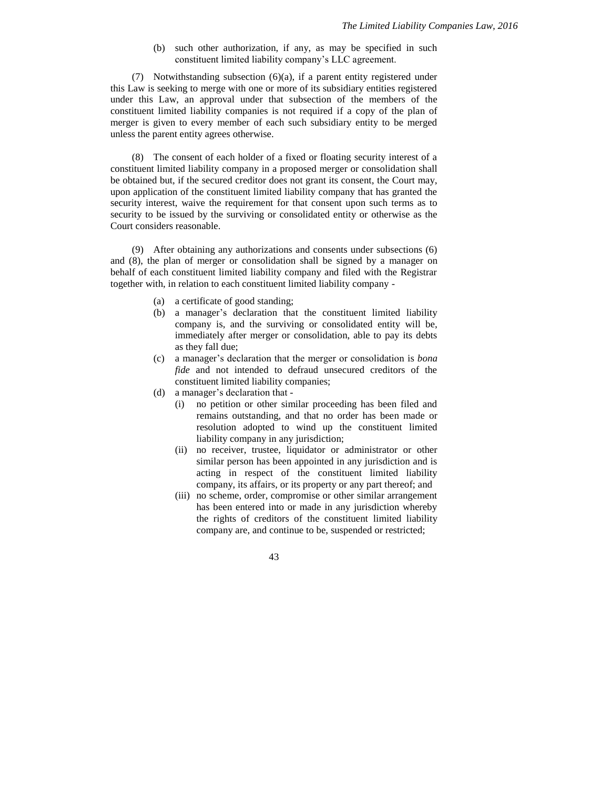(b) such other authorization, if any, as may be specified in such constituent limited liability company's LLC agreement.

(7) Notwithstanding subsection (6)(a), if a parent entity registered under this Law is seeking to merge with one or more of its subsidiary entities registered under this Law, an approval under that subsection of the members of the constituent limited liability companies is not required if a copy of the plan of merger is given to every member of each such subsidiary entity to be merged unless the parent entity agrees otherwise.

(8) The consent of each holder of a fixed or floating security interest of a constituent limited liability company in a proposed merger or consolidation shall be obtained but, if the secured creditor does not grant its consent, the Court may, upon application of the constituent limited liability company that has granted the security interest, waive the requirement for that consent upon such terms as to security to be issued by the surviving or consolidated entity or otherwise as the Court considers reasonable.

(9) After obtaining any authorizations and consents under subsections (6) and (8), the plan of merger or consolidation shall be signed by a manager on behalf of each constituent limited liability company and filed with the Registrar together with, in relation to each constituent limited liability company -

- (a) a certificate of good standing;
- (b) a manager's declaration that the constituent limited liability company is, and the surviving or consolidated entity will be, immediately after merger or consolidation, able to pay its debts as they fall due;
- (c) a manager's declaration that the merger or consolidation is *bona fide* and not intended to defraud unsecured creditors of the constituent limited liability companies;
- (d) a manager's declaration that
	- (i) no petition or other similar proceeding has been filed and remains outstanding, and that no order has been made or resolution adopted to wind up the constituent limited liability company in any jurisdiction;
	- (ii) no receiver, trustee, liquidator or administrator or other similar person has been appointed in any jurisdiction and is acting in respect of the constituent limited liability company, its affairs, or its property or any part thereof; and
	- (iii) no scheme, order, compromise or other similar arrangement has been entered into or made in any jurisdiction whereby the rights of creditors of the constituent limited liability company are, and continue to be, suspended or restricted;

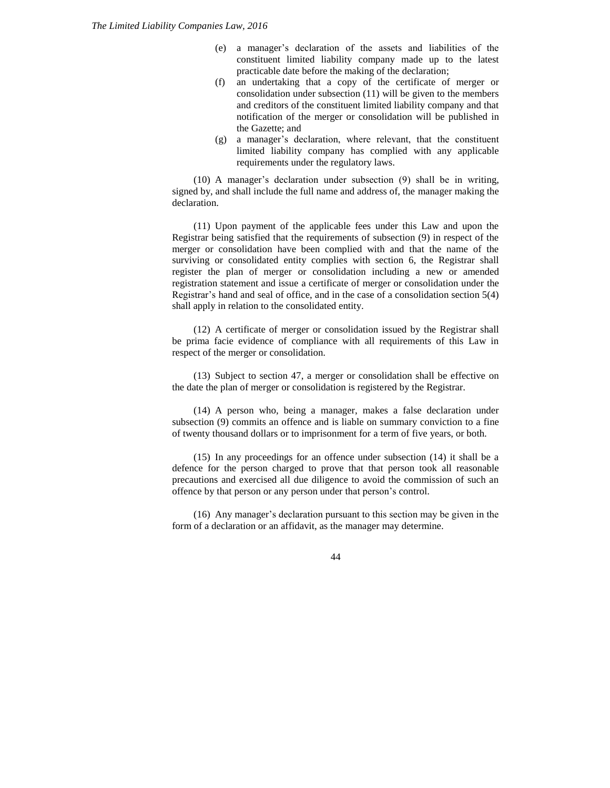- (e) a manager's declaration of the assets and liabilities of the constituent limited liability company made up to the latest practicable date before the making of the declaration;
- (f) an undertaking that a copy of the certificate of merger or consolidation under subsection (11) will be given to the members and creditors of the constituent limited liability company and that notification of the merger or consolidation will be published in the Gazette; and
- (g) a manager's declaration, where relevant, that the constituent limited liability company has complied with any applicable requirements under the regulatory laws.

(10) A manager's declaration under subsection (9) shall be in writing, signed by, and shall include the full name and address of, the manager making the declaration.

(11) Upon payment of the applicable fees under this Law and upon the Registrar being satisfied that the requirements of subsection (9) in respect of the merger or consolidation have been complied with and that the name of the surviving or consolidated entity complies with section 6, the Registrar shall register the plan of merger or consolidation including a new or amended registration statement and issue a certificate of merger or consolidation under the Registrar's hand and seal of office, and in the case of a consolidation section 5(4) shall apply in relation to the consolidated entity.

(12) A certificate of merger or consolidation issued by the Registrar shall be prima facie evidence of compliance with all requirements of this Law in respect of the merger or consolidation.

(13) Subject to section 47, a merger or consolidation shall be effective on the date the plan of merger or consolidation is registered by the Registrar.

(14) A person who, being a manager, makes a false declaration under subsection (9) commits an offence and is liable on summary conviction to a fine of twenty thousand dollars or to imprisonment for a term of five years, or both.

(15) In any proceedings for an offence under subsection (14) it shall be a defence for the person charged to prove that that person took all reasonable precautions and exercised all due diligence to avoid the commission of such an offence by that person or any person under that person's control.

(16) Any manager's declaration pursuant to this section may be given in the form of a declaration or an affidavit, as the manager may determine.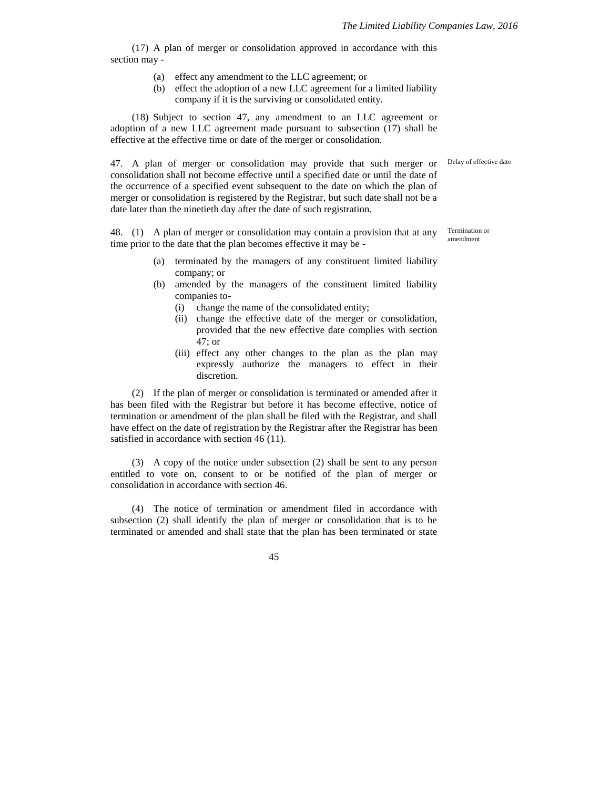Delay of effective date

Termination or amendment

(17) A plan of merger or consolidation approved in accordance with this section may -

- (a) effect any amendment to the LLC agreement; or
- (b) effect the adoption of a new LLC agreement for a limited liability company if it is the surviving or consolidated entity.

(18) Subject to section 47, any amendment to an LLC agreement or adoption of a new LLC agreement made pursuant to subsection (17) shall be effective at the effective time or date of the merger or consolidation.

47. A plan of merger or consolidation may provide that such merger or consolidation shall not become effective until a specified date or until the date of the occurrence of a specified event subsequent to the date on which the plan of merger or consolidation is registered by the Registrar, but such date shall not be a date later than the ninetieth day after the date of such registration.

48. (1) A plan of merger or consolidation may contain a provision that at any time prior to the date that the plan becomes effective it may be -

- (a) terminated by the managers of any constituent limited liability company; or
- (b) amended by the managers of the constituent limited liability companies to-
	- (i) change the name of the consolidated entity;
	- (ii) change the effective date of the merger or consolidation, provided that the new effective date complies with section 47; or
	- (iii) effect any other changes to the plan as the plan may expressly authorize the managers to effect in their discretion.

(2) If the plan of merger or consolidation is terminated or amended after it has been filed with the Registrar but before it has become effective, notice of termination or amendment of the plan shall be filed with the Registrar, and shall have effect on the date of registration by the Registrar after the Registrar has been satisfied in accordance with section 46 (11).

(3) A copy of the notice under subsection (2) shall be sent to any person entitled to vote on, consent to or be notified of the plan of merger or consolidation in accordance with section 46.

(4) The notice of termination or amendment filed in accordance with subsection (2) shall identify the plan of merger or consolidation that is to be terminated or amended and shall state that the plan has been terminated or state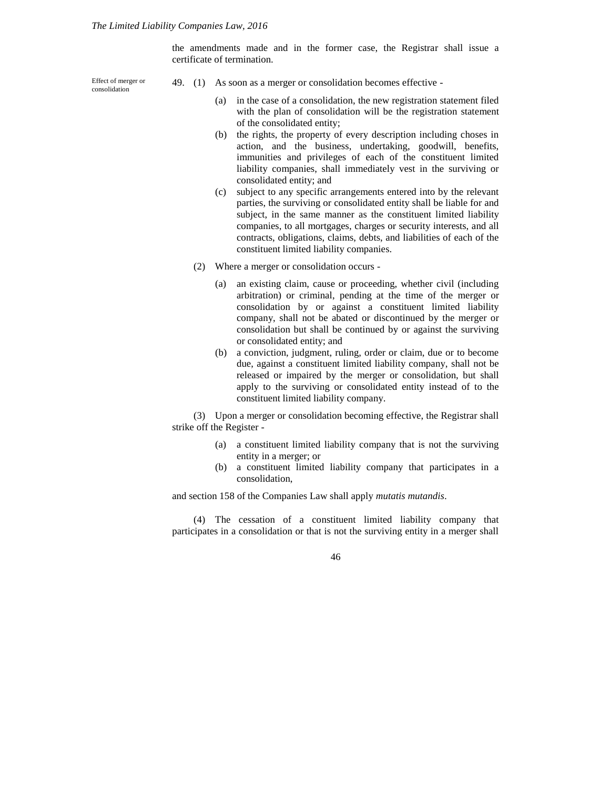the amendments made and in the former case, the Registrar shall issue a certificate of termination.

Effect of merger or consolidation

- 49. (1) As soon as a merger or consolidation becomes effective
	- (a) in the case of a consolidation, the new registration statement filed with the plan of consolidation will be the registration statement of the consolidated entity;
	- (b) the rights, the property of every description including choses in action, and the business, undertaking, goodwill, benefits, immunities and privileges of each of the constituent limited liability companies, shall immediately vest in the surviving or consolidated entity; and
	- (c) subject to any specific arrangements entered into by the relevant parties, the surviving or consolidated entity shall be liable for and subject, in the same manner as the constituent limited liability companies, to all mortgages, charges or security interests, and all contracts, obligations, claims, debts, and liabilities of each of the constituent limited liability companies.
	- (2) Where a merger or consolidation occurs
		- (a) an existing claim, cause or proceeding, whether civil (including arbitration) or criminal, pending at the time of the merger or consolidation by or against a constituent limited liability company, shall not be abated or discontinued by the merger or consolidation but shall be continued by or against the surviving or consolidated entity; and
		- (b) a conviction, judgment, ruling, order or claim, due or to become due, against a constituent limited liability company, shall not be released or impaired by the merger or consolidation, but shall apply to the surviving or consolidated entity instead of to the constituent limited liability company.

(3) Upon a merger or consolidation becoming effective, the Registrar shall strike off the Register -

- (a) a constituent limited liability company that is not the surviving entity in a merger; or
- (b) a constituent limited liability company that participates in a consolidation,

and section 158 of the Companies Law shall apply *mutatis mutandis*.

(4) The cessation of a constituent limited liability company that participates in a consolidation or that is not the surviving entity in a merger shall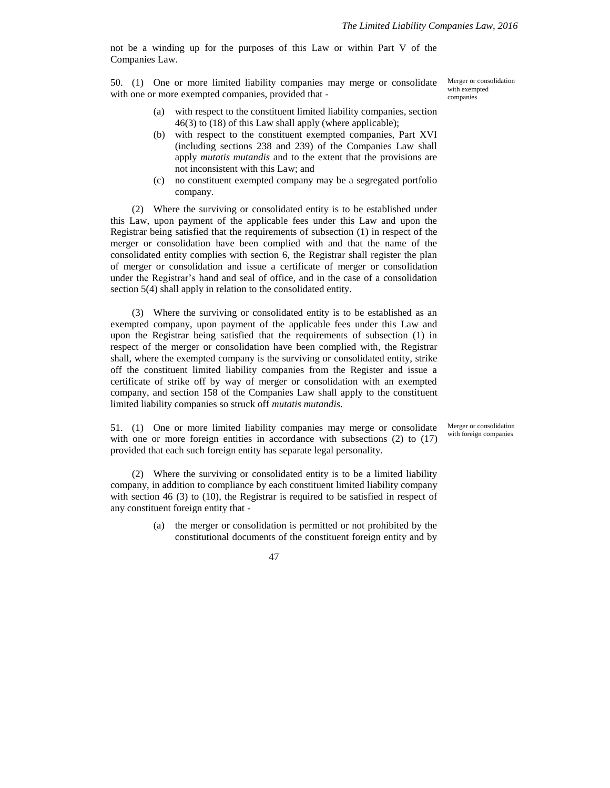not be a winding up for the purposes of this Law or within Part V of the Companies Law.

50. (1) One or more limited liability companies may merge or consolidate with one or more exempted companies, provided that -

- (a) with respect to the constituent limited liability companies, section 46(3) to (18) of this Law shall apply (where applicable);
- (b) with respect to the constituent exempted companies, Part XVI (including sections 238 and 239) of the Companies Law shall apply *mutatis mutandis* and to the extent that the provisions are not inconsistent with this Law; and
- (c) no constituent exempted company may be a segregated portfolio company.

(2) Where the surviving or consolidated entity is to be established under this Law, upon payment of the applicable fees under this Law and upon the Registrar being satisfied that the requirements of subsection (1) in respect of the merger or consolidation have been complied with and that the name of the consolidated entity complies with section 6, the Registrar shall register the plan of merger or consolidation and issue a certificate of merger or consolidation under the Registrar's hand and seal of office, and in the case of a consolidation section 5(4) shall apply in relation to the consolidated entity.

(3) Where the surviving or consolidated entity is to be established as an exempted company, upon payment of the applicable fees under this Law and upon the Registrar being satisfied that the requirements of subsection (1) in respect of the merger or consolidation have been complied with, the Registrar shall, where the exempted company is the surviving or consolidated entity, strike off the constituent limited liability companies from the Register and issue a certificate of strike off by way of merger or consolidation with an exempted company, and section 158 of the Companies Law shall apply to the constituent limited liability companies so struck off *mutatis mutandis*.

51. (1) One or more limited liability companies may merge or consolidate with one or more foreign entities in accordance with subsections (2) to (17) provided that each such foreign entity has separate legal personality.

(2) Where the surviving or consolidated entity is to be a limited liability company, in addition to compliance by each constituent limited liability company with section 46 (3) to (10), the Registrar is required to be satisfied in respect of any constituent foreign entity that -

> (a) the merger or consolidation is permitted or not prohibited by the constitutional documents of the constituent foreign entity and by

> > 47

Merger or consolidation with exempted companies

Merger or consolidation with foreign companies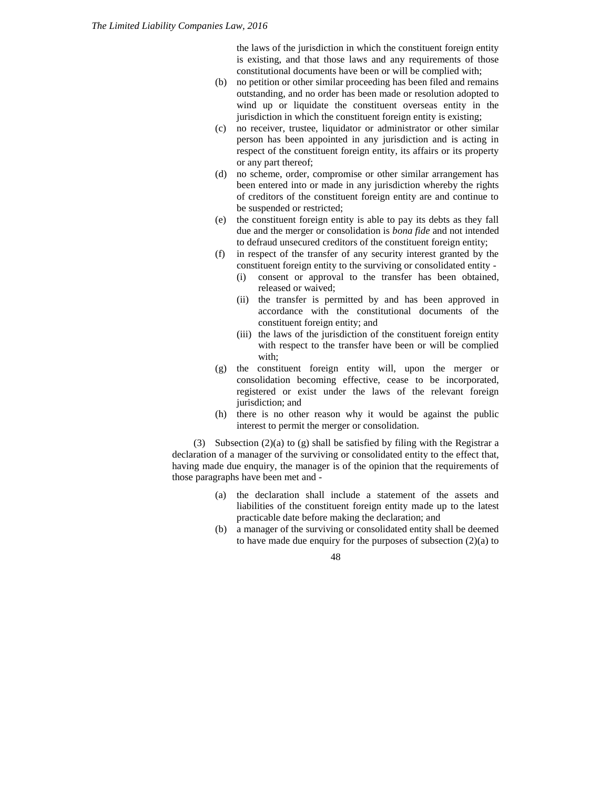the laws of the jurisdiction in which the constituent foreign entity is existing, and that those laws and any requirements of those constitutional documents have been or will be complied with;

- (b) no petition or other similar proceeding has been filed and remains outstanding, and no order has been made or resolution adopted to wind up or liquidate the constituent overseas entity in the jurisdiction in which the constituent foreign entity is existing;
- (c) no receiver, trustee, liquidator or administrator or other similar person has been appointed in any jurisdiction and is acting in respect of the constituent foreign entity, its affairs or its property or any part thereof;
- (d) no scheme, order, compromise or other similar arrangement has been entered into or made in any jurisdiction whereby the rights of creditors of the constituent foreign entity are and continue to be suspended or restricted;
- (e) the constituent foreign entity is able to pay its debts as they fall due and the merger or consolidation is *bona fide* and not intended to defraud unsecured creditors of the constituent foreign entity;
- (f) in respect of the transfer of any security interest granted by the constituent foreign entity to the surviving or consolidated entity -
	- (i) consent or approval to the transfer has been obtained, released or waived;
	- (ii) the transfer is permitted by and has been approved in accordance with the constitutional documents of the constituent foreign entity; and
	- (iii) the laws of the jurisdiction of the constituent foreign entity with respect to the transfer have been or will be complied with;
- (g) the constituent foreign entity will, upon the merger or consolidation becoming effective, cease to be incorporated, registered or exist under the laws of the relevant foreign jurisdiction; and
- (h) there is no other reason why it would be against the public interest to permit the merger or consolidation.

(3) Subsection (2)(a) to (g) shall be satisfied by filing with the Registrar a declaration of a manager of the surviving or consolidated entity to the effect that, having made due enquiry, the manager is of the opinion that the requirements of those paragraphs have been met and -

- (a) the declaration shall include a statement of the assets and liabilities of the constituent foreign entity made up to the latest practicable date before making the declaration; and
- (b) a manager of the surviving or consolidated entity shall be deemed to have made due enquiry for the purposes of subsection (2)(a) to

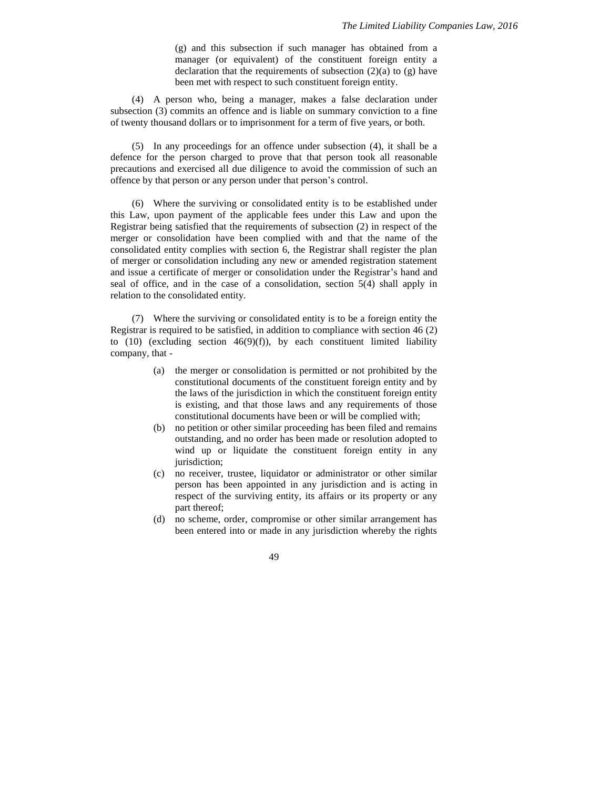(g) and this subsection if such manager has obtained from a manager (or equivalent) of the constituent foreign entity a declaration that the requirements of subsection  $(2)(a)$  to  $(g)$  have been met with respect to such constituent foreign entity.

(4) A person who, being a manager, makes a false declaration under subsection (3) commits an offence and is liable on summary conviction to a fine of twenty thousand dollars or to imprisonment for a term of five years, or both.

(5) In any proceedings for an offence under subsection (4), it shall be a defence for the person charged to prove that that person took all reasonable precautions and exercised all due diligence to avoid the commission of such an offence by that person or any person under that person's control.

(6) Where the surviving or consolidated entity is to be established under this Law, upon payment of the applicable fees under this Law and upon the Registrar being satisfied that the requirements of subsection (2) in respect of the merger or consolidation have been complied with and that the name of the consolidated entity complies with section 6, the Registrar shall register the plan of merger or consolidation including any new or amended registration statement and issue a certificate of merger or consolidation under the Registrar's hand and seal of office, and in the case of a consolidation, section 5(4) shall apply in relation to the consolidated entity.

(7) Where the surviving or consolidated entity is to be a foreign entity the Registrar is required to be satisfied, in addition to compliance with section 46 (2) to  $(10)$  (excluding section  $46(9)(f)$ ), by each constituent limited liability company, that -

- (a) the merger or consolidation is permitted or not prohibited by the constitutional documents of the constituent foreign entity and by the laws of the jurisdiction in which the constituent foreign entity is existing, and that those laws and any requirements of those constitutional documents have been or will be complied with;
- (b) no petition or other similar proceeding has been filed and remains outstanding, and no order has been made or resolution adopted to wind up or liquidate the constituent foreign entity in any jurisdiction;
- (c) no receiver, trustee, liquidator or administrator or other similar person has been appointed in any jurisdiction and is acting in respect of the surviving entity, its affairs or its property or any part thereof;
- (d) no scheme, order, compromise or other similar arrangement has been entered into or made in any jurisdiction whereby the rights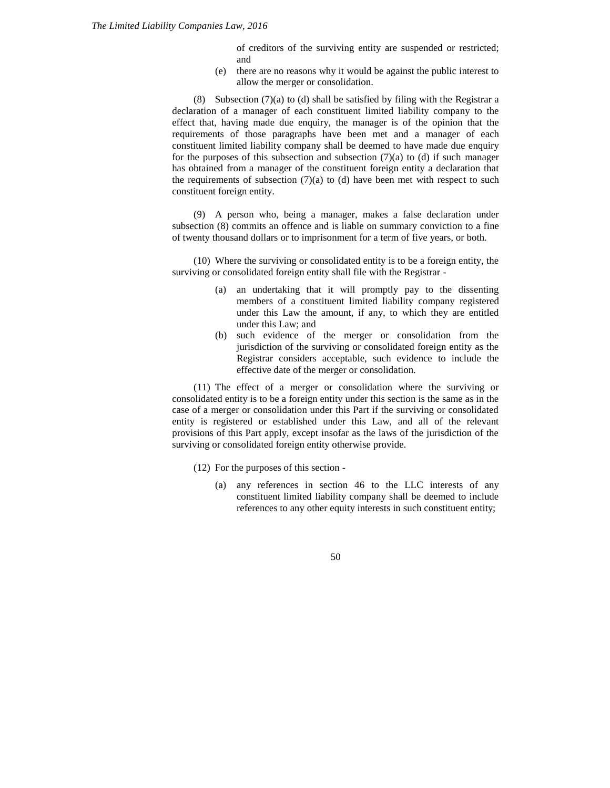of creditors of the surviving entity are suspended or restricted; and

(e) there are no reasons why it would be against the public interest to allow the merger or consolidation.

(8) Subsection  $(7)(a)$  to (d) shall be satisfied by filing with the Registrar a declaration of a manager of each constituent limited liability company to the effect that, having made due enquiry, the manager is of the opinion that the requirements of those paragraphs have been met and a manager of each constituent limited liability company shall be deemed to have made due enquiry for the purposes of this subsection and subsection  $(7)(a)$  to  $(d)$  if such manager has obtained from a manager of the constituent foreign entity a declaration that the requirements of subsection  $(7)(a)$  to  $(d)$  have been met with respect to such constituent foreign entity.

(9) A person who, being a manager, makes a false declaration under subsection (8) commits an offence and is liable on summary conviction to a fine of twenty thousand dollars or to imprisonment for a term of five years, or both.

(10) Where the surviving or consolidated entity is to be a foreign entity, the surviving or consolidated foreign entity shall file with the Registrar -

- (a) an undertaking that it will promptly pay to the dissenting members of a constituent limited liability company registered under this Law the amount, if any, to which they are entitled under this Law; and
- (b) such evidence of the merger or consolidation from the jurisdiction of the surviving or consolidated foreign entity as the Registrar considers acceptable, such evidence to include the effective date of the merger or consolidation.

(11) The effect of a merger or consolidation where the surviving or consolidated entity is to be a foreign entity under this section is the same as in the case of a merger or consolidation under this Part if the surviving or consolidated entity is registered or established under this Law, and all of the relevant provisions of this Part apply, except insofar as the laws of the jurisdiction of the surviving or consolidated foreign entity otherwise provide.

- (12) For the purposes of this section
	- (a) any references in section 46 to the LLC interests of any constituent limited liability company shall be deemed to include references to any other equity interests in such constituent entity;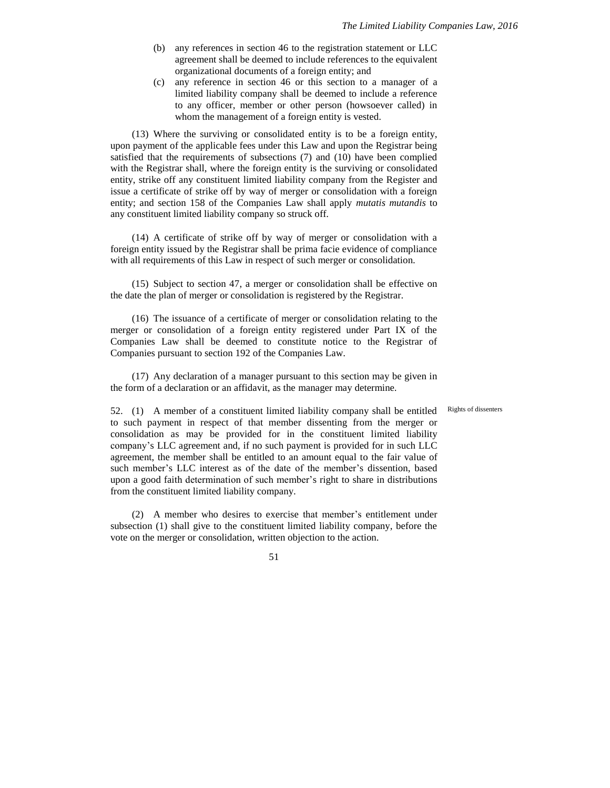- (b) any references in section 46 to the registration statement or LLC agreement shall be deemed to include references to the equivalent organizational documents of a foreign entity; and
- (c) any reference in section 46 or this section to a manager of a limited liability company shall be deemed to include a reference to any officer, member or other person (howsoever called) in whom the management of a foreign entity is vested.

(13) Where the surviving or consolidated entity is to be a foreign entity, upon payment of the applicable fees under this Law and upon the Registrar being satisfied that the requirements of subsections (7) and (10) have been complied with the Registrar shall, where the foreign entity is the surviving or consolidated entity, strike off any constituent limited liability company from the Register and issue a certificate of strike off by way of merger or consolidation with a foreign entity; and section 158 of the Companies Law shall apply *mutatis mutandis* to any constituent limited liability company so struck off.

(14) A certificate of strike off by way of merger or consolidation with a foreign entity issued by the Registrar shall be prima facie evidence of compliance with all requirements of this Law in respect of such merger or consolidation.

(15) Subject to section 47, a merger or consolidation shall be effective on the date the plan of merger or consolidation is registered by the Registrar.

(16) The issuance of a certificate of merger or consolidation relating to the merger or consolidation of a foreign entity registered under Part IX of the Companies Law shall be deemed to constitute notice to the Registrar of Companies pursuant to section 192 of the Companies Law.

(17) Any declaration of a manager pursuant to this section may be given in the form of a declaration or an affidavit, as the manager may determine.

Rights of dissenters

52. (1) A member of a constituent limited liability company shall be entitled to such payment in respect of that member dissenting from the merger or consolidation as may be provided for in the constituent limited liability company's LLC agreement and, if no such payment is provided for in such LLC agreement, the member shall be entitled to an amount equal to the fair value of such member's LLC interest as of the date of the member's dissention, based upon a good faith determination of such member's right to share in distributions from the constituent limited liability company.

(2) A member who desires to exercise that member's entitlement under subsection (1) shall give to the constituent limited liability company, before the vote on the merger or consolidation, written objection to the action.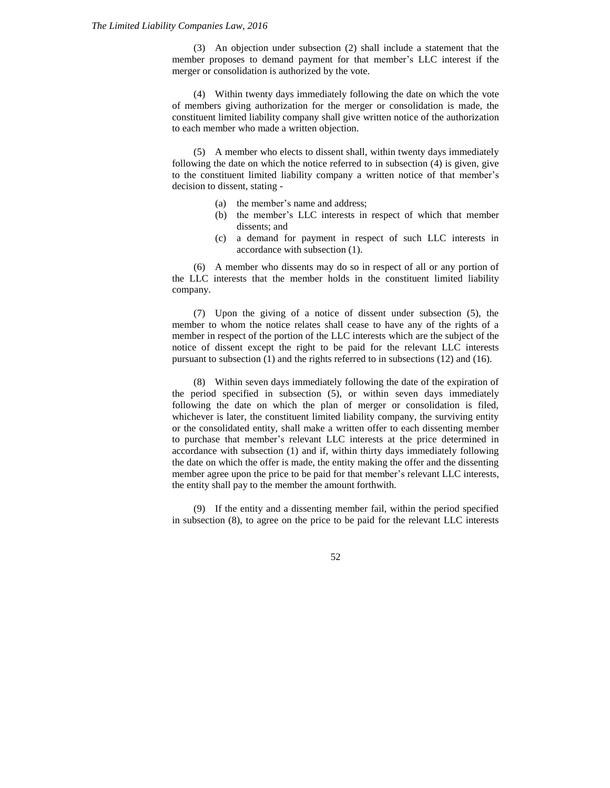(3) An objection under subsection (2) shall include a statement that the member proposes to demand payment for that member's LLC interest if the merger or consolidation is authorized by the vote.

(4) Within twenty days immediately following the date on which the vote of members giving authorization for the merger or consolidation is made, the constituent limited liability company shall give written notice of the authorization to each member who made a written objection.

(5) A member who elects to dissent shall, within twenty days immediately following the date on which the notice referred to in subsection (4) is given, give to the constituent limited liability company a written notice of that member's decision to dissent, stating -

- (a) the member's name and address;
- (b) the member's LLC interests in respect of which that member dissents; and
- (c) a demand for payment in respect of such LLC interests in accordance with subsection (1).

(6) A member who dissents may do so in respect of all or any portion of the LLC interests that the member holds in the constituent limited liability company.

(7) Upon the giving of a notice of dissent under subsection (5), the member to whom the notice relates shall cease to have any of the rights of a member in respect of the portion of the LLC interests which are the subject of the notice of dissent except the right to be paid for the relevant LLC interests pursuant to subsection (1) and the rights referred to in subsections (12) and (16).

(8) Within seven days immediately following the date of the expiration of the period specified in subsection (5), or within seven days immediately following the date on which the plan of merger or consolidation is filed, whichever is later, the constituent limited liability company, the surviving entity or the consolidated entity, shall make a written offer to each dissenting member to purchase that member's relevant LLC interests at the price determined in accordance with subsection (1) and if, within thirty days immediately following the date on which the offer is made, the entity making the offer and the dissenting member agree upon the price to be paid for that member's relevant LLC interests, the entity shall pay to the member the amount forthwith.

(9) If the entity and a dissenting member fail, within the period specified in subsection (8), to agree on the price to be paid for the relevant LLC interests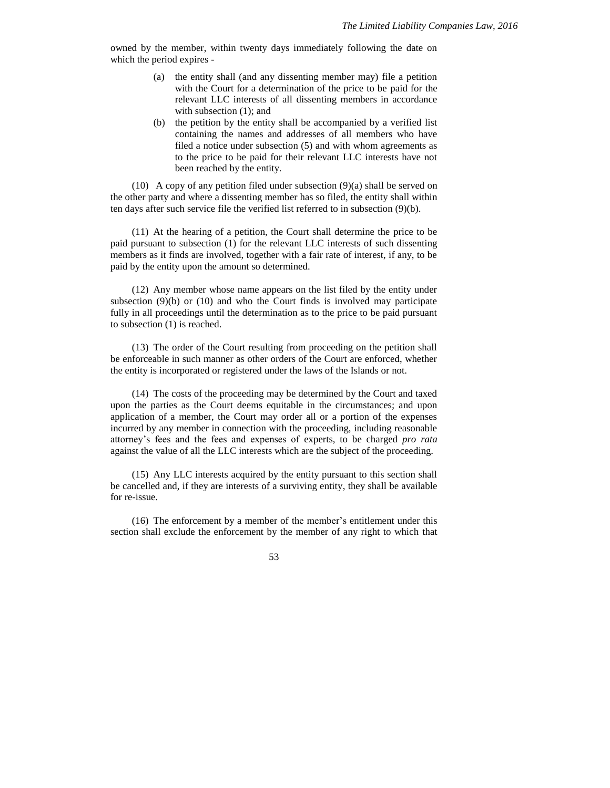owned by the member, within twenty days immediately following the date on which the period expires -

- (a) the entity shall (and any dissenting member may) file a petition with the Court for a determination of the price to be paid for the relevant LLC interests of all dissenting members in accordance with subsection  $(1)$ ; and
- (b) the petition by the entity shall be accompanied by a verified list containing the names and addresses of all members who have filed a notice under subsection (5) and with whom agreements as to the price to be paid for their relevant LLC interests have not been reached by the entity.

(10) A copy of any petition filed under subsection (9)(a) shall be served on the other party and where a dissenting member has so filed, the entity shall within ten days after such service file the verified list referred to in subsection (9)(b).

(11) At the hearing of a petition, the Court shall determine the price to be paid pursuant to subsection (1) for the relevant LLC interests of such dissenting members as it finds are involved, together with a fair rate of interest, if any, to be paid by the entity upon the amount so determined.

(12) Any member whose name appears on the list filed by the entity under subsection  $(9)(b)$  or  $(10)$  and who the Court finds is involved may participate fully in all proceedings until the determination as to the price to be paid pursuant to subsection (1) is reached.

(13) The order of the Court resulting from proceeding on the petition shall be enforceable in such manner as other orders of the Court are enforced, whether the entity is incorporated or registered under the laws of the Islands or not.

(14) The costs of the proceeding may be determined by the Court and taxed upon the parties as the Court deems equitable in the circumstances; and upon application of a member, the Court may order all or a portion of the expenses incurred by any member in connection with the proceeding, including reasonable attorney's fees and the fees and expenses of experts, to be charged *pro rata* against the value of all the LLC interests which are the subject of the proceeding.

(15) Any LLC interests acquired by the entity pursuant to this section shall be cancelled and, if they are interests of a surviving entity, they shall be available for re-issue.

(16) The enforcement by a member of the member's entitlement under this section shall exclude the enforcement by the member of any right to which that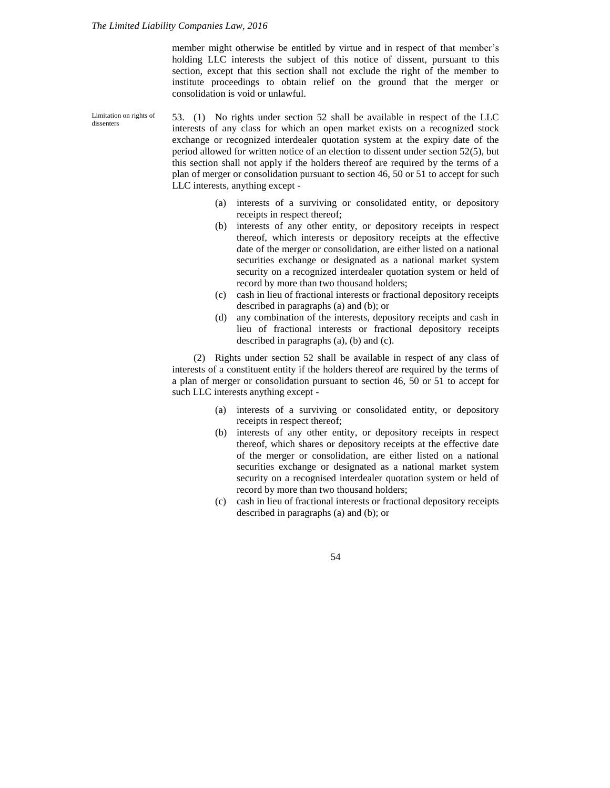member might otherwise be entitled by virtue and in respect of that member's holding LLC interests the subject of this notice of dissent, pursuant to this section, except that this section shall not exclude the right of the member to institute proceedings to obtain relief on the ground that the merger or consolidation is void or unlawful.

53. (1) No rights under section 52 shall be available in respect of the LLC interests of any class for which an open market exists on a recognized stock exchange or recognized interdealer quotation system at the expiry date of the period allowed for written notice of an election to dissent under section 52(5), but this section shall not apply if the holders thereof are required by the terms of a plan of merger or consolidation pursuant to section 46, 50 or 51 to accept for such LLC interests, anything except - Limitation on rights of dissenters

- (a) interests of a surviving or consolidated entity, or depository receipts in respect thereof;
- (b) interests of any other entity, or depository receipts in respect thereof, which interests or depository receipts at the effective date of the merger or consolidation, are either listed on a national securities exchange or designated as a national market system security on a recognized interdealer quotation system or held of record by more than two thousand holders;
- (c) cash in lieu of fractional interests or fractional depository receipts described in paragraphs (a) and (b); or
- (d) any combination of the interests, depository receipts and cash in lieu of fractional interests or fractional depository receipts described in paragraphs (a), (b) and (c).

(2) Rights under section 52 shall be available in respect of any class of interests of a constituent entity if the holders thereof are required by the terms of a plan of merger or consolidation pursuant to section 46, 50 or 51 to accept for such LLC interests anything except -

- (a) interests of a surviving or consolidated entity, or depository receipts in respect thereof;
- (b) interests of any other entity, or depository receipts in respect thereof, which shares or depository receipts at the effective date of the merger or consolidation, are either listed on a national securities exchange or designated as a national market system security on a recognised interdealer quotation system or held of record by more than two thousand holders;
- (c) cash in lieu of fractional interests or fractional depository receipts described in paragraphs (a) and (b); or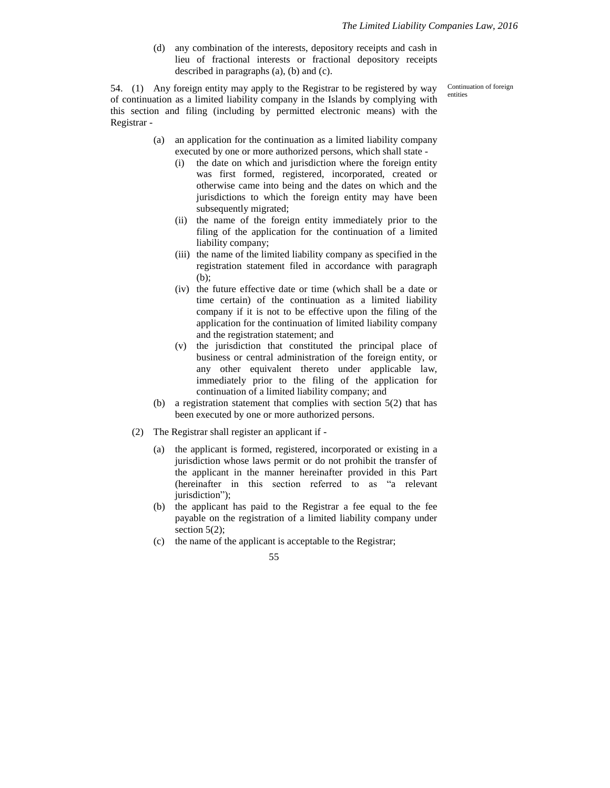(d) any combination of the interests, depository receipts and cash in lieu of fractional interests or fractional depository receipts described in paragraphs (a), (b) and (c).

> Continuation of foreign entities

54. (1) Any foreign entity may apply to the Registrar to be registered by way of continuation as a limited liability company in the Islands by complying with this section and filing (including by permitted electronic means) with the Registrar -

- (a) an application for the continuation as a limited liability company executed by one or more authorized persons, which shall state -
	- (i) the date on which and jurisdiction where the foreign entity was first formed, registered, incorporated, created or otherwise came into being and the dates on which and the jurisdictions to which the foreign entity may have been subsequently migrated;
	- (ii) the name of the foreign entity immediately prior to the filing of the application for the continuation of a limited liability company;
	- (iii) the name of the limited liability company as specified in the registration statement filed in accordance with paragraph (b);
	- (iv) the future effective date or time (which shall be a date or time certain) of the continuation as a limited liability company if it is not to be effective upon the filing of the application for the continuation of limited liability company and the registration statement; and
	- (v) the jurisdiction that constituted the principal place of business or central administration of the foreign entity, or any other equivalent thereto under applicable law, immediately prior to the filing of the application for continuation of a limited liability company; and
- (b) a registration statement that complies with section 5(2) that has been executed by one or more authorized persons.
- (2) The Registrar shall register an applicant if
	- (a) the applicant is formed, registered, incorporated or existing in a jurisdiction whose laws permit or do not prohibit the transfer of the applicant in the manner hereinafter provided in this Part (hereinafter in this section referred to as "a relevant jurisdiction");
	- (b) the applicant has paid to the Registrar a fee equal to the fee payable on the registration of a limited liability company under section  $5(2)$ ;
	- (c) the name of the applicant is acceptable to the Registrar;

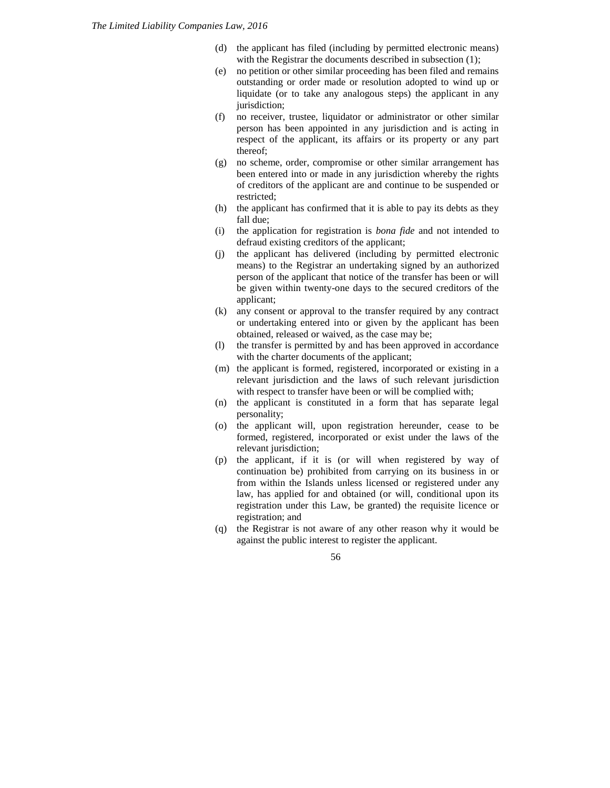- (d) the applicant has filed (including by permitted electronic means) with the Registrar the documents described in subsection (1);
- (e) no petition or other similar proceeding has been filed and remains outstanding or order made or resolution adopted to wind up or liquidate (or to take any analogous steps) the applicant in any jurisdiction;
- (f) no receiver, trustee, liquidator or administrator or other similar person has been appointed in any jurisdiction and is acting in respect of the applicant, its affairs or its property or any part thereof;
- (g) no scheme, order, compromise or other similar arrangement has been entered into or made in any jurisdiction whereby the rights of creditors of the applicant are and continue to be suspended or restricted;
- (h) the applicant has confirmed that it is able to pay its debts as they fall due;
- (i) the application for registration is *bona fide* and not intended to defraud existing creditors of the applicant;
- (j) the applicant has delivered (including by permitted electronic means) to the Registrar an undertaking signed by an authorized person of the applicant that notice of the transfer has been or will be given within twenty-one days to the secured creditors of the applicant;
- (k) any consent or approval to the transfer required by any contract or undertaking entered into or given by the applicant has been obtained, released or waived, as the case may be;
- (l) the transfer is permitted by and has been approved in accordance with the charter documents of the applicant;
- (m) the applicant is formed, registered, incorporated or existing in a relevant jurisdiction and the laws of such relevant jurisdiction with respect to transfer have been or will be complied with;
- (n) the applicant is constituted in a form that has separate legal personality;
- (o) the applicant will, upon registration hereunder, cease to be formed, registered, incorporated or exist under the laws of the relevant jurisdiction;
- (p) the applicant, if it is (or will when registered by way of continuation be) prohibited from carrying on its business in or from within the Islands unless licensed or registered under any law, has applied for and obtained (or will, conditional upon its registration under this Law, be granted) the requisite licence or registration; and
- (q) the Registrar is not aware of any other reason why it would be against the public interest to register the applicant.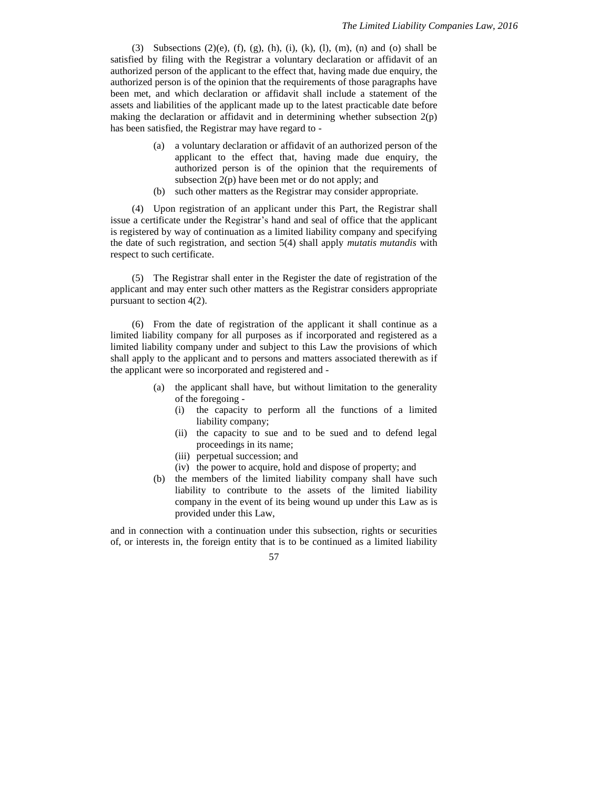(3) Subsections  $(2)(e)$ ,  $(f)$ ,  $(g)$ ,  $(h)$ ,  $(i)$ ,  $(k)$ ,  $(l)$ ,  $(m)$ ,  $(n)$  and  $(o)$  shall be satisfied by filing with the Registrar a voluntary declaration or affidavit of an authorized person of the applicant to the effect that, having made due enquiry, the authorized person is of the opinion that the requirements of those paragraphs have been met, and which declaration or affidavit shall include a statement of the assets and liabilities of the applicant made up to the latest practicable date before making the declaration or affidavit and in determining whether subsection  $2(p)$ has been satisfied, the Registrar may have regard to -

- (a) a voluntary declaration or affidavit of an authorized person of the applicant to the effect that, having made due enquiry, the authorized person is of the opinion that the requirements of subsection 2(p) have been met or do not apply; and
- (b) such other matters as the Registrar may consider appropriate.

(4) Upon registration of an applicant under this Part, the Registrar shall issue a certificate under the Registrar's hand and seal of office that the applicant is registered by way of continuation as a limited liability company and specifying the date of such registration, and section 5(4) shall apply *mutatis mutandis* with respect to such certificate.

(5) The Registrar shall enter in the Register the date of registration of the applicant and may enter such other matters as the Registrar considers appropriate pursuant to section 4(2).

(6) From the date of registration of the applicant it shall continue as a limited liability company for all purposes as if incorporated and registered as a limited liability company under and subject to this Law the provisions of which shall apply to the applicant and to persons and matters associated therewith as if the applicant were so incorporated and registered and -

- (a) the applicant shall have, but without limitation to the generality of the foregoing -
	- (i) the capacity to perform all the functions of a limited liability company;
	- (ii) the capacity to sue and to be sued and to defend legal proceedings in its name;
	- (iii) perpetual succession; and
	- (iv) the power to acquire, hold and dispose of property; and
- (b) the members of the limited liability company shall have such liability to contribute to the assets of the limited liability company in the event of its being wound up under this Law as is provided under this Law,

and in connection with a continuation under this subsection, rights or securities of, or interests in, the foreign entity that is to be continued as a limited liability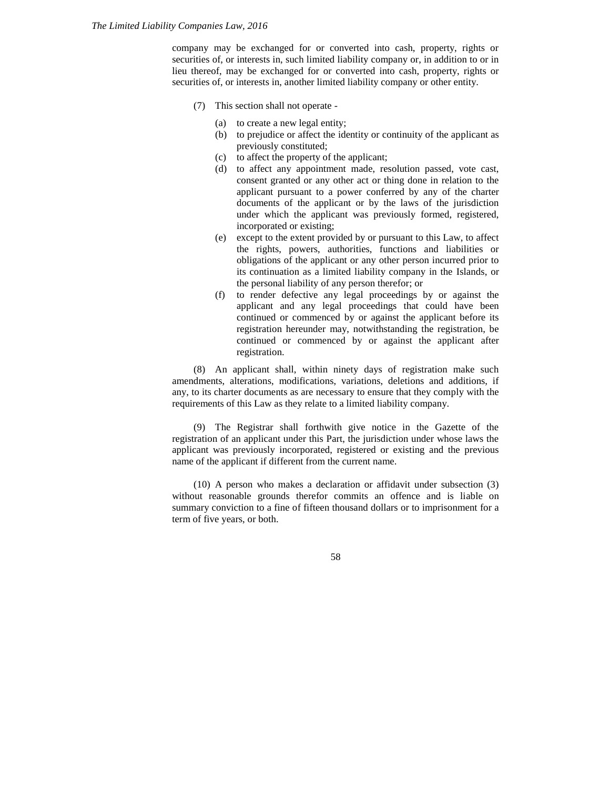company may be exchanged for or converted into cash, property, rights or securities of, or interests in, such limited liability company or, in addition to or in lieu thereof, may be exchanged for or converted into cash, property, rights or securities of, or interests in, another limited liability company or other entity.

- (7) This section shall not operate
	- (a) to create a new legal entity;
	- (b) to prejudice or affect the identity or continuity of the applicant as previously constituted;
	- (c) to affect the property of the applicant;
	- (d) to affect any appointment made, resolution passed, vote cast, consent granted or any other act or thing done in relation to the applicant pursuant to a power conferred by any of the charter documents of the applicant or by the laws of the jurisdiction under which the applicant was previously formed, registered, incorporated or existing;
	- (e) except to the extent provided by or pursuant to this Law, to affect the rights, powers, authorities, functions and liabilities or obligations of the applicant or any other person incurred prior to its continuation as a limited liability company in the Islands, or the personal liability of any person therefor; or
	- (f) to render defective any legal proceedings by or against the applicant and any legal proceedings that could have been continued or commenced by or against the applicant before its registration hereunder may, notwithstanding the registration, be continued or commenced by or against the applicant after registration.

(8) An applicant shall, within ninety days of registration make such amendments, alterations, modifications, variations, deletions and additions, if any, to its charter documents as are necessary to ensure that they comply with the requirements of this Law as they relate to a limited liability company.

(9) The Registrar shall forthwith give notice in the Gazette of the registration of an applicant under this Part, the jurisdiction under whose laws the applicant was previously incorporated, registered or existing and the previous name of the applicant if different from the current name.

(10) A person who makes a declaration or affidavit under subsection (3) without reasonable grounds therefor commits an offence and is liable on summary conviction to a fine of fifteen thousand dollars or to imprisonment for a term of five years, or both.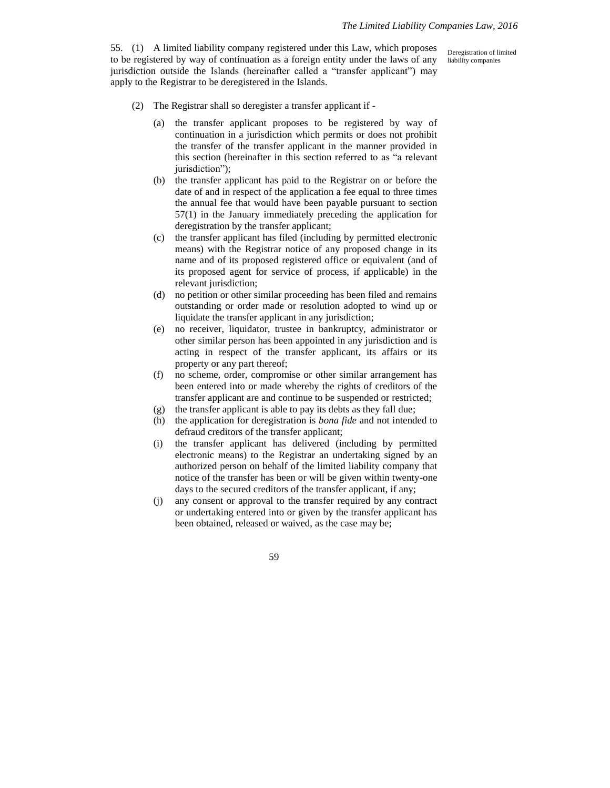55. (1) A limited liability company registered under this Law, which proposes to be registered by way of continuation as a foreign entity under the laws of any jurisdiction outside the Islands (hereinafter called a "transfer applicant") may apply to the Registrar to be deregistered in the Islands.

Deregistration of limited liability companies

- (2) The Registrar shall so deregister a transfer applicant if
	- (a) the transfer applicant proposes to be registered by way of continuation in a jurisdiction which permits or does not prohibit the transfer of the transfer applicant in the manner provided in this section (hereinafter in this section referred to as "a relevant jurisdiction");
	- (b) the transfer applicant has paid to the Registrar on or before the date of and in respect of the application a fee equal to three times the annual fee that would have been payable pursuant to section 57(1) in the January immediately preceding the application for deregistration by the transfer applicant;
	- (c) the transfer applicant has filed (including by permitted electronic means) with the Registrar notice of any proposed change in its name and of its proposed registered office or equivalent (and of its proposed agent for service of process, if applicable) in the relevant jurisdiction;
	- (d) no petition or other similar proceeding has been filed and remains outstanding or order made or resolution adopted to wind up or liquidate the transfer applicant in any jurisdiction;
	- (e) no receiver, liquidator, trustee in bankruptcy, administrator or other similar person has been appointed in any jurisdiction and is acting in respect of the transfer applicant, its affairs or its property or any part thereof;
	- (f) no scheme, order, compromise or other similar arrangement has been entered into or made whereby the rights of creditors of the transfer applicant are and continue to be suspended or restricted;
	- (g) the transfer applicant is able to pay its debts as they fall due;
	- (h) the application for deregistration is *bona fide* and not intended to defraud creditors of the transfer applicant;
	- (i) the transfer applicant has delivered (including by permitted electronic means) to the Registrar an undertaking signed by an authorized person on behalf of the limited liability company that notice of the transfer has been or will be given within twenty-one days to the secured creditors of the transfer applicant, if any;
	- (j) any consent or approval to the transfer required by any contract or undertaking entered into or given by the transfer applicant has been obtained, released or waived, as the case may be;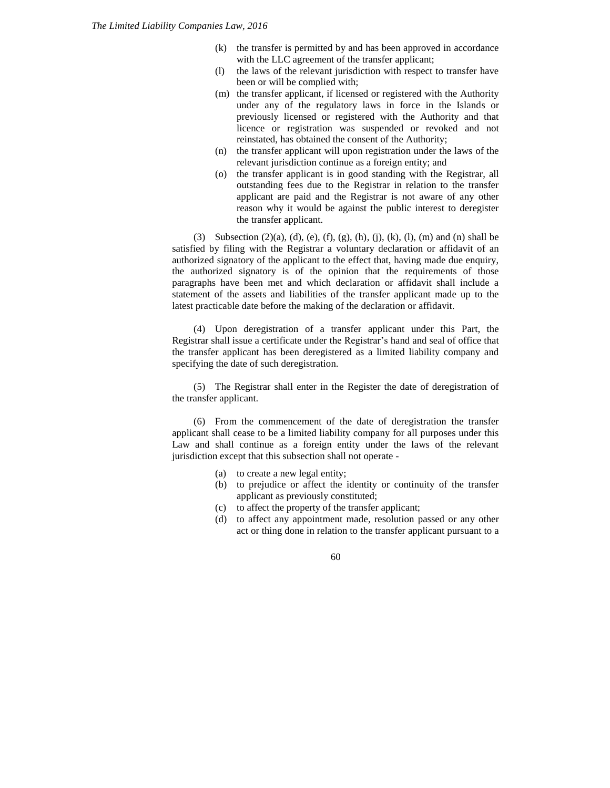- (k) the transfer is permitted by and has been approved in accordance with the LLC agreement of the transfer applicant;
- (l) the laws of the relevant jurisdiction with respect to transfer have been or will be complied with;
- (m) the transfer applicant, if licensed or registered with the Authority under any of the regulatory laws in force in the Islands or previously licensed or registered with the Authority and that licence or registration was suspended or revoked and not reinstated, has obtained the consent of the Authority;
- (n) the transfer applicant will upon registration under the laws of the relevant jurisdiction continue as a foreign entity; and
- (o) the transfer applicant is in good standing with the Registrar, all outstanding fees due to the Registrar in relation to the transfer applicant are paid and the Registrar is not aware of any other reason why it would be against the public interest to deregister the transfer applicant.

(3) Subsection (2)(a), (d), (e), (f), (g), (h), (j), (k), (l), (m) and (n) shall be satisfied by filing with the Registrar a voluntary declaration or affidavit of an authorized signatory of the applicant to the effect that, having made due enquiry, the authorized signatory is of the opinion that the requirements of those paragraphs have been met and which declaration or affidavit shall include a statement of the assets and liabilities of the transfer applicant made up to the latest practicable date before the making of the declaration or affidavit.

(4) Upon deregistration of a transfer applicant under this Part, the Registrar shall issue a certificate under the Registrar's hand and seal of office that the transfer applicant has been deregistered as a limited liability company and specifying the date of such deregistration.

(5) The Registrar shall enter in the Register the date of deregistration of the transfer applicant.

(6) From the commencement of the date of deregistration the transfer applicant shall cease to be a limited liability company for all purposes under this Law and shall continue as a foreign entity under the laws of the relevant jurisdiction except that this subsection shall not operate -

- (a) to create a new legal entity;
- (b) to prejudice or affect the identity or continuity of the transfer applicant as previously constituted;
- (c) to affect the property of the transfer applicant;
- (d) to affect any appointment made, resolution passed or any other act or thing done in relation to the transfer applicant pursuant to a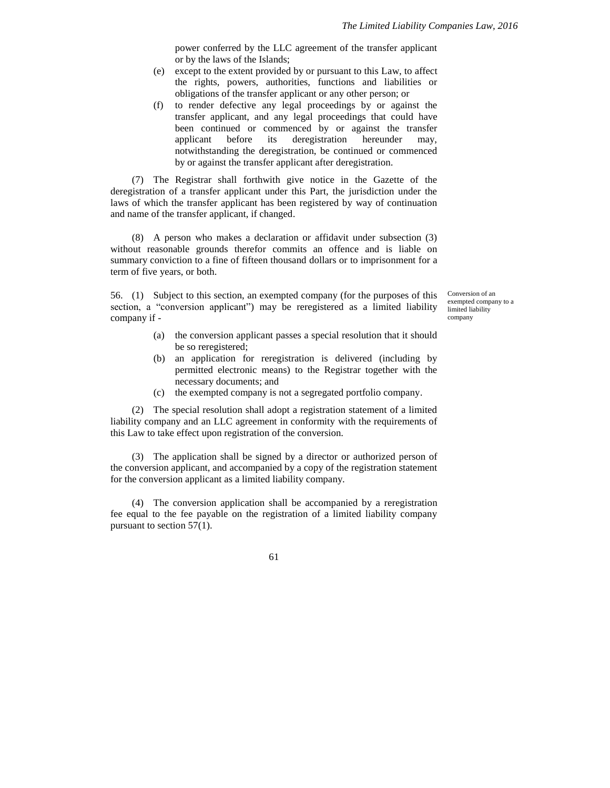power conferred by the LLC agreement of the transfer applicant or by the laws of the Islands;

- (e) except to the extent provided by or pursuant to this Law, to affect the rights, powers, authorities, functions and liabilities or obligations of the transfer applicant or any other person; or
- (f) to render defective any legal proceedings by or against the transfer applicant, and any legal proceedings that could have been continued or commenced by or against the transfer applicant before its deregistration hereunder may, notwithstanding the deregistration, be continued or commenced by or against the transfer applicant after deregistration.

(7) The Registrar shall forthwith give notice in the Gazette of the deregistration of a transfer applicant under this Part, the jurisdiction under the laws of which the transfer applicant has been registered by way of continuation and name of the transfer applicant, if changed.

(8) A person who makes a declaration or affidavit under subsection (3) without reasonable grounds therefor commits an offence and is liable on summary conviction to a fine of fifteen thousand dollars or to imprisonment for a term of five years, or both.

56. (1) Subject to this section, an exempted company (for the purposes of this section, a "conversion applicant") may be reregistered as a limited liability company if -

Conversion of an exempted company to a limited liability company

- (a) the conversion applicant passes a special resolution that it should be so reregistered;
- (b) an application for reregistration is delivered (including by permitted electronic means) to the Registrar together with the necessary documents; and
- (c) the exempted company is not a segregated portfolio company.

(2) The special resolution shall adopt a registration statement of a limited liability company and an LLC agreement in conformity with the requirements of this Law to take effect upon registration of the conversion.

(3) The application shall be signed by a director or authorized person of the conversion applicant, and accompanied by a copy of the registration statement for the conversion applicant as a limited liability company.

(4) The conversion application shall be accompanied by a reregistration fee equal to the fee payable on the registration of a limited liability company pursuant to section 57(1).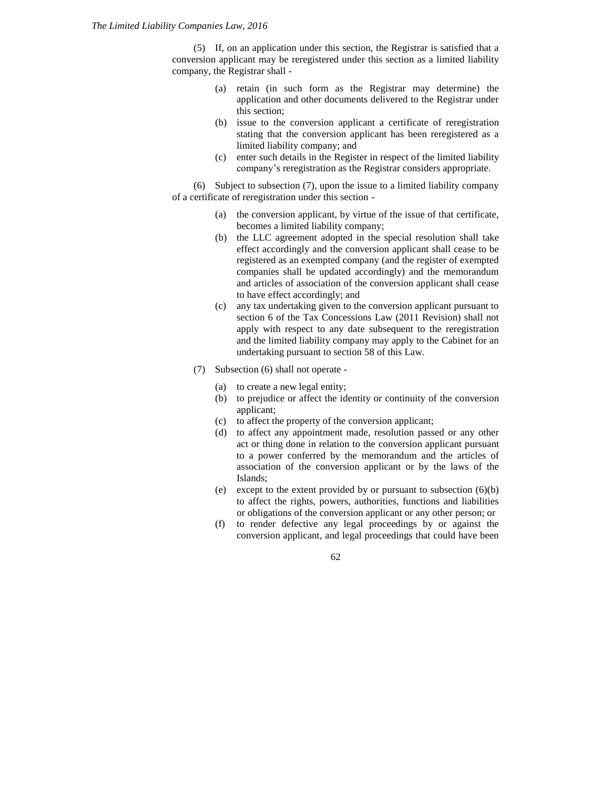(5) If, on an application under this section, the Registrar is satisfied that a conversion applicant may be reregistered under this section as a limited liability company, the Registrar shall -

- (a) retain (in such form as the Registrar may determine) the application and other documents delivered to the Registrar under this section;
- (b) issue to the conversion applicant a certificate of reregistration stating that the conversion applicant has been reregistered as a limited liability company; and
- (c) enter such details in the Register in respect of the limited liability company's reregistration as the Registrar considers appropriate.

(6) Subject to subsection (7), upon the issue to a limited liability company of a certificate of reregistration under this section -

- (a) the conversion applicant, by virtue of the issue of that certificate, becomes a limited liability company;
- (b) the LLC agreement adopted in the special resolution shall take effect accordingly and the conversion applicant shall cease to be registered as an exempted company (and the register of exempted companies shall be updated accordingly) and the memorandum and articles of association of the conversion applicant shall cease to have effect accordingly; and
- (c) any tax undertaking given to the conversion applicant pursuant to section 6 of the Tax Concessions Law (2011 Revision) shall not apply with respect to any date subsequent to the reregistration and the limited liability company may apply to the Cabinet for an undertaking pursuant to section 58 of this Law.
- (7) Subsection (6) shall not operate
	- (a) to create a new legal entity;
	- (b) to prejudice or affect the identity or continuity of the conversion applicant;
	- (c) to affect the property of the conversion applicant;
	- (d) to affect any appointment made, resolution passed or any other act or thing done in relation to the conversion applicant pursuant to a power conferred by the memorandum and the articles of association of the conversion applicant or by the laws of the Islands;
	- (e) except to the extent provided by or pursuant to subsection (6)(b) to affect the rights, powers, authorities, functions and liabilities or obligations of the conversion applicant or any other person; or
	- (f) to render defective any legal proceedings by or against the conversion applicant, and legal proceedings that could have been

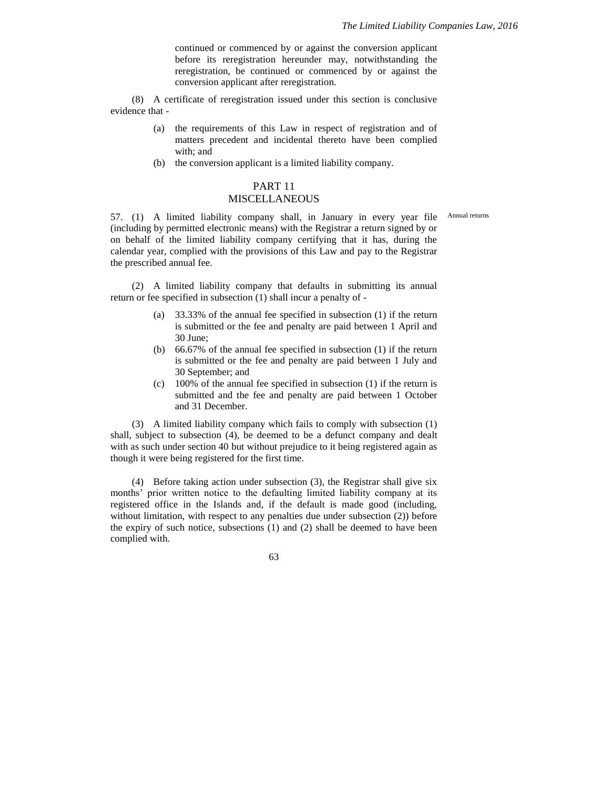continued or commenced by or against the conversion applicant before its reregistration hereunder may, notwithstanding the reregistration, be continued or commenced by or against the conversion applicant after reregistration.

(8) A certificate of reregistration issued under this section is conclusive evidence that -

- (a) the requirements of this Law in respect of registration and of matters precedent and incidental thereto have been complied with; and
- (b) the conversion applicant is a limited liability company.

# PART 11

### MISCELLANEOUS

57. (1) A limited liability company shall, in January in every year file Annual returns(including by permitted electronic means) with the Registrar a return signed by or on behalf of the limited liability company certifying that it has, during the calendar year, complied with the provisions of this Law and pay to the Registrar the prescribed annual fee.

(2) A limited liability company that defaults in submitting its annual return or fee specified in subsection (1) shall incur a penalty of -

- (a) 33.33% of the annual fee specified in subsection (1) if the return is submitted or the fee and penalty are paid between 1 April and 30 June;
- (b) 66.67% of the annual fee specified in subsection (1) if the return is submitted or the fee and penalty are paid between 1 July and 30 September; and
- (c) 100% of the annual fee specified in subsection (1) if the return is submitted and the fee and penalty are paid between 1 October and 31 December.

(3) A limited liability company which fails to comply with subsection (1) shall, subject to subsection (4), be deemed to be a defunct company and dealt with as such under section 40 but without prejudice to it being registered again as though it were being registered for the first time.

(4) Before taking action under subsection (3), the Registrar shall give six months' prior written notice to the defaulting limited liability company at its registered office in the Islands and, if the default is made good (including, without limitation, with respect to any penalties due under subsection (2)) before the expiry of such notice, subsections (1) and (2) shall be deemed to have been complied with.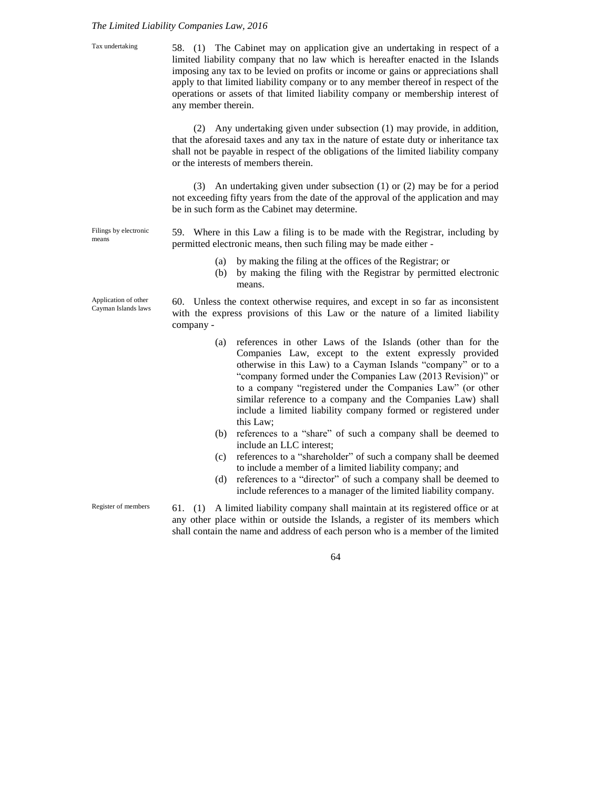## *The Limited Liability Companies Law, 2016*

| Tax undertaking                             | 58. (1) The Cabinet may on application give an undertaking in respect of a<br>limited liability company that no law which is hereafter enacted in the Islands<br>imposing any tax to be levied on profits or income or gains or appreciations shall<br>apply to that limited liability company or to any member thereof in respect of the<br>operations or assets of that limited liability company or membership interest of<br>any member therein.                     |
|---------------------------------------------|--------------------------------------------------------------------------------------------------------------------------------------------------------------------------------------------------------------------------------------------------------------------------------------------------------------------------------------------------------------------------------------------------------------------------------------------------------------------------|
|                                             | Any undertaking given under subsection (1) may provide, in addition,<br>(2)<br>that the aforesaid taxes and any tax in the nature of estate duty or inheritance tax<br>shall not be payable in respect of the obligations of the limited liability company<br>or the interests of members therein.                                                                                                                                                                       |
|                                             | (3) An undertaking given under subsection $(1)$ or $(2)$ may be for a period<br>not exceeding fifty years from the date of the approval of the application and may<br>be in such form as the Cabinet may determine.                                                                                                                                                                                                                                                      |
| Filings by electronic<br>means              | 59. Where in this Law a filing is to be made with the Registrar, including by<br>permitted electronic means, then such filing may be made either -                                                                                                                                                                                                                                                                                                                       |
|                                             | by making the filing at the offices of the Registrar; or<br>(a)<br>by making the filing with the Registrar by permitted electronic<br>(b)<br>means.                                                                                                                                                                                                                                                                                                                      |
| Application of other<br>Cayman Islands laws | 60. Unless the context otherwise requires, and except in so far as inconsistent                                                                                                                                                                                                                                                                                                                                                                                          |
|                                             | with the express provisions of this Law or the nature of a limited liability<br>company -                                                                                                                                                                                                                                                                                                                                                                                |
|                                             | references in other Laws of the Islands (other than for the<br>(a)<br>Companies Law, except to the extent expressly provided<br>otherwise in this Law) to a Cayman Islands "company" or to a<br>"company formed under the Companies Law (2013 Revision)" or<br>to a company "registered under the Companies Law" (or other<br>similar reference to a company and the Companies Law) shall<br>include a limited liability company formed or registered under<br>this Law: |
|                                             | references to a "share" of such a company shall be deemed to<br>(b)                                                                                                                                                                                                                                                                                                                                                                                                      |
|                                             | include an LLC interest;<br>references to a "shareholder" of such a company shall be deemed<br>(c)                                                                                                                                                                                                                                                                                                                                                                       |
|                                             | to include a member of a limited liability company; and<br>references to a "director" of such a company shall be deemed to<br>(d)<br>include references to a manager of the limited liability company.                                                                                                                                                                                                                                                                   |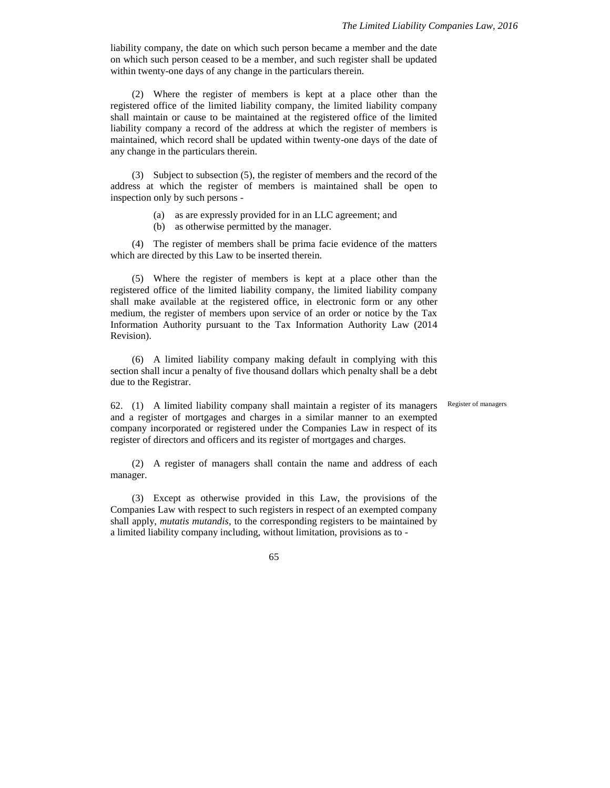liability company, the date on which such person became a member and the date on which such person ceased to be a member, and such register shall be updated within twenty-one days of any change in the particulars therein.

(2) Where the register of members is kept at a place other than the registered office of the limited liability company, the limited liability company shall maintain or cause to be maintained at the registered office of the limited liability company a record of the address at which the register of members is maintained, which record shall be updated within twenty-one days of the date of any change in the particulars therein.

(3) Subject to subsection (5), the register of members and the record of the address at which the register of members is maintained shall be open to inspection only by such persons -

- (a) as are expressly provided for in an LLC agreement; and
- (b) as otherwise permitted by the manager.

(4) The register of members shall be prima facie evidence of the matters which are directed by this Law to be inserted therein.

(5) Where the register of members is kept at a place other than the registered office of the limited liability company, the limited liability company shall make available at the registered office, in electronic form or any other medium, the register of members upon service of an order or notice by the Tax Information Authority pursuant to the Tax Information Authority Law (2014 Revision).

(6) A limited liability company making default in complying with this section shall incur a penalty of five thousand dollars which penalty shall be a debt due to the Registrar.

62. (1) A limited liability company shall maintain a register of its managers Register of managers and a register of mortgages and charges in a similar manner to an exempted company incorporated or registered under the Companies Law in respect of its register of directors and officers and its register of mortgages and charges.

(2) A register of managers shall contain the name and address of each manager.

(3) Except as otherwise provided in this Law, the provisions of the Companies Law with respect to such registers in respect of an exempted company shall apply, *mutatis mutandis*, to the corresponding registers to be maintained by a limited liability company including, without limitation, provisions as to -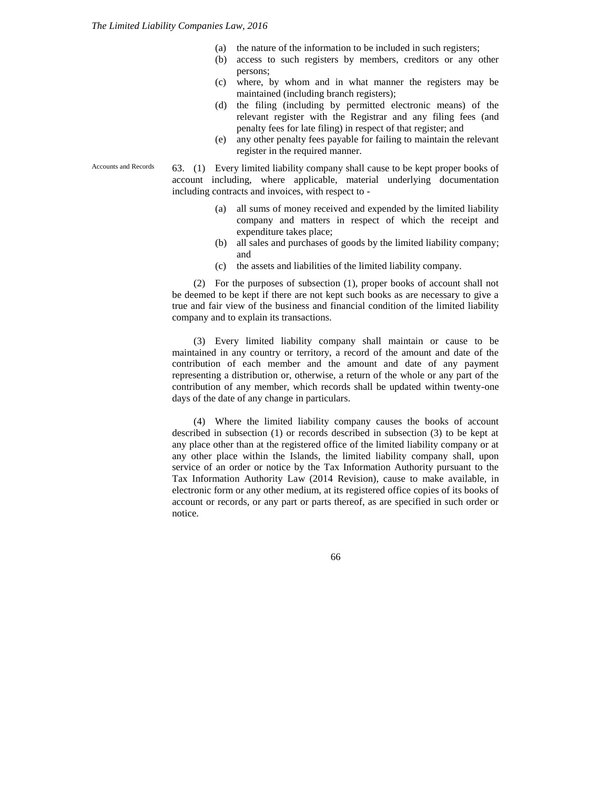- (a) the nature of the information to be included in such registers;
- (b) access to such registers by members, creditors or any other persons;
- (c) where, by whom and in what manner the registers may be maintained (including branch registers);
- (d) the filing (including by permitted electronic means) of the relevant register with the Registrar and any filing fees (and penalty fees for late filing) in respect of that register; and
- (e) any other penalty fees payable for failing to maintain the relevant register in the required manner.

63. (1) Every limited liability company shall cause to be kept proper books of account including, where applicable, material underlying documentation including contracts and invoices, with respect to -

- (a) all sums of money received and expended by the limited liability company and matters in respect of which the receipt and expenditure takes place;
- (b) all sales and purchases of goods by the limited liability company; and
- (c) the assets and liabilities of the limited liability company.

(2) For the purposes of subsection (1), proper books of account shall not be deemed to be kept if there are not kept such books as are necessary to give a true and fair view of the business and financial condition of the limited liability company and to explain its transactions.

(3) Every limited liability company shall maintain or cause to be maintained in any country or territory, a record of the amount and date of the contribution of each member and the amount and date of any payment representing a distribution or, otherwise, a return of the whole or any part of the contribution of any member, which records shall be updated within twenty-one days of the date of any change in particulars.

(4) Where the limited liability company causes the books of account described in subsection (1) or records described in subsection (3) to be kept at any place other than at the registered office of the limited liability company or at any other place within the Islands, the limited liability company shall, upon service of an order or notice by the Tax Information Authority pursuant to the Tax Information Authority Law (2014 Revision), cause to make available, in electronic form or any other medium, at its registered office copies of its books of account or records, or any part or parts thereof, as are specified in such order or notice.

66

Accounts and Records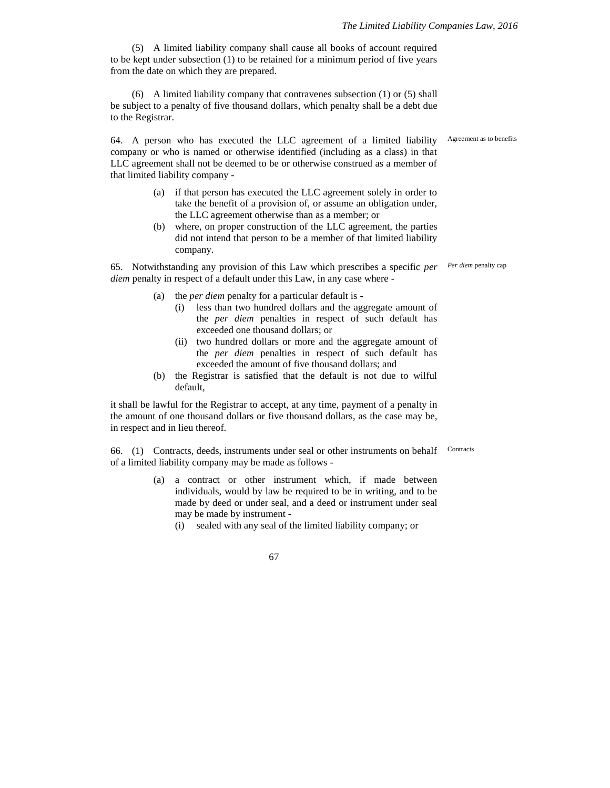(5) A limited liability company shall cause all books of account required to be kept under subsection (1) to be retained for a minimum period of five years from the date on which they are prepared.

(6) A limited liability company that contravenes subsection (1) or (5) shall be subject to a penalty of five thousand dollars, which penalty shall be a debt due to the Registrar.

64. A person who has executed the LLC agreement of a limited liability company or who is named or otherwise identified (including as a class) in that LLC agreement shall not be deemed to be or otherwise construed as a member of that limited liability company -

- (a) if that person has executed the LLC agreement solely in order to take the benefit of a provision of, or assume an obligation under, the LLC agreement otherwise than as a member; or
- (b) where, on proper construction of the LLC agreement, the parties did not intend that person to be a member of that limited liability company.

65. Notwithstanding any provision of this Law which prescribes a specific *per Per diem* penalty cap *diem* penalty in respect of a default under this Law, in any case where -

- (a) the *per diem* penalty for a particular default is
	- (i) less than two hundred dollars and the aggregate amount of the *per diem* penalties in respect of such default has exceeded one thousand dollars; or
	- (ii) two hundred dollars or more and the aggregate amount of the *per diem* penalties in respect of such default has exceeded the amount of five thousand dollars; and
- (b) the Registrar is satisfied that the default is not due to wilful default,

it shall be lawful for the Registrar to accept, at any time, payment of a penalty in the amount of one thousand dollars or five thousand dollars, as the case may be, in respect and in lieu thereof.

66. (1) Contracts, deeds, instruments under seal or other instruments on behalf of a limited liability company may be made as follows -

- (a) a contract or other instrument which, if made between individuals, would by law be required to be in writing, and to be made by deed or under seal, and a deed or instrument under seal may be made by instrument -
	- (i) sealed with any seal of the limited liability company; or

67

Agreement as to benefits

**Contracts**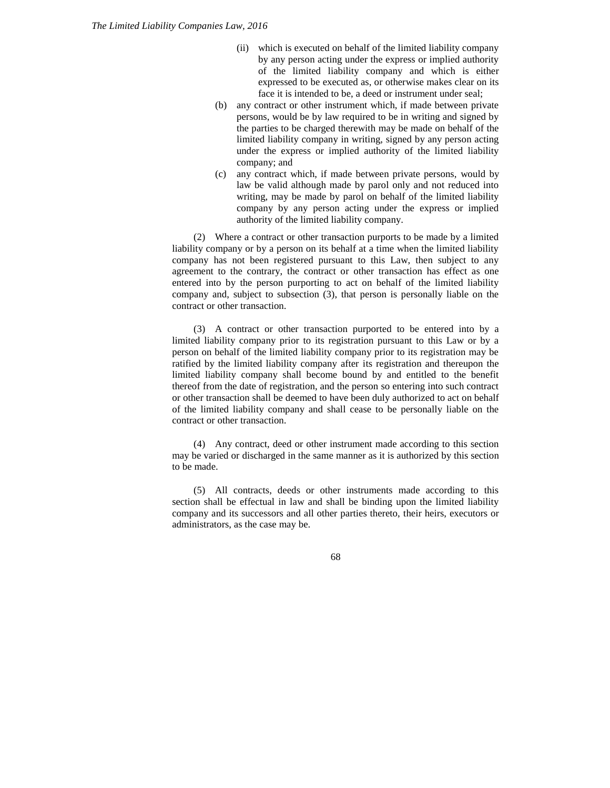- (ii) which is executed on behalf of the limited liability company by any person acting under the express or implied authority of the limited liability company and which is either expressed to be executed as, or otherwise makes clear on its face it is intended to be, a deed or instrument under seal;
- (b) any contract or other instrument which, if made between private persons, would be by law required to be in writing and signed by the parties to be charged therewith may be made on behalf of the limited liability company in writing, signed by any person acting under the express or implied authority of the limited liability company; and
- (c) any contract which, if made between private persons, would by law be valid although made by parol only and not reduced into writing, may be made by parol on behalf of the limited liability company by any person acting under the express or implied authority of the limited liability company.

(2) Where a contract or other transaction purports to be made by a limited liability company or by a person on its behalf at a time when the limited liability company has not been registered pursuant to this Law, then subject to any agreement to the contrary, the contract or other transaction has effect as one entered into by the person purporting to act on behalf of the limited liability company and, subject to subsection (3), that person is personally liable on the contract or other transaction.

(3) A contract or other transaction purported to be entered into by a limited liability company prior to its registration pursuant to this Law or by a person on behalf of the limited liability company prior to its registration may be ratified by the limited liability company after its registration and thereupon the limited liability company shall become bound by and entitled to the benefit thereof from the date of registration, and the person so entering into such contract or other transaction shall be deemed to have been duly authorized to act on behalf of the limited liability company and shall cease to be personally liable on the contract or other transaction.

(4) Any contract, deed or other instrument made according to this section may be varied or discharged in the same manner as it is authorized by this section to be made.

(5) All contracts, deeds or other instruments made according to this section shall be effectual in law and shall be binding upon the limited liability company and its successors and all other parties thereto, their heirs, executors or administrators, as the case may be.